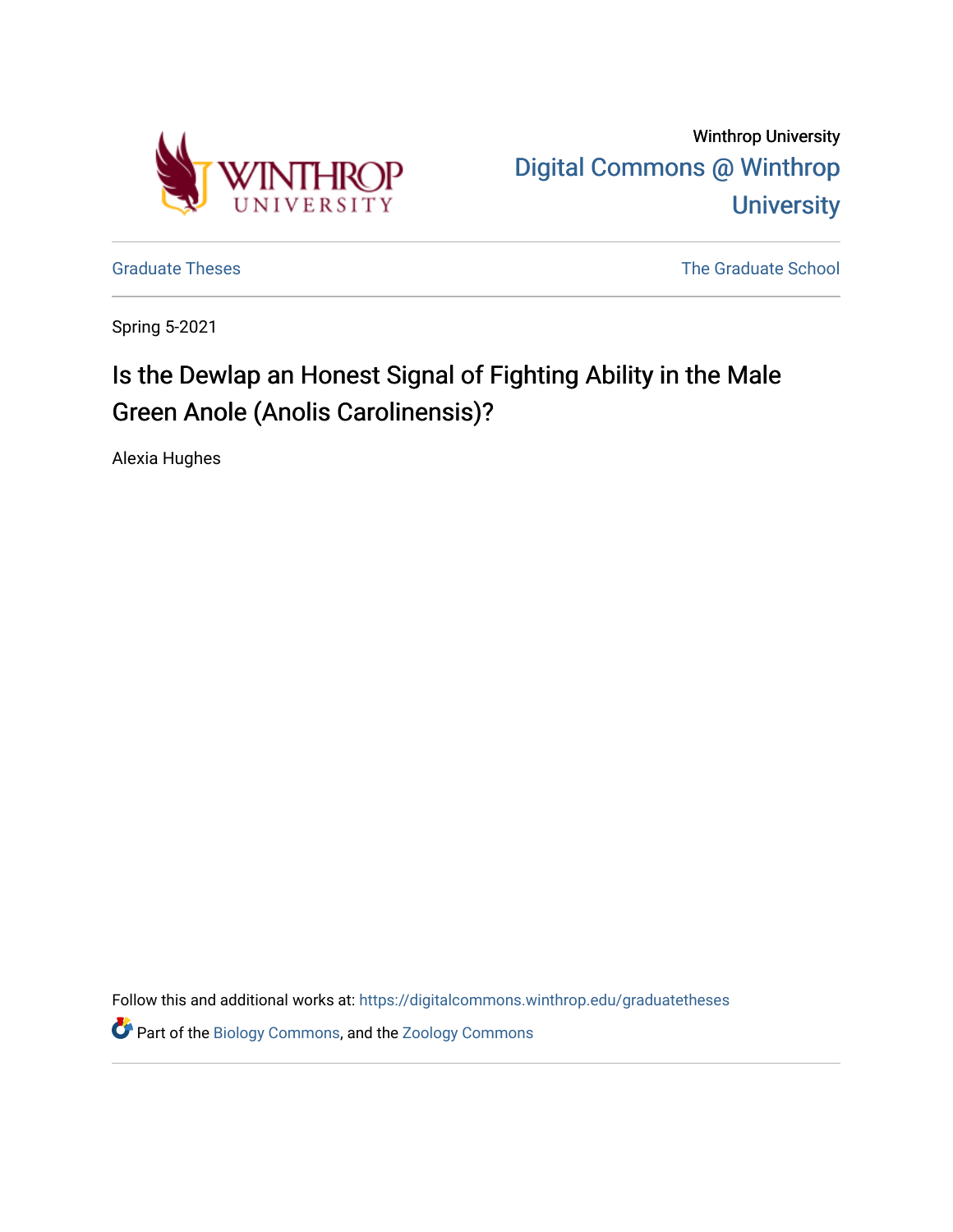

Winthrop University [Digital Commons @ Winthrop](https://digitalcommons.winthrop.edu/)  **University** 

[Graduate Theses](https://digitalcommons.winthrop.edu/graduatetheses) **The Graduate School** School School School School School School School School School School School

Spring 5-2021

# Is the Dewlap an Honest Signal of Fighting Ability in the Male Green Anole (Anolis Carolinensis)?

Alexia Hughes

Follow this and additional works at: [https://digitalcommons.winthrop.edu/graduatetheses](https://digitalcommons.winthrop.edu/graduatetheses?utm_source=digitalcommons.winthrop.edu%2Fgraduatetheses%2F131&utm_medium=PDF&utm_campaign=PDFCoverPages)

Part of the [Biology Commons,](http://network.bepress.com/hgg/discipline/41?utm_source=digitalcommons.winthrop.edu%2Fgraduatetheses%2F131&utm_medium=PDF&utm_campaign=PDFCoverPages) and the [Zoology Commons](http://network.bepress.com/hgg/discipline/81?utm_source=digitalcommons.winthrop.edu%2Fgraduatetheses%2F131&utm_medium=PDF&utm_campaign=PDFCoverPages)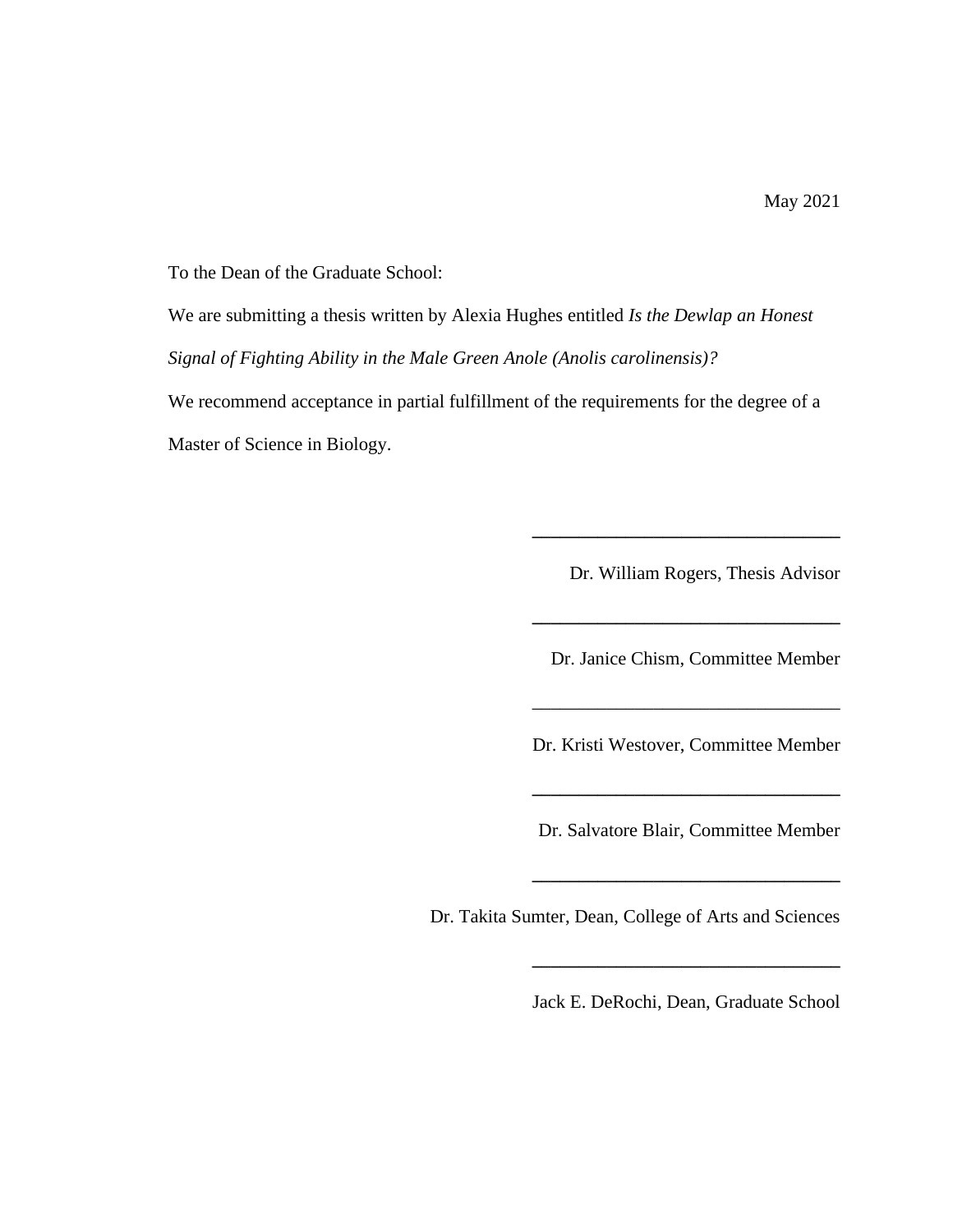To the Dean of the Graduate School:

We are submitting a thesis written by Alexia Hughes entitled *Is the Dewlap an Honest Signal of Fighting Ability in the Male Green Anole (Anolis carolinensis)?* 

We recommend acceptance in partial fulfillment of the requirements for the degree of a Master of Science in Biology.

Dr. William Rogers, Thesis Advisor

**\_\_\_\_\_\_\_\_\_\_\_\_\_\_\_\_\_\_\_\_\_\_\_\_\_\_\_\_\_\_\_\_\_**

**\_\_\_\_\_\_\_\_\_\_\_\_\_\_\_\_\_\_\_\_\_\_\_\_\_\_\_\_\_\_\_\_\_**

Dr. Janice Chism, Committee Member

Dr. Kristi Westover, Committee Member

**\_\_\_\_\_\_\_\_\_\_\_\_\_\_\_\_\_\_\_\_\_\_\_\_\_\_\_\_\_\_\_\_\_**

\_\_\_\_\_\_\_\_\_\_\_\_\_\_\_\_\_\_\_\_\_\_\_\_\_\_\_\_\_\_\_\_\_

Dr. Salvatore Blair, Committee Member

**\_\_\_\_\_\_\_\_\_\_\_\_\_\_\_\_\_\_\_\_\_\_\_\_\_\_\_\_\_\_\_\_\_**

Dr. Takita Sumter, Dean, College of Arts and Sciences

Jack E. DeRochi, Dean, Graduate School

**\_\_\_\_\_\_\_\_\_\_\_\_\_\_\_\_\_\_\_\_\_\_\_\_\_\_\_\_\_\_\_\_\_**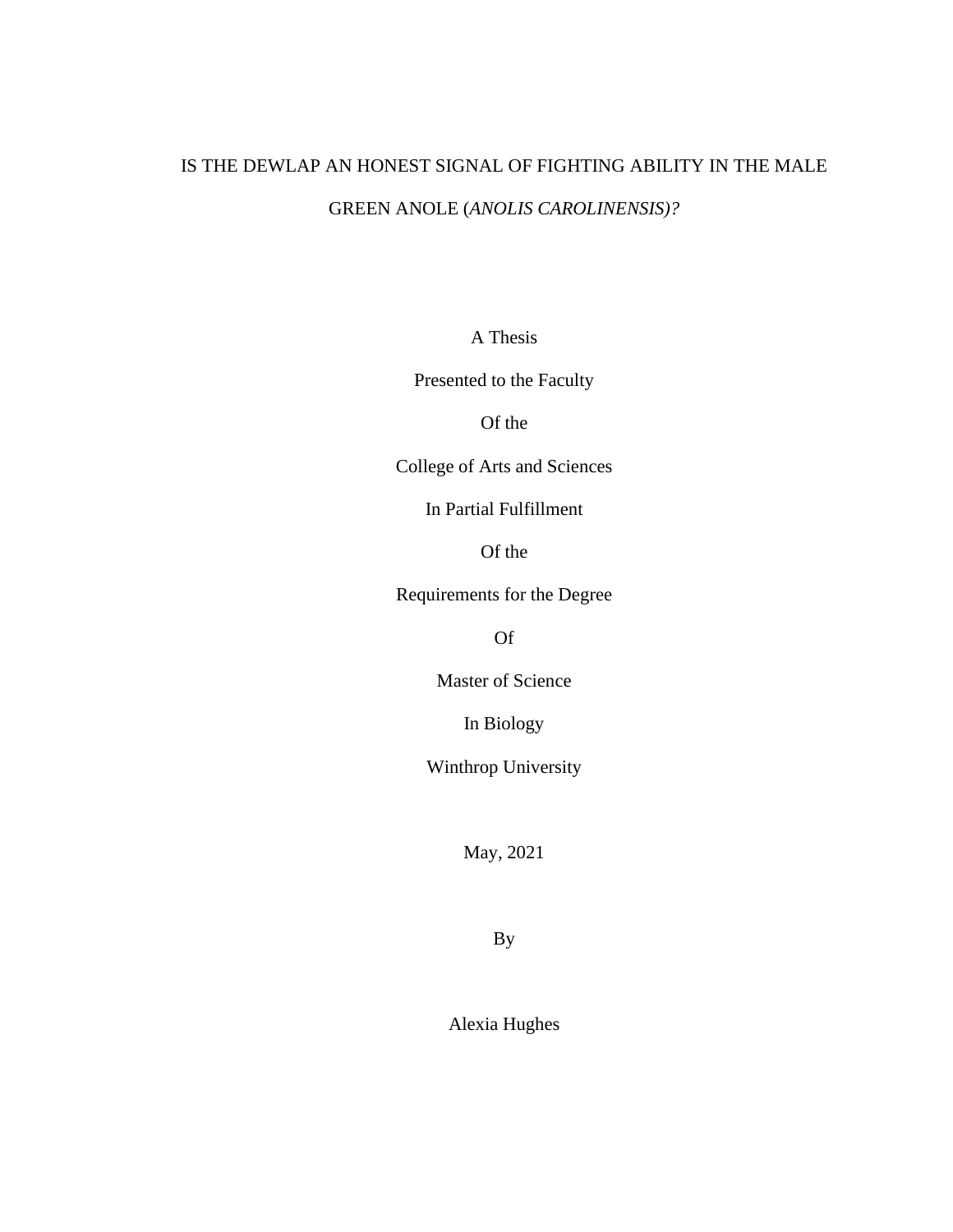# IS THE DEWLAP AN HONEST SIGNAL OF FIGHTING ABILITY IN THE MALE GREEN ANOLE (*ANOLIS CAROLINENSIS)?*

A Thesis

Presented to the Faculty

Of the

College of Arts and Sciences

In Partial Fulfillment

Of the

Requirements for the Degree

Of

Master of Science

In Biology

Winthrop University

May, 2021

By

Alexia Hughes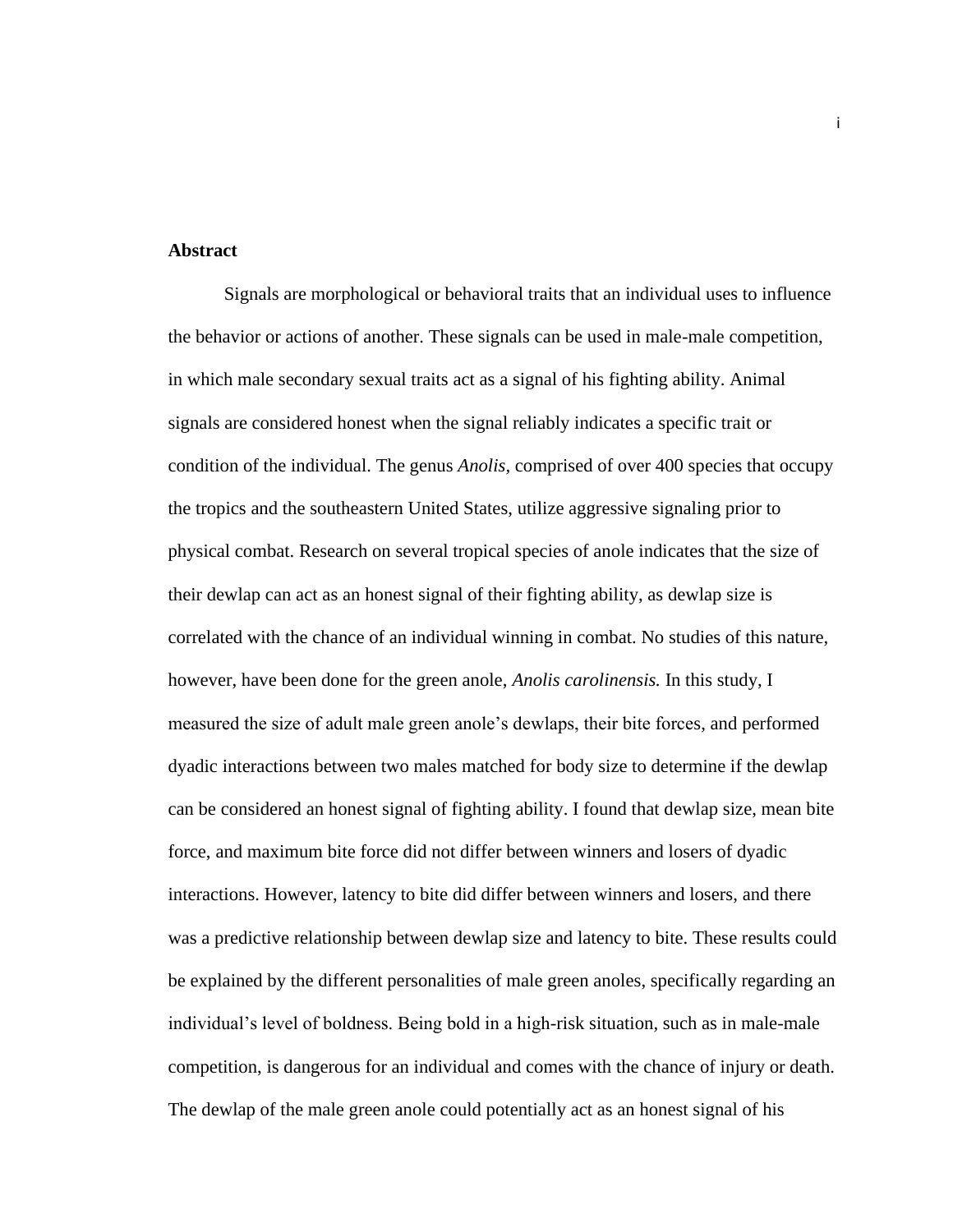#### **Abstract**

Signals are morphological or behavioral traits that an individual uses to influence the behavior or actions of another. These signals can be used in male-male competition, in which male secondary sexual traits act as a signal of his fighting ability. Animal signals are considered honest when the signal reliably indicates a specific trait or condition of the individual. The genus *Anolis,* comprised of over 400 species that occupy the tropics and the southeastern United States, utilize aggressive signaling prior to physical combat. Research on several tropical species of anole indicates that the size of their dewlap can act as an honest signal of their fighting ability, as dewlap size is correlated with the chance of an individual winning in combat. No studies of this nature, however, have been done for the green anole, *Anolis carolinensis.* In this study, I measured the size of adult male green anole's dewlaps, their bite forces, and performed dyadic interactions between two males matched for body size to determine if the dewlap can be considered an honest signal of fighting ability. I found that dewlap size, mean bite force, and maximum bite force did not differ between winners and losers of dyadic interactions. However, latency to bite did differ between winners and losers, and there was a predictive relationship between dewlap size and latency to bite. These results could be explained by the different personalities of male green anoles, specifically regarding an individual's level of boldness. Being bold in a high-risk situation, such as in male-male competition, is dangerous for an individual and comes with the chance of injury or death. The dewlap of the male green anole could potentially act as an honest signal of his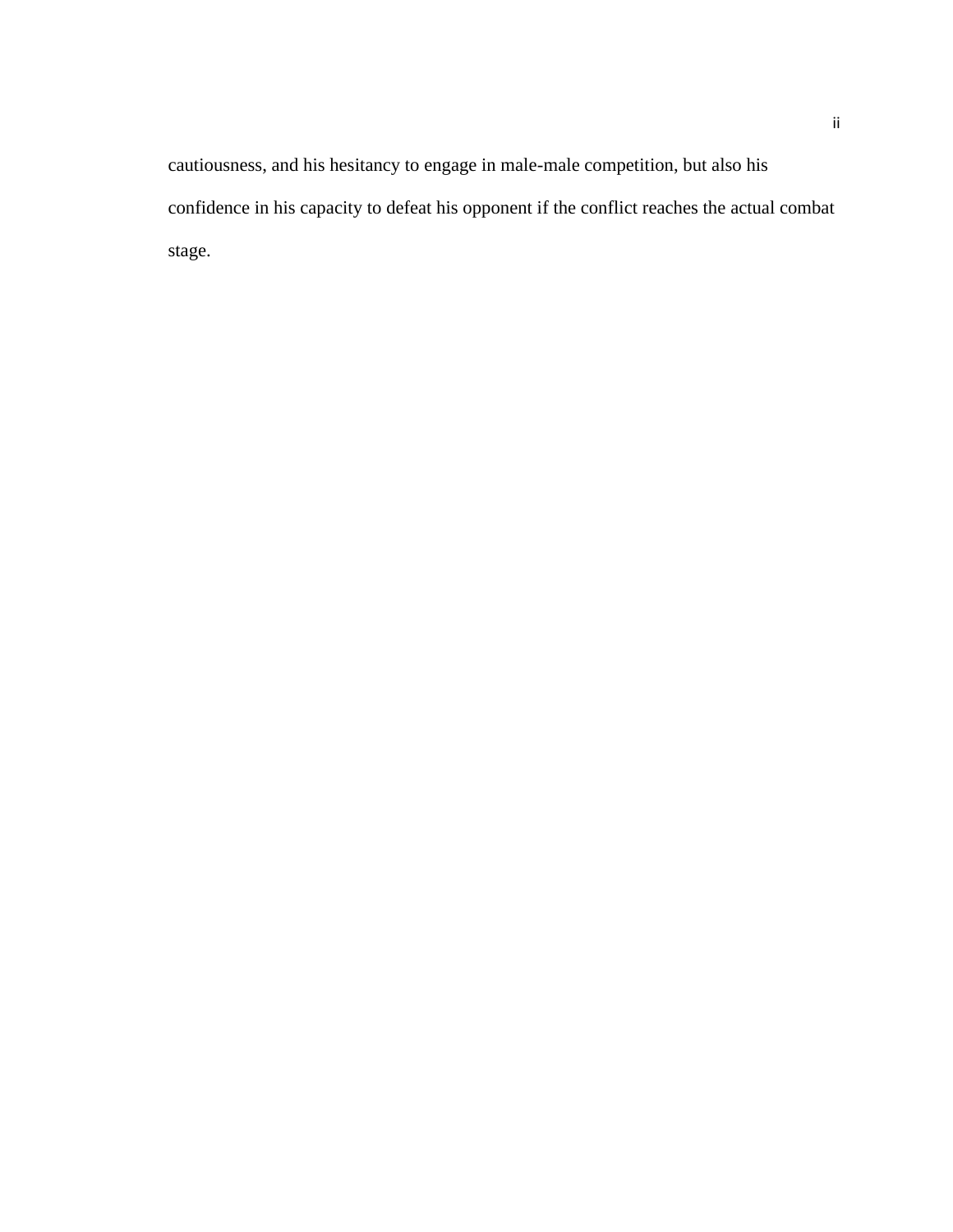cautiousness, and his hesitancy to engage in male-male competition, but also his confidence in his capacity to defeat his opponent if the conflict reaches the actual combat stage.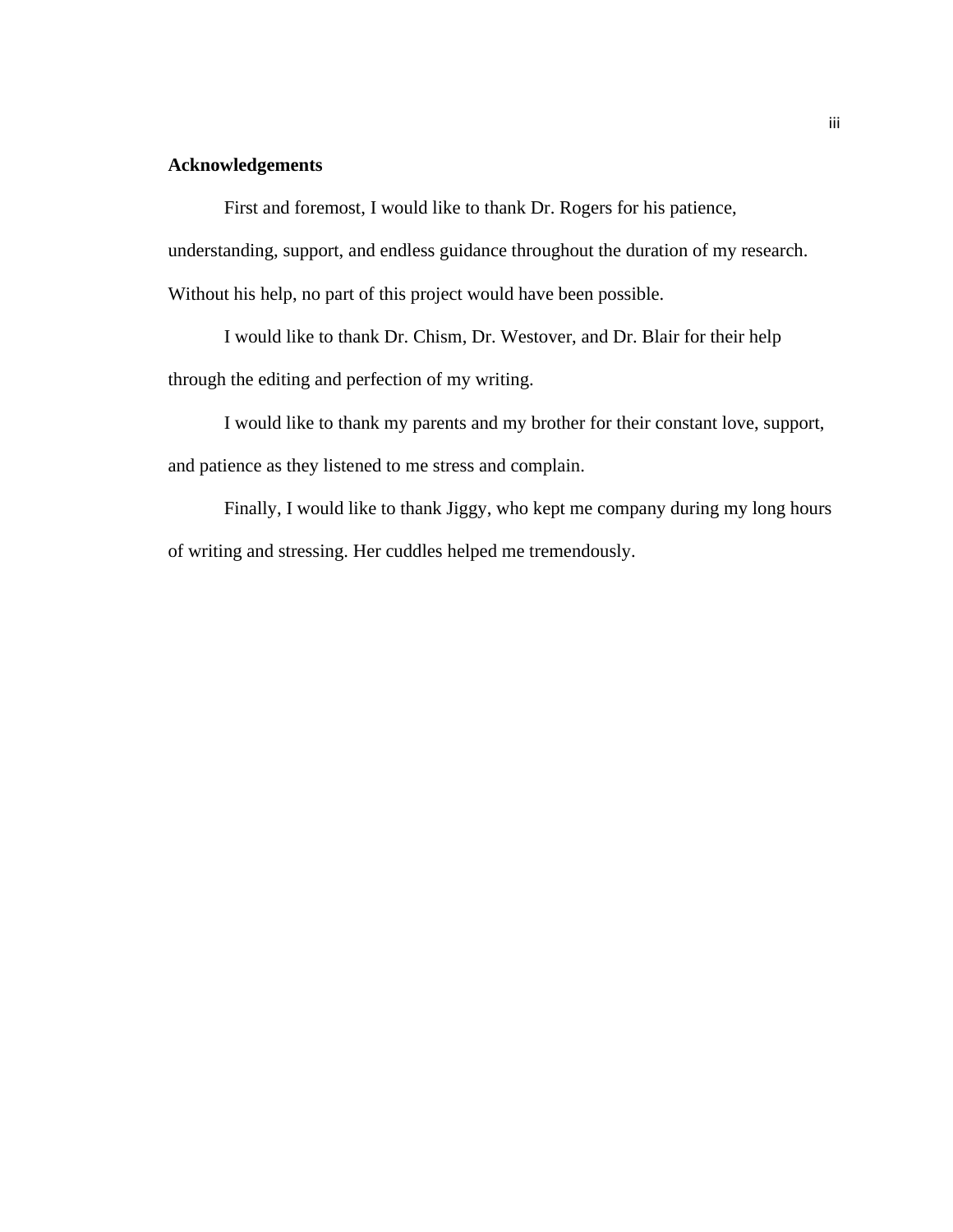## **Acknowledgements**

First and foremost, I would like to thank Dr. Rogers for his patience,

understanding, support, and endless guidance throughout the duration of my research.

Without his help, no part of this project would have been possible.

I would like to thank Dr. Chism, Dr. Westover, and Dr. Blair for their help through the editing and perfection of my writing.

I would like to thank my parents and my brother for their constant love, support, and patience as they listened to me stress and complain.

Finally, I would like to thank Jiggy, who kept me company during my long hours of writing and stressing. Her cuddles helped me tremendously.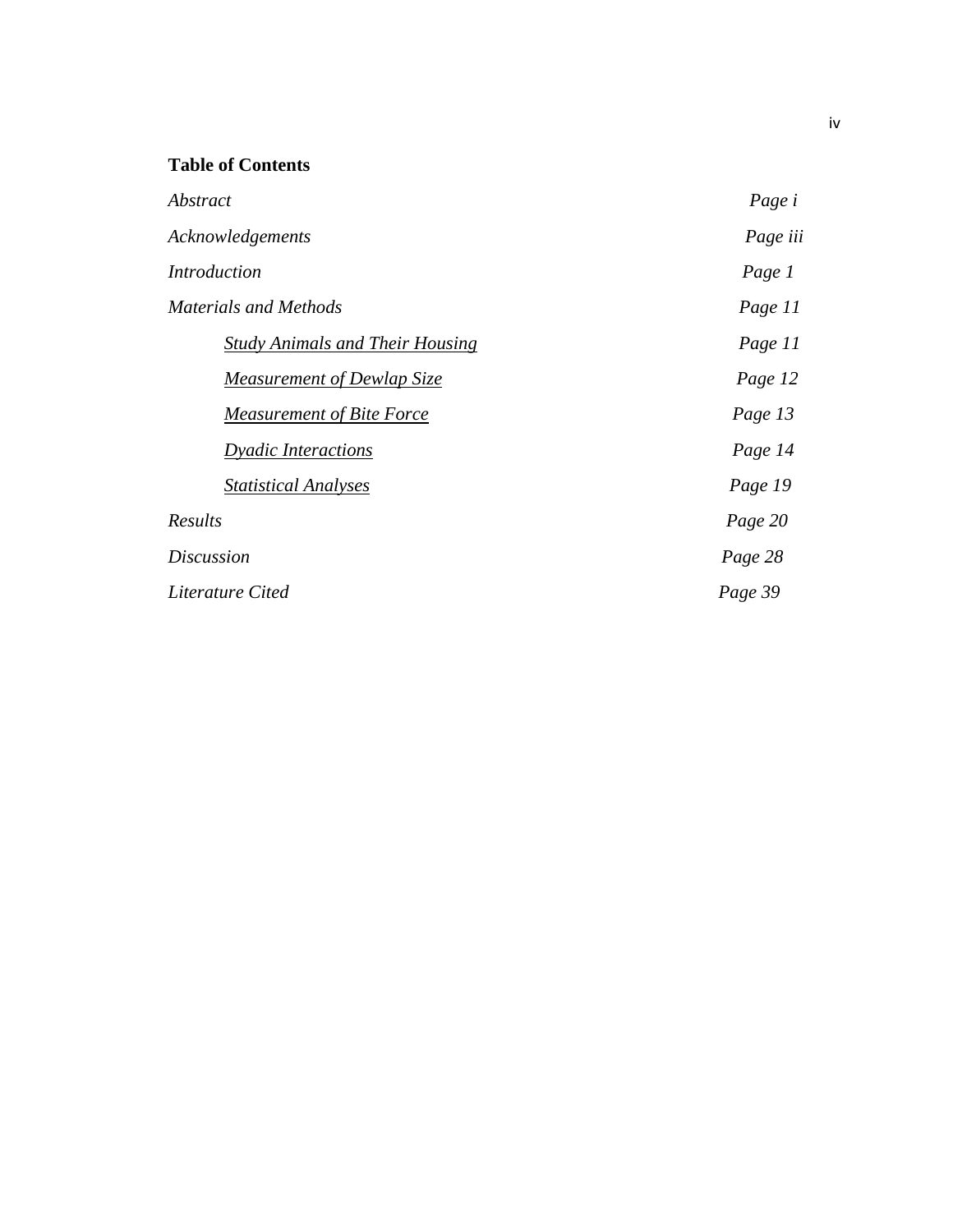# **Table of Contents**

| Abstract                               | Page i   |
|----------------------------------------|----------|
| Acknowledgements                       | Page iii |
| Introduction                           | Page 1   |
| <b>Materials and Methods</b>           | Page 11  |
| <b>Study Animals and Their Housing</b> | Page 11  |
| <b>Measurement of Dewlap Size</b>      | Page 12  |
| <b>Measurement of Bite Force</b>       | Page 13  |
| <b>Dyadic Interactions</b>             | Page 14  |
| <b>Statistical Analyses</b>            | Page 19  |
| <b>Results</b>                         | Page 20  |
| <i>Discussion</i>                      | Page 28  |
| Literature Cited                       | Page 39  |
|                                        |          |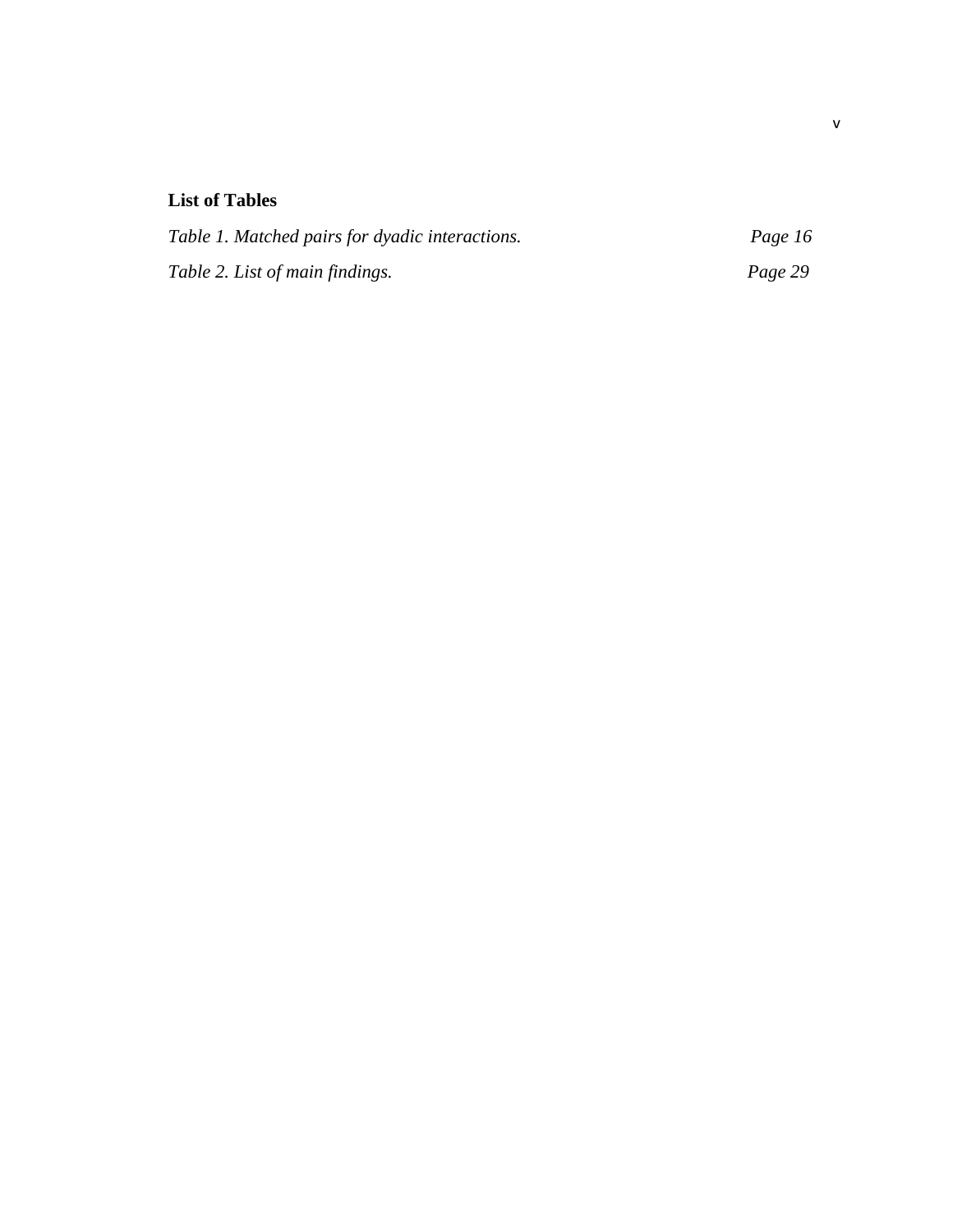# **List of Tables**

| Table 1. Matched pairs for dyadic interactions. | Page 16 |
|-------------------------------------------------|---------|
| Table 2. List of main findings.                 | Page 29 |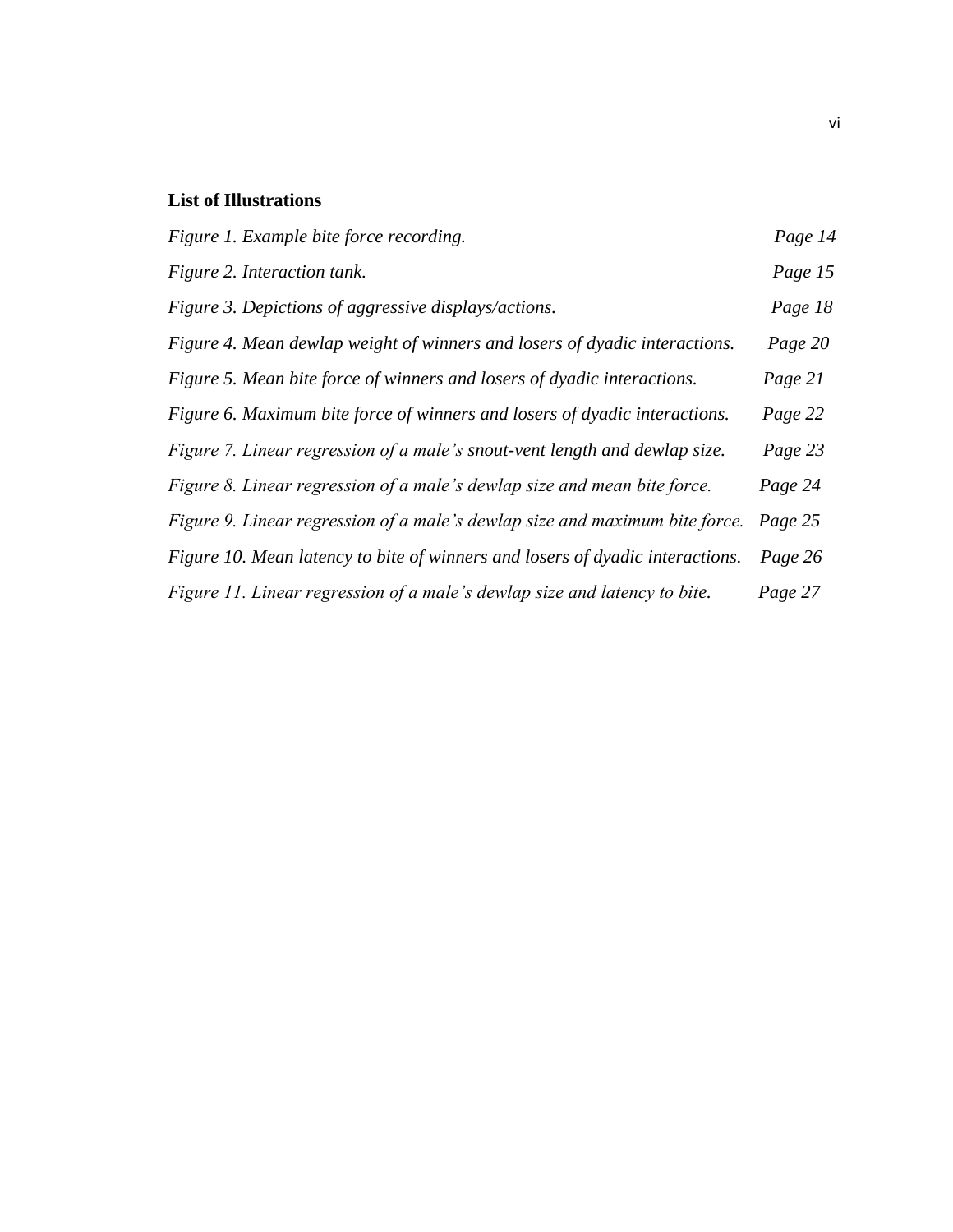# **List of Illustrations**

| Figure 1. Example bite force recording.                                       | Page 14 |
|-------------------------------------------------------------------------------|---------|
| Figure 2. Interaction tank.                                                   | Page 15 |
| Figure 3. Depictions of aggressive displays/actions.                          | Page 18 |
| Figure 4. Mean dewlap weight of winners and losers of dyadic interactions.    | Page 20 |
| Figure 5. Mean bite force of winners and losers of dyadic interactions.       | Page 21 |
| Figure 6. Maximum bite force of winners and losers of dyadic interactions.    | Page 22 |
| Figure 7. Linear regression of a male's snout-vent length and dewlap size.    | Page 23 |
| Figure 8. Linear regression of a male's dewlap size and mean bite force.      | Page 24 |
| Figure 9. Linear regression of a male's dewlap size and maximum bite force.   | Page 25 |
| Figure 10. Mean latency to bite of winners and losers of dyadic interactions. | Page 26 |
| Figure 11. Linear regression of a male's dewlap size and latency to bite.     | Page 27 |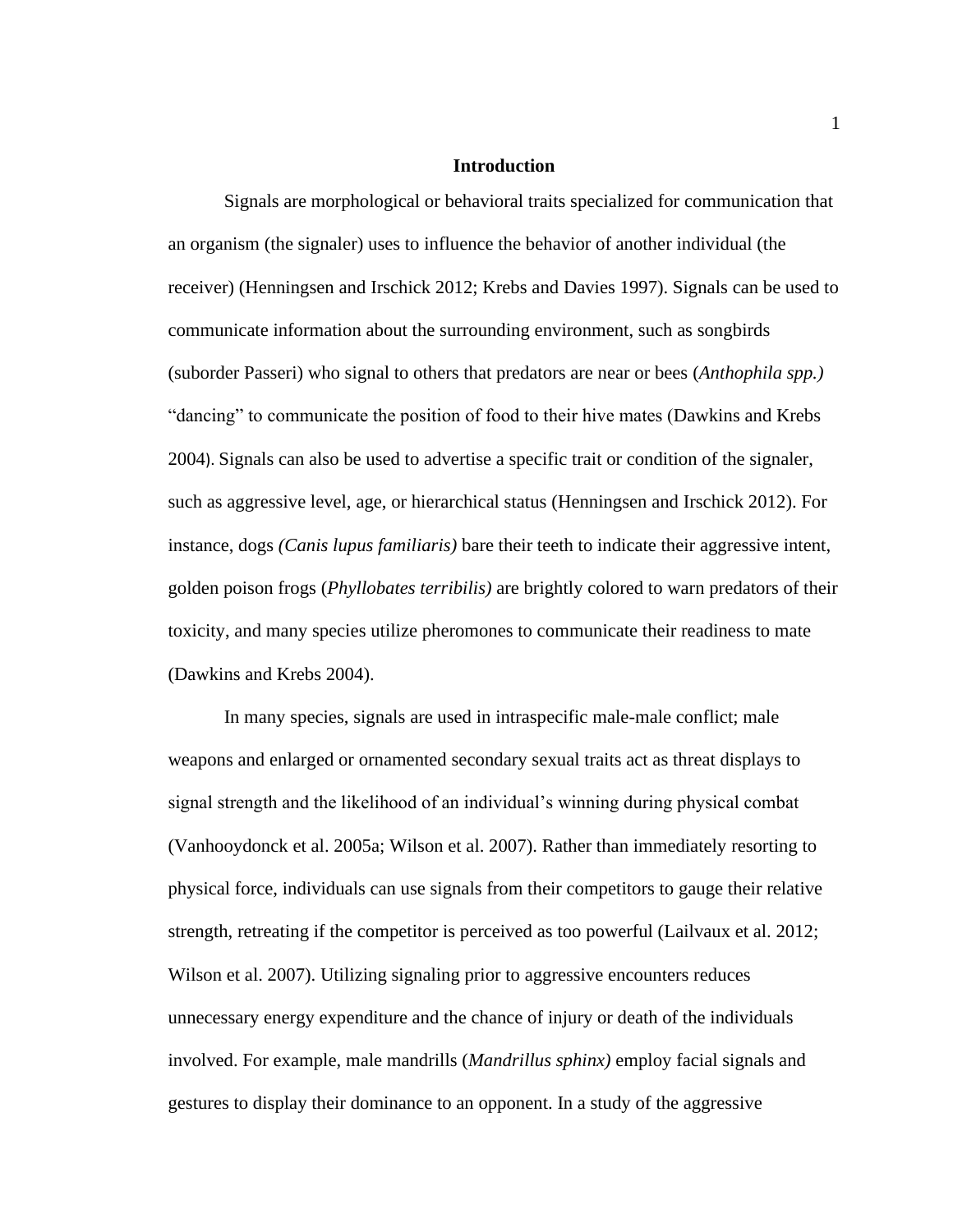#### **Introduction**

Signals are morphological or behavioral traits specialized for communication that an organism (the signaler) uses to influence the behavior of another individual (the receiver) (Henningsen and Irschick 2012; Krebs and Davies 1997). Signals can be used to communicate information about the surrounding environment, such as songbirds (suborder Passeri) who signal to others that predators are near or bees (*Anthophila spp.)*  "dancing" to communicate the position of food to their hive mates (Dawkins and Krebs 2004). Signals can also be used to advertise a specific trait or condition of the signaler, such as aggressive level, age, or hierarchical status (Henningsen and Irschick 2012). For instance, dogs *(Canis lupus familiaris)* bare their teeth to indicate their aggressive intent, golden poison frogs (*Phyllobates terribilis)* are brightly colored to warn predators of their toxicity, and many species utilize pheromones to communicate their readiness to mate (Dawkins and Krebs 2004).

In many species, signals are used in intraspecific male-male conflict; male weapons and enlarged or ornamented secondary sexual traits act as threat displays to signal strength and the likelihood of an individual's winning during physical combat (Vanhooydonck et al. 2005a; Wilson et al. 2007). Rather than immediately resorting to physical force, individuals can use signals from their competitors to gauge their relative strength, retreating if the competitor is perceived as too powerful (Lailvaux et al. 2012; Wilson et al. 2007). Utilizing signaling prior to aggressive encounters reduces unnecessary energy expenditure and the chance of injury or death of the individuals involved. For example, male mandrills (*Mandrillus sphinx)* employ facial signals and gestures to display their dominance to an opponent. In a study of the aggressive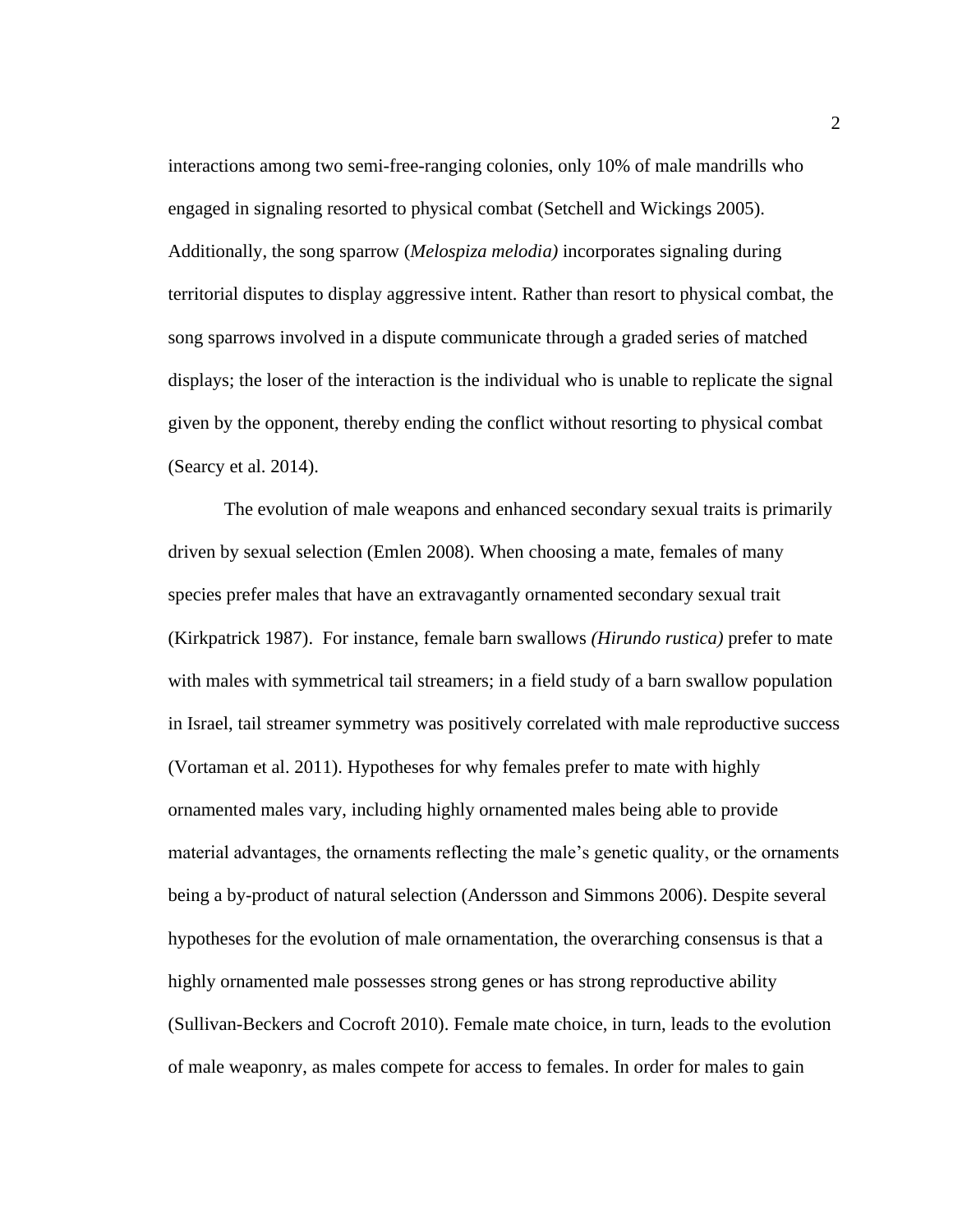interactions among two semi-free-ranging colonies, only 10% of male mandrills who engaged in signaling resorted to physical combat (Setchell and Wickings 2005). Additionally, the song sparrow (*Melospiza melodia)* incorporates signaling during territorial disputes to display aggressive intent. Rather than resort to physical combat, the song sparrows involved in a dispute communicate through a graded series of matched displays; the loser of the interaction is the individual who is unable to replicate the signal given by the opponent, thereby ending the conflict without resorting to physical combat (Searcy et al. 2014).

The evolution of male weapons and enhanced secondary sexual traits is primarily driven by sexual selection (Emlen 2008). When choosing a mate, females of many species prefer males that have an extravagantly ornamented secondary sexual trait (Kirkpatrick 1987). For instance, female barn swallows *(Hirundo rustica)* prefer to mate with males with symmetrical tail streamers; in a field study of a barn swallow population in Israel, tail streamer symmetry was positively correlated with male reproductive success (Vortaman et al. 2011). Hypotheses for why females prefer to mate with highly ornamented males vary, including highly ornamented males being able to provide material advantages, the ornaments reflecting the male's genetic quality, or the ornaments being a by-product of natural selection (Andersson and Simmons 2006). Despite several hypotheses for the evolution of male ornamentation, the overarching consensus is that a highly ornamented male possesses strong genes or has strong reproductive ability (Sullivan-Beckers and Cocroft 2010). Female mate choice, in turn, leads to the evolution of male weaponry, as males compete for access to females. In order for males to gain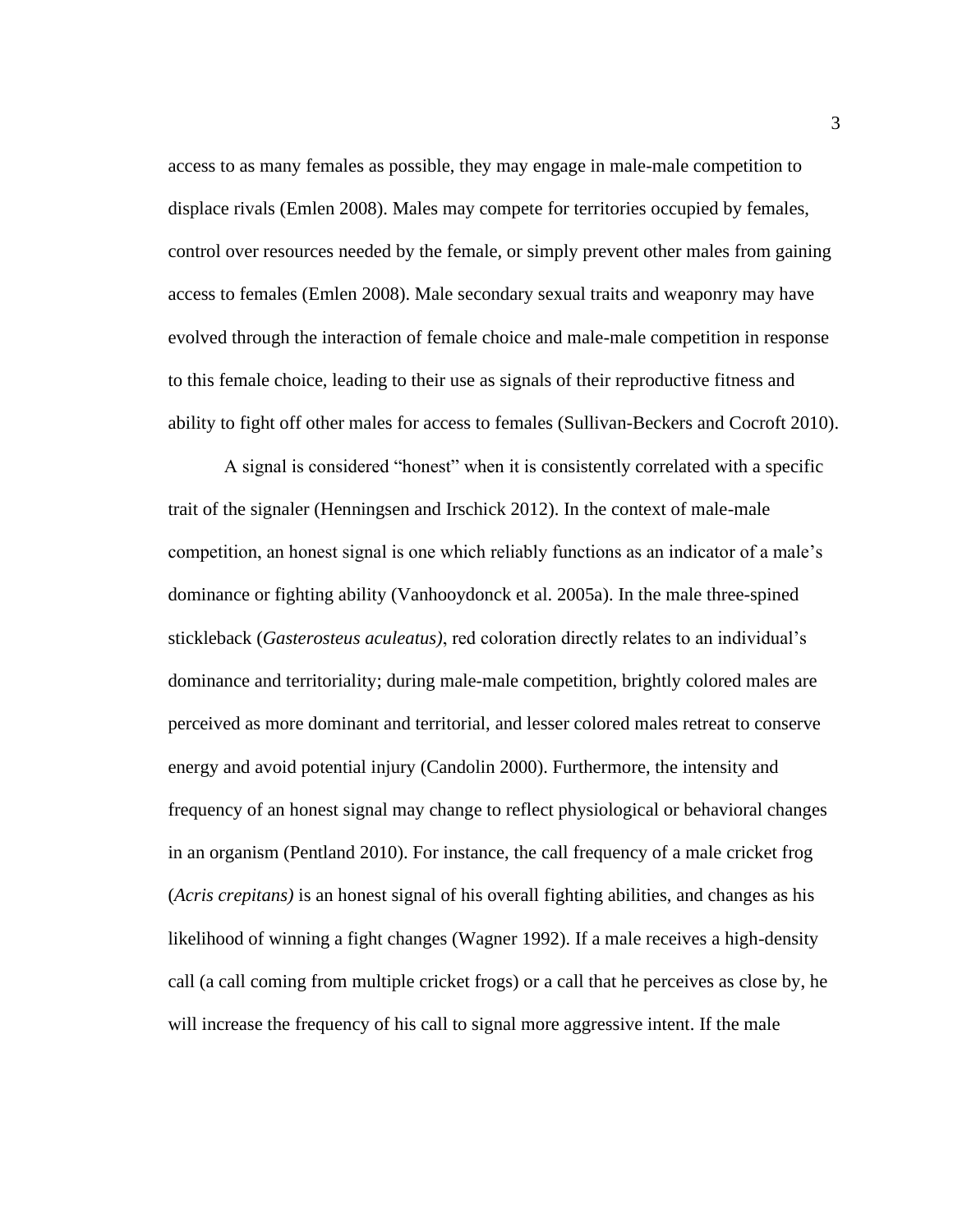access to as many females as possible, they may engage in male-male competition to displace rivals (Emlen 2008). Males may compete for territories occupied by females, control over resources needed by the female, or simply prevent other males from gaining access to females (Emlen 2008). Male secondary sexual traits and weaponry may have evolved through the interaction of female choice and male-male competition in response to this female choice, leading to their use as signals of their reproductive fitness and ability to fight off other males for access to females (Sullivan-Beckers and Cocroft 2010).

A signal is considered "honest" when it is consistently correlated with a specific trait of the signaler (Henningsen and Irschick 2012). In the context of male-male competition, an honest signal is one which reliably functions as an indicator of a male's dominance or fighting ability (Vanhooydonck et al. 2005a). In the male three-spined stickleback (*Gasterosteus aculeatus)*, red coloration directly relates to an individual's dominance and territoriality; during male-male competition, brightly colored males are perceived as more dominant and territorial, and lesser colored males retreat to conserve energy and avoid potential injury (Candolin 2000). Furthermore, the intensity and frequency of an honest signal may change to reflect physiological or behavioral changes in an organism (Pentland 2010). For instance, the call frequency of a male cricket frog (*Acris crepitans)* is an honest signal of his overall fighting abilities, and changes as his likelihood of winning a fight changes (Wagner 1992). If a male receives a high-density call (a call coming from multiple cricket frogs) or a call that he perceives as close by, he will increase the frequency of his call to signal more aggressive intent. If the male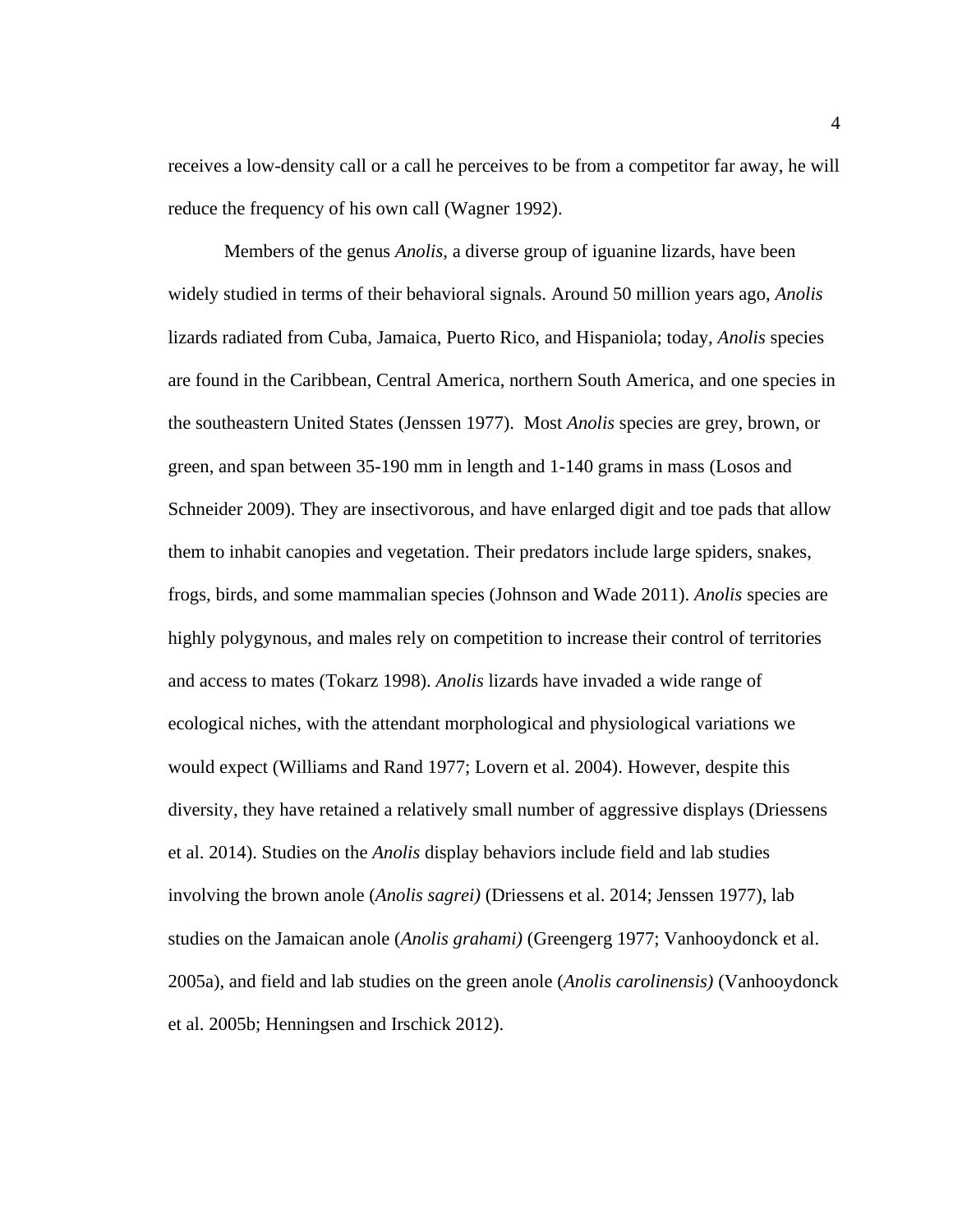receives a low-density call or a call he perceives to be from a competitor far away, he will reduce the frequency of his own call (Wagner 1992).

Members of the genus *Anolis,* a diverse group of iguanine lizards, have been widely studied in terms of their behavioral signals. Around 50 million years ago, *Anolis*  lizards radiated from Cuba, Jamaica, Puerto Rico, and Hispaniola; today, *Anolis* species are found in the Caribbean, Central America, northern South America, and one species in the southeastern United States (Jenssen 1977). Most *Anolis* species are grey, brown, or green, and span between 35-190 mm in length and 1-140 grams in mass (Losos and Schneider 2009). They are insectivorous, and have enlarged digit and toe pads that allow them to inhabit canopies and vegetation. Their predators include large spiders, snakes, frogs, birds, and some mammalian species (Johnson and Wade 2011). *Anolis* species are highly polygynous, and males rely on competition to increase their control of territories and access to mates (Tokarz 1998). *Anolis* lizards have invaded a wide range of ecological niches, with the attendant morphological and physiological variations we would expect (Williams and Rand 1977; Lovern et al. 2004). However, despite this diversity, they have retained a relatively small number of aggressive displays (Driessens et al. 2014). Studies on the *Anolis* display behaviors include field and lab studies involving the brown anole (*Anolis sagrei)* (Driessens et al. 2014; Jenssen 1977), lab studies on the Jamaican anole (*Anolis grahami)* (Greengerg 1977; Vanhooydonck et al. 2005a), and field and lab studies on the green anole (*Anolis carolinensis)* (Vanhooydonck et al. 2005b; Henningsen and Irschick 2012).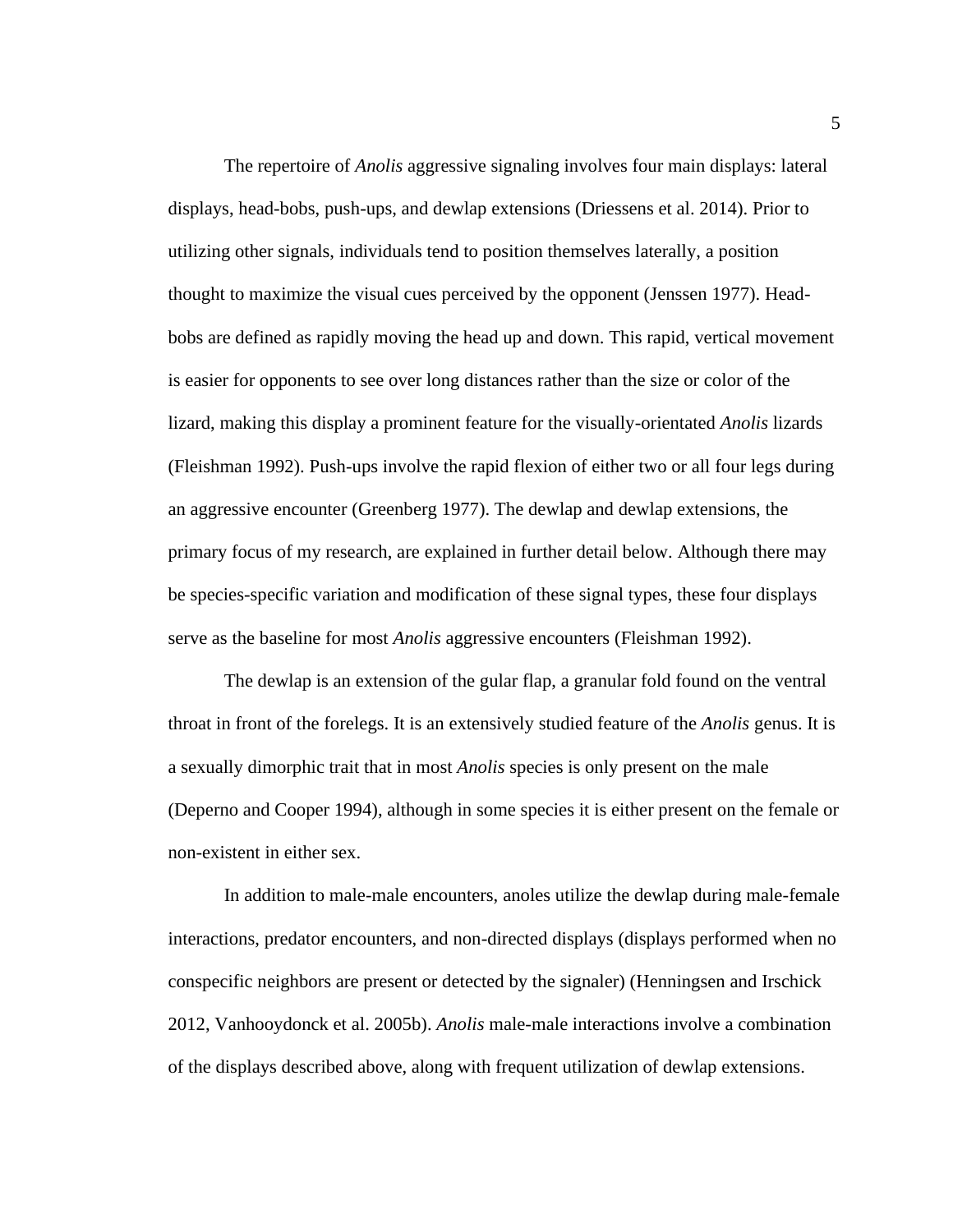The repertoire of *Anolis* aggressive signaling involves four main displays: lateral displays, head-bobs, push-ups, and dewlap extensions (Driessens et al. 2014). Prior to utilizing other signals, individuals tend to position themselves laterally, a position thought to maximize the visual cues perceived by the opponent (Jenssen 1977). Headbobs are defined as rapidly moving the head up and down. This rapid, vertical movement is easier for opponents to see over long distances rather than the size or color of the lizard, making this display a prominent feature for the visually-orientated *Anolis* lizards (Fleishman 1992). Push-ups involve the rapid flexion of either two or all four legs during an aggressive encounter (Greenberg 1977). The dewlap and dewlap extensions, the primary focus of my research, are explained in further detail below. Although there may be species-specific variation and modification of these signal types, these four displays serve as the baseline for most *Anolis* aggressive encounters (Fleishman 1992).

The dewlap is an extension of the gular flap, a granular fold found on the ventral throat in front of the forelegs. It is an extensively studied feature of the *Anolis* genus. It is a sexually dimorphic trait that in most *Anolis* species is only present on the male (Deperno and Cooper 1994), although in some species it is either present on the female or non-existent in either sex.

In addition to male-male encounters, anoles utilize the dewlap during male-female interactions, predator encounters, and non-directed displays (displays performed when no conspecific neighbors are present or detected by the signaler) (Henningsen and Irschick 2012, Vanhooydonck et al. 2005b). *Anolis* male-male interactions involve a combination of the displays described above, along with frequent utilization of dewlap extensions.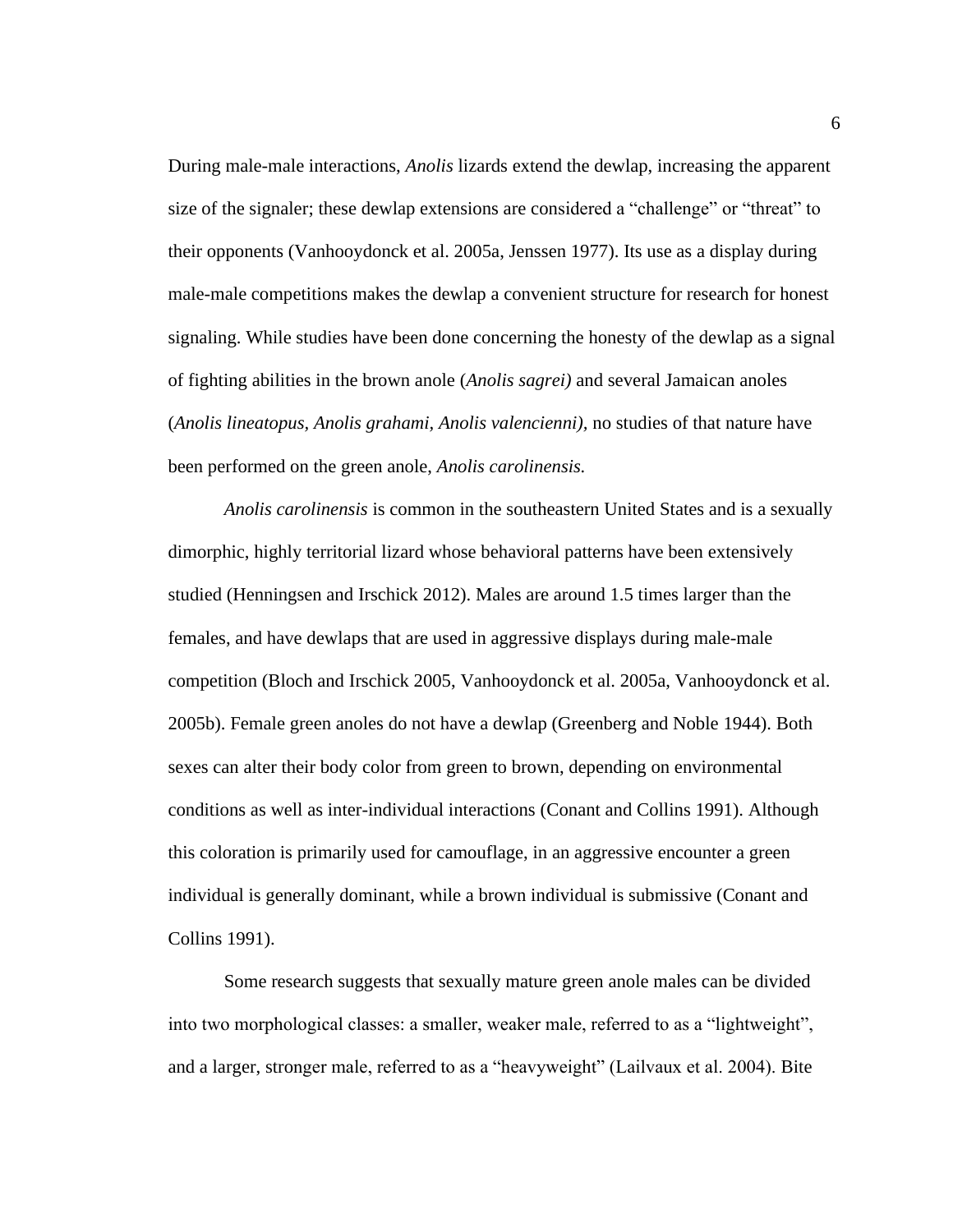During male-male interactions, *Anolis* lizards extend the dewlap, increasing the apparent size of the signaler; these dewlap extensions are considered a "challenge" or "threat" to their opponents (Vanhooydonck et al. 2005a, Jenssen 1977). Its use as a display during male-male competitions makes the dewlap a convenient structure for research for honest signaling. While studies have been done concerning the honesty of the dewlap as a signal of fighting abilities in the brown anole (*Anolis sagrei)* and several Jamaican anoles (*Anolis lineatopus, Anolis grahami, Anolis valencienni),* no studies of that nature have been performed on the green anole, *Anolis carolinensis.*

*Anolis carolinensis* is common in the southeastern United States and is a sexually dimorphic, highly territorial lizard whose behavioral patterns have been extensively studied (Henningsen and Irschick 2012). Males are around 1.5 times larger than the females, and have dewlaps that are used in aggressive displays during male-male competition (Bloch and Irschick 2005, Vanhooydonck et al. 2005a, Vanhooydonck et al. 2005b). Female green anoles do not have a dewlap (Greenberg and Noble 1944). Both sexes can alter their body color from green to brown, depending on environmental conditions as well as inter-individual interactions (Conant and Collins 1991). Although this coloration is primarily used for camouflage, in an aggressive encounter a green individual is generally dominant, while a brown individual is submissive (Conant and Collins 1991).

Some research suggests that sexually mature green anole males can be divided into two morphological classes: a smaller, weaker male, referred to as a "lightweight", and a larger, stronger male, referred to as a "heavyweight" (Lailvaux et al. 2004). Bite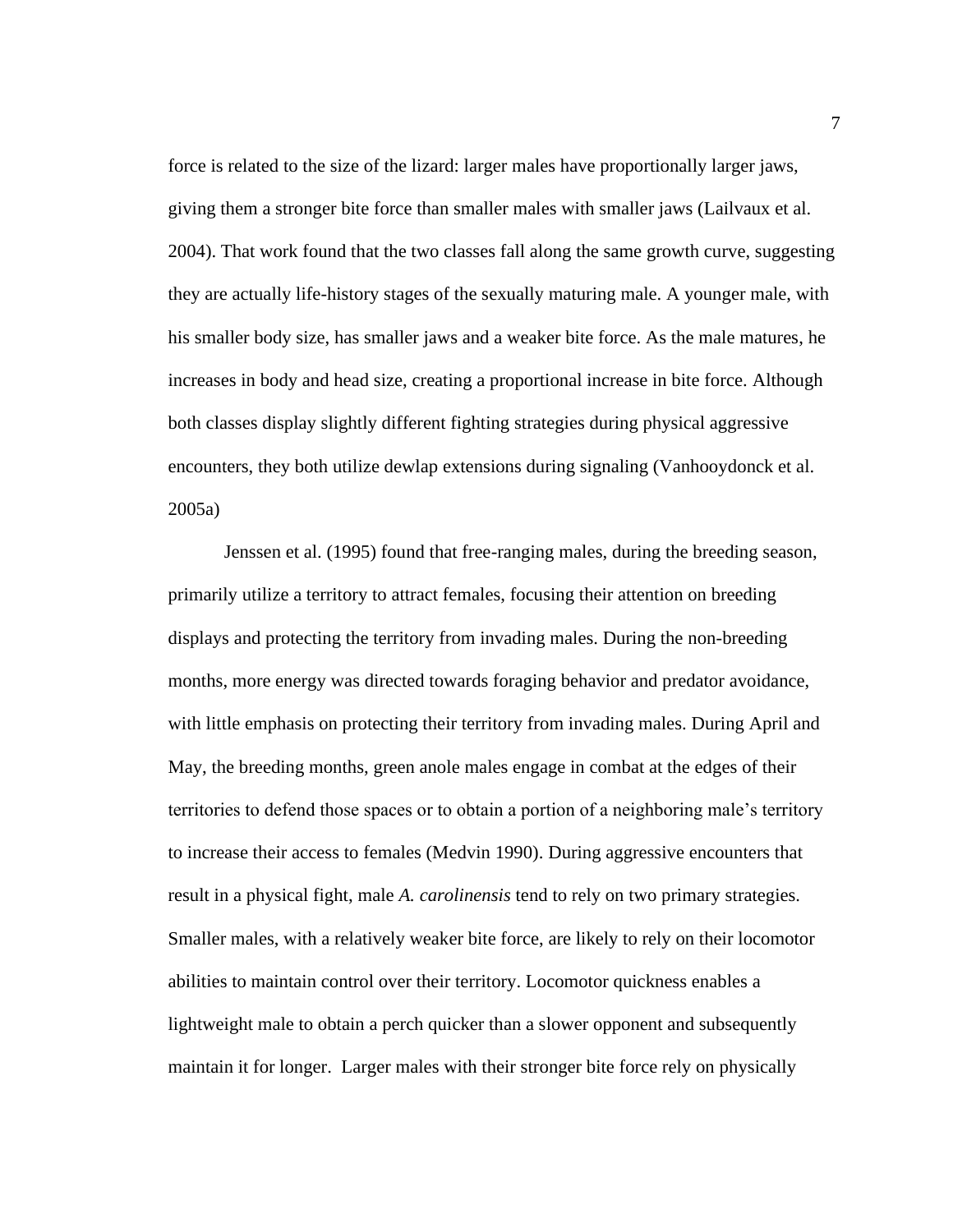force is related to the size of the lizard: larger males have proportionally larger jaws, giving them a stronger bite force than smaller males with smaller jaws (Lailvaux et al. 2004). That work found that the two classes fall along the same growth curve, suggesting they are actually life-history stages of the sexually maturing male. A younger male, with his smaller body size, has smaller jaws and a weaker bite force. As the male matures, he increases in body and head size, creating a proportional increase in bite force. Although both classes display slightly different fighting strategies during physical aggressive encounters, they both utilize dewlap extensions during signaling (Vanhooydonck et al. 2005a)

Jenssen et al. (1995) found that free-ranging males, during the breeding season, primarily utilize a territory to attract females, focusing their attention on breeding displays and protecting the territory from invading males. During the non-breeding months, more energy was directed towards foraging behavior and predator avoidance, with little emphasis on protecting their territory from invading males. During April and May, the breeding months, green anole males engage in combat at the edges of their territories to defend those spaces or to obtain a portion of a neighboring male's territory to increase their access to females (Medvin 1990). During aggressive encounters that result in a physical fight, male *A. carolinensis* tend to rely on two primary strategies. Smaller males, with a relatively weaker bite force, are likely to rely on their locomotor abilities to maintain control over their territory. Locomotor quickness enables a lightweight male to obtain a perch quicker than a slower opponent and subsequently maintain it for longer. Larger males with their stronger bite force rely on physically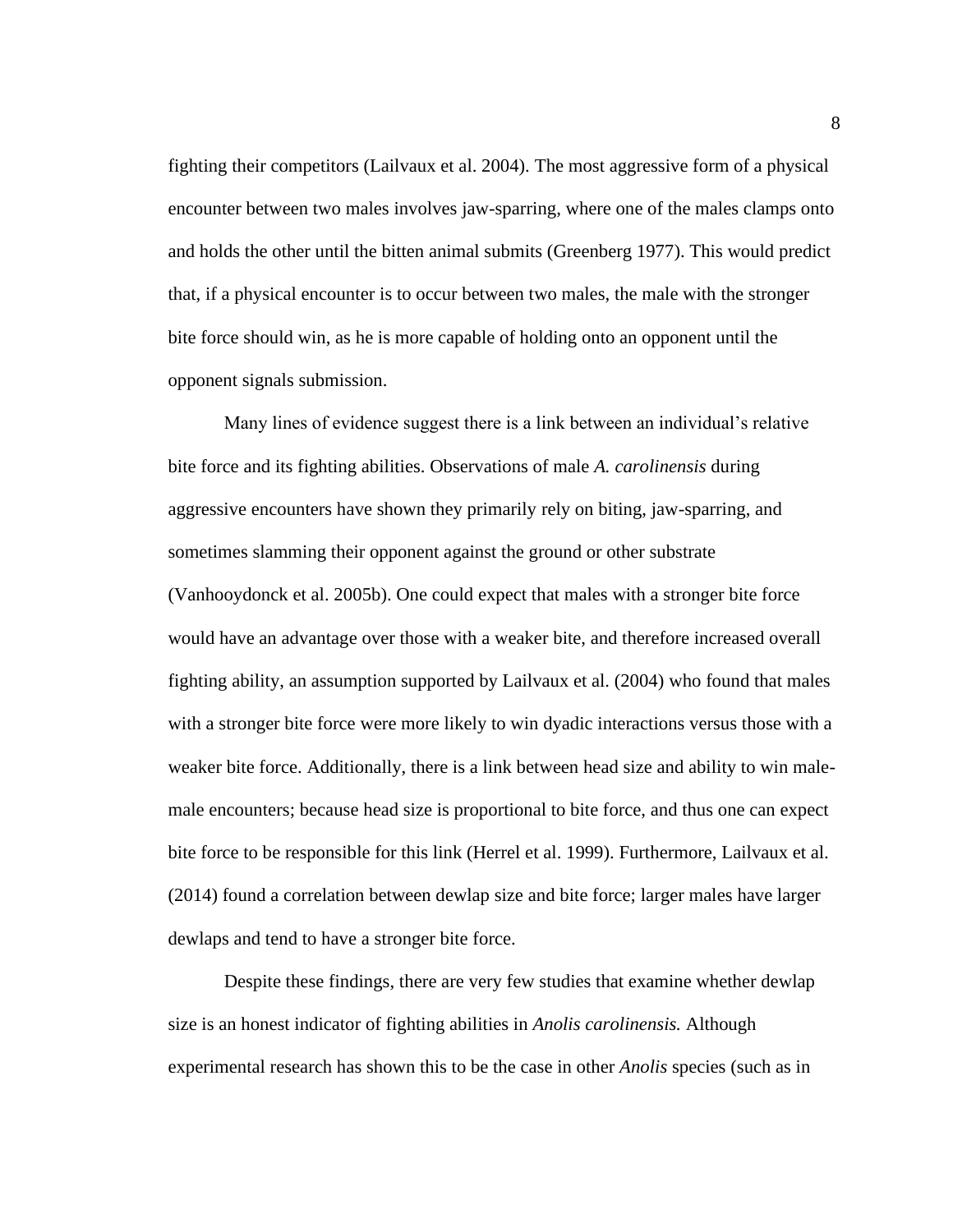fighting their competitors (Lailvaux et al. 2004). The most aggressive form of a physical encounter between two males involves jaw-sparring, where one of the males clamps onto and holds the other until the bitten animal submits (Greenberg 1977). This would predict that, if a physical encounter is to occur between two males, the male with the stronger bite force should win, as he is more capable of holding onto an opponent until the opponent signals submission.

Many lines of evidence suggest there is a link between an individual's relative bite force and its fighting abilities. Observations of male *A. carolinensis* during aggressive encounters have shown they primarily rely on biting, jaw-sparring, and sometimes slamming their opponent against the ground or other substrate (Vanhooydonck et al. 2005b). One could expect that males with a stronger bite force would have an advantage over those with a weaker bite, and therefore increased overall fighting ability, an assumption supported by Lailvaux et al. (2004) who found that males with a stronger bite force were more likely to win dyadic interactions versus those with a weaker bite force. Additionally, there is a link between head size and ability to win malemale encounters; because head size is proportional to bite force, and thus one can expect bite force to be responsible for this link (Herrel et al. 1999). Furthermore, Lailvaux et al. (2014) found a correlation between dewlap size and bite force; larger males have larger dewlaps and tend to have a stronger bite force.

Despite these findings, there are very few studies that examine whether dewlap size is an honest indicator of fighting abilities in *Anolis carolinensis.* Although experimental research has shown this to be the case in other *Anolis* species (such as in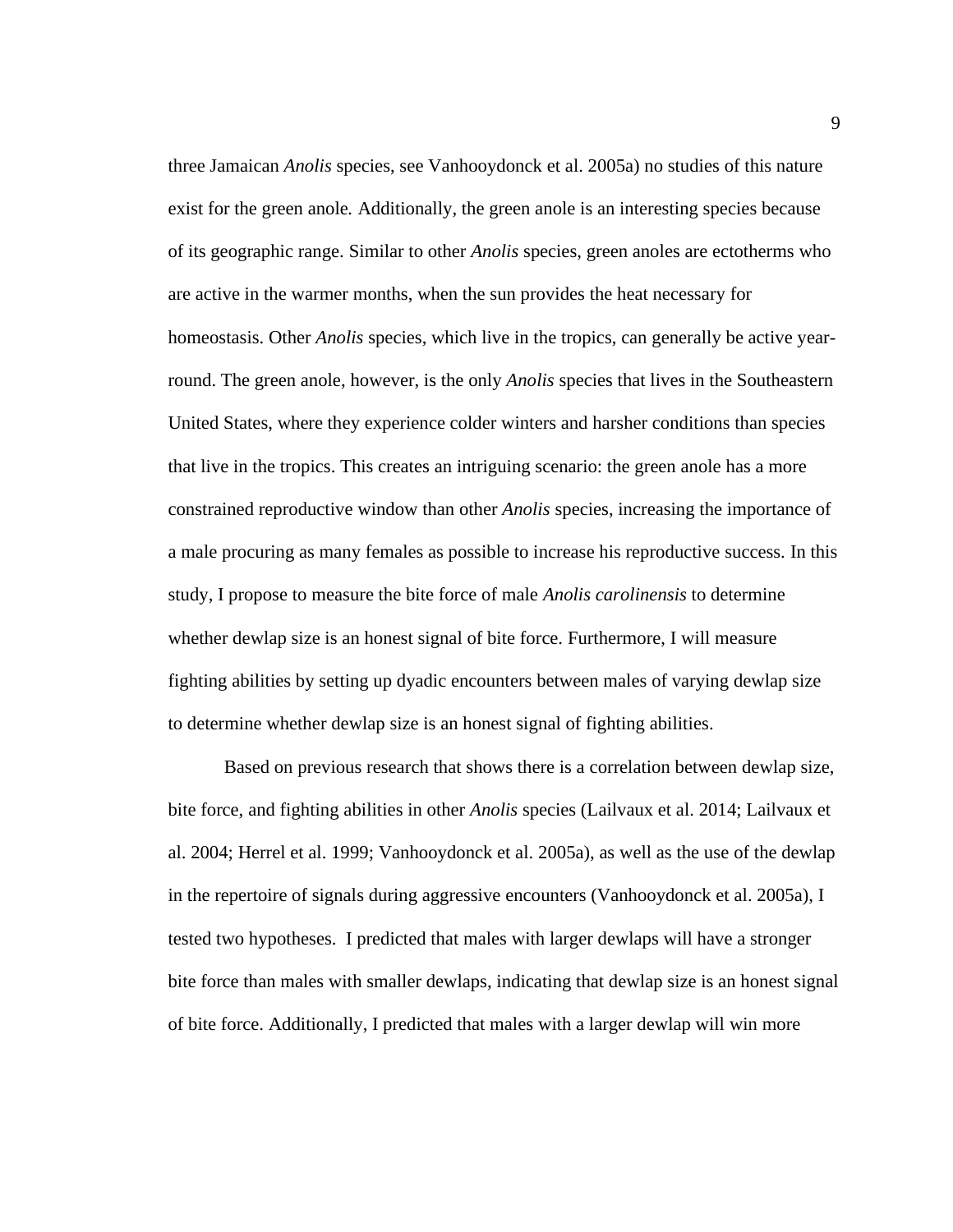three Jamaican *Anolis* species, see Vanhooydonck et al. 2005a) no studies of this nature exist for the green anole*.* Additionally, the green anole is an interesting species because of its geographic range. Similar to other *Anolis* species, green anoles are ectotherms who are active in the warmer months, when the sun provides the heat necessary for homeostasis. Other *Anolis* species, which live in the tropics, can generally be active yearround. The green anole, however, is the only *Anolis* species that lives in the Southeastern United States, where they experience colder winters and harsher conditions than species that live in the tropics. This creates an intriguing scenario: the green anole has a more constrained reproductive window than other *Anolis* species, increasing the importance of a male procuring as many females as possible to increase his reproductive success. In this study, I propose to measure the bite force of male *Anolis carolinensis* to determine whether dewlap size is an honest signal of bite force. Furthermore, I will measure fighting abilities by setting up dyadic encounters between males of varying dewlap size to determine whether dewlap size is an honest signal of fighting abilities.

Based on previous research that shows there is a correlation between dewlap size, bite force, and fighting abilities in other *Anolis* species (Lailvaux et al. 2014; Lailvaux et al. 2004; Herrel et al. 1999; Vanhooydonck et al. 2005a), as well as the use of the dewlap in the repertoire of signals during aggressive encounters (Vanhooydonck et al. 2005a), I tested two hypotheses. I predicted that males with larger dewlaps will have a stronger bite force than males with smaller dewlaps, indicating that dewlap size is an honest signal of bite force. Additionally, I predicted that males with a larger dewlap will win more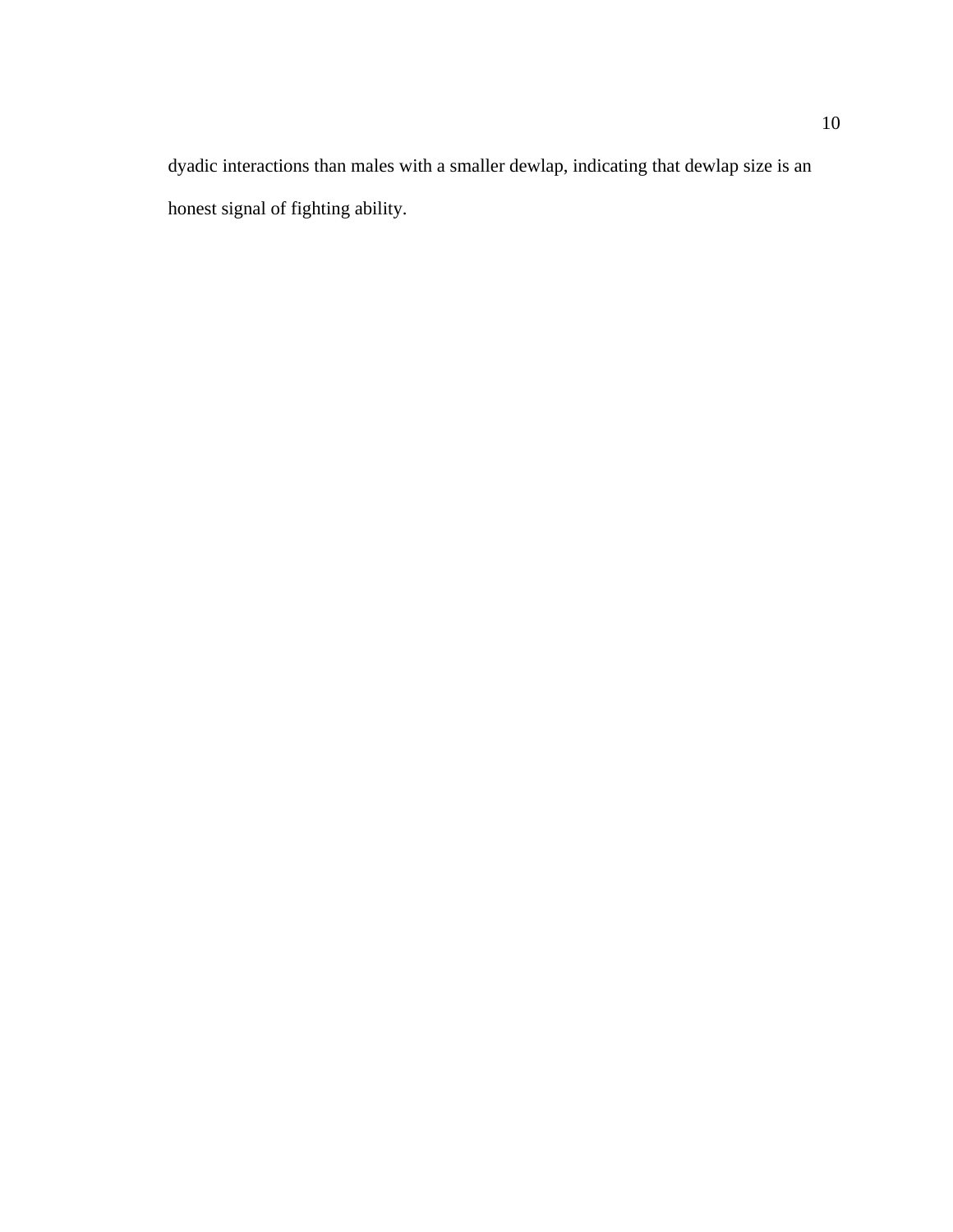dyadic interactions than males with a smaller dewlap, indicating that dewlap size is an honest signal of fighting ability.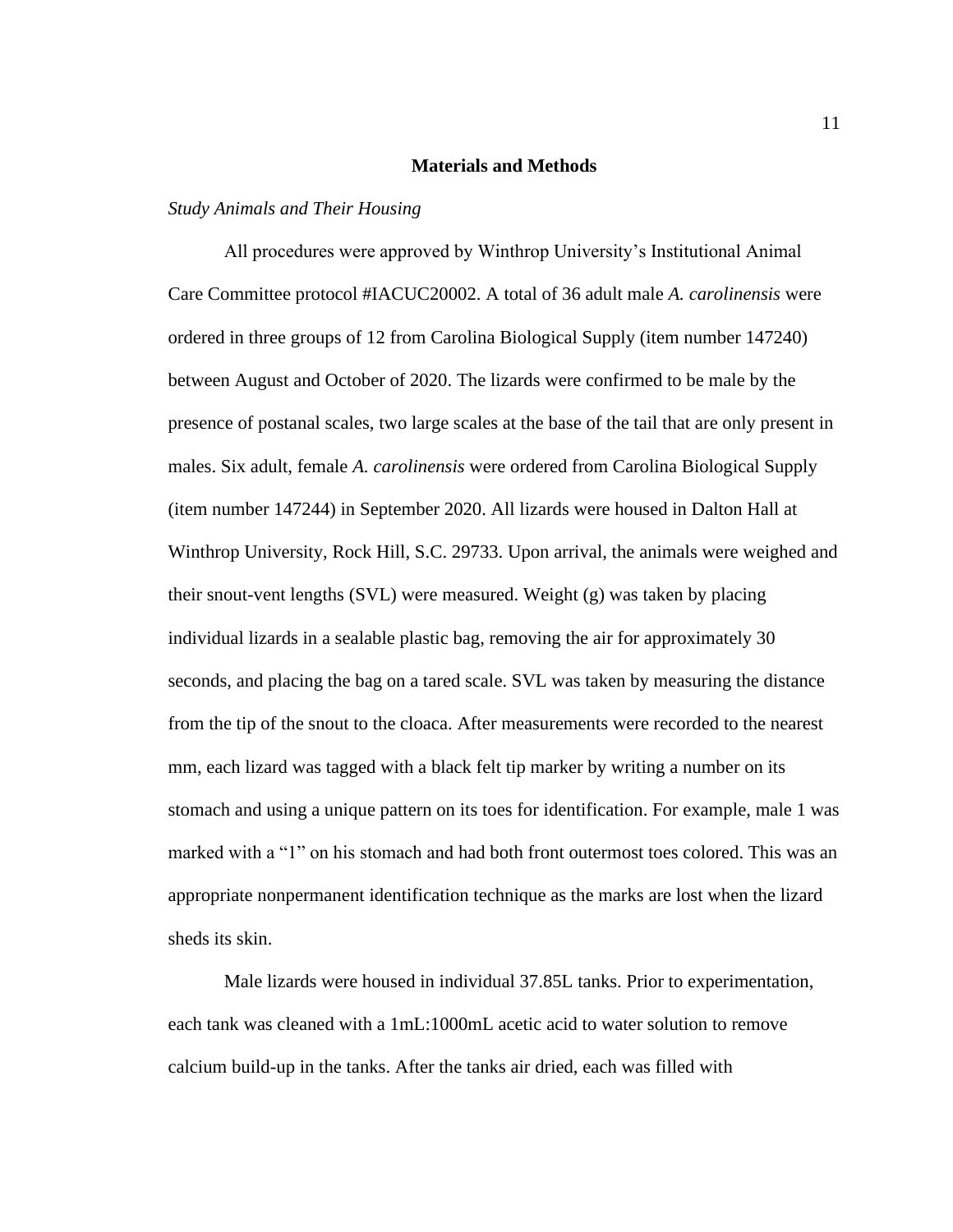#### **Materials and Methods**

### *Study Animals and Their Housing*

All procedures were approved by Winthrop University's Institutional Animal Care Committee protocol #IACUC20002. A total of 36 adult male *A. carolinensis* were ordered in three groups of 12 from Carolina Biological Supply (item number 147240) between August and October of 2020. The lizards were confirmed to be male by the presence of postanal scales, two large scales at the base of the tail that are only present in males. Six adult, female *A. carolinensis* were ordered from Carolina Biological Supply (item number 147244) in September 2020. All lizards were housed in Dalton Hall at Winthrop University, Rock Hill, S.C. 29733. Upon arrival, the animals were weighed and their snout-vent lengths (SVL) were measured. Weight (g) was taken by placing individual lizards in a sealable plastic bag, removing the air for approximately 30 seconds, and placing the bag on a tared scale. SVL was taken by measuring the distance from the tip of the snout to the cloaca. After measurements were recorded to the nearest mm, each lizard was tagged with a black felt tip marker by writing a number on its stomach and using a unique pattern on its toes for identification. For example, male 1 was marked with a "1" on his stomach and had both front outermost toes colored. This was an appropriate nonpermanent identification technique as the marks are lost when the lizard sheds its skin.

Male lizards were housed in individual 37.85L tanks. Prior to experimentation, each tank was cleaned with a 1mL:1000mL acetic acid to water solution to remove calcium build-up in the tanks. After the tanks air dried, each was filled with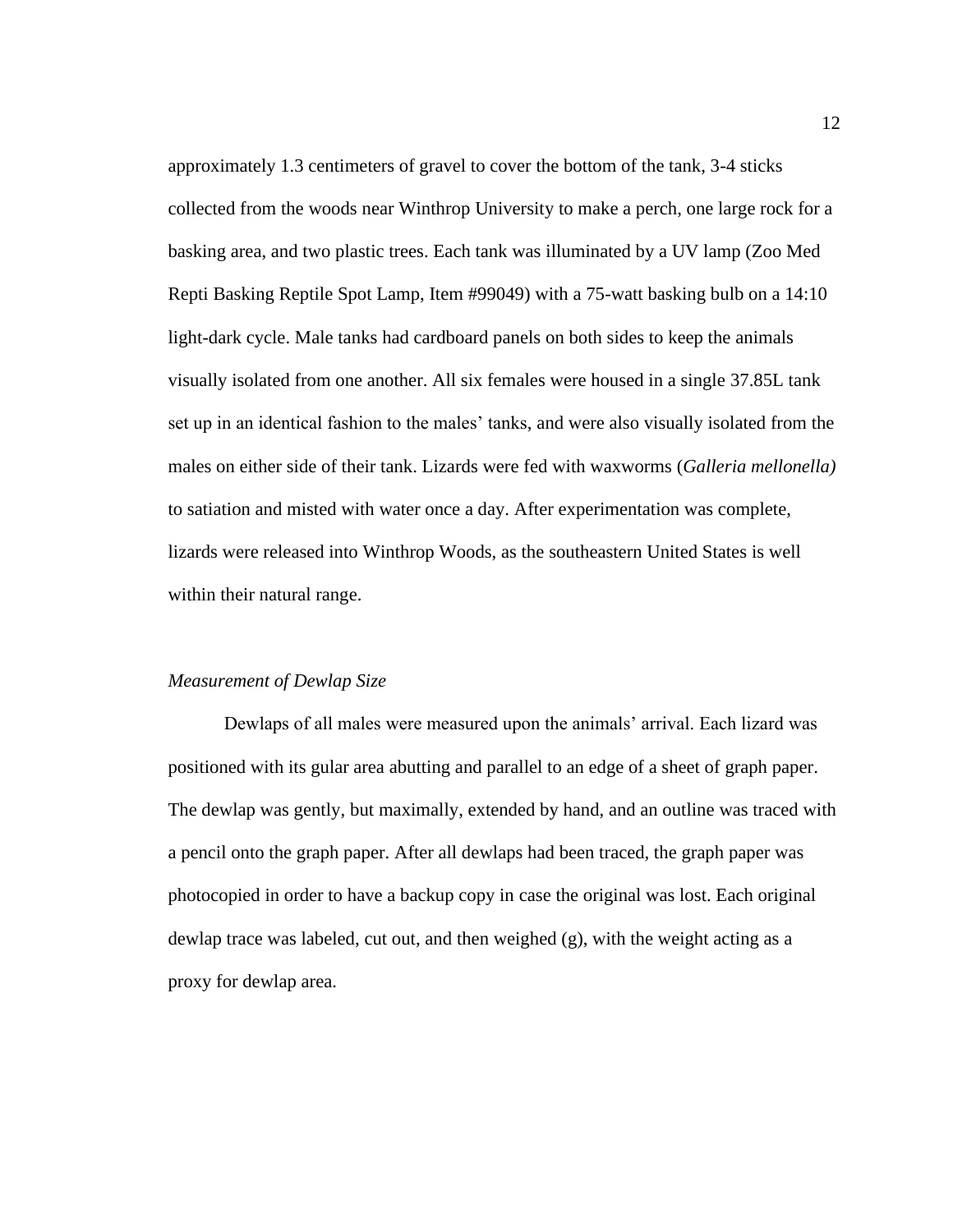approximately 1.3 centimeters of gravel to cover the bottom of the tank, 3-4 sticks collected from the woods near Winthrop University to make a perch, one large rock for a basking area, and two plastic trees. Each tank was illuminated by a UV lamp (Zoo Med Repti Basking Reptile Spot Lamp, Item #99049) with a 75-watt basking bulb on a 14:10 light-dark cycle. Male tanks had cardboard panels on both sides to keep the animals visually isolated from one another. All six females were housed in a single 37.85L tank set up in an identical fashion to the males' tanks, and were also visually isolated from the males on either side of their tank. Lizards were fed with waxworms (*Galleria mellonella)* to satiation and misted with water once a day. After experimentation was complete, lizards were released into Winthrop Woods, as the southeastern United States is well within their natural range.

## *Measurement of Dewlap Size*

Dewlaps of all males were measured upon the animals' arrival. Each lizard was positioned with its gular area abutting and parallel to an edge of a sheet of graph paper. The dewlap was gently, but maximally, extended by hand, and an outline was traced with a pencil onto the graph paper. After all dewlaps had been traced, the graph paper was photocopied in order to have a backup copy in case the original was lost. Each original dewlap trace was labeled, cut out, and then weighed (g), with the weight acting as a proxy for dewlap area.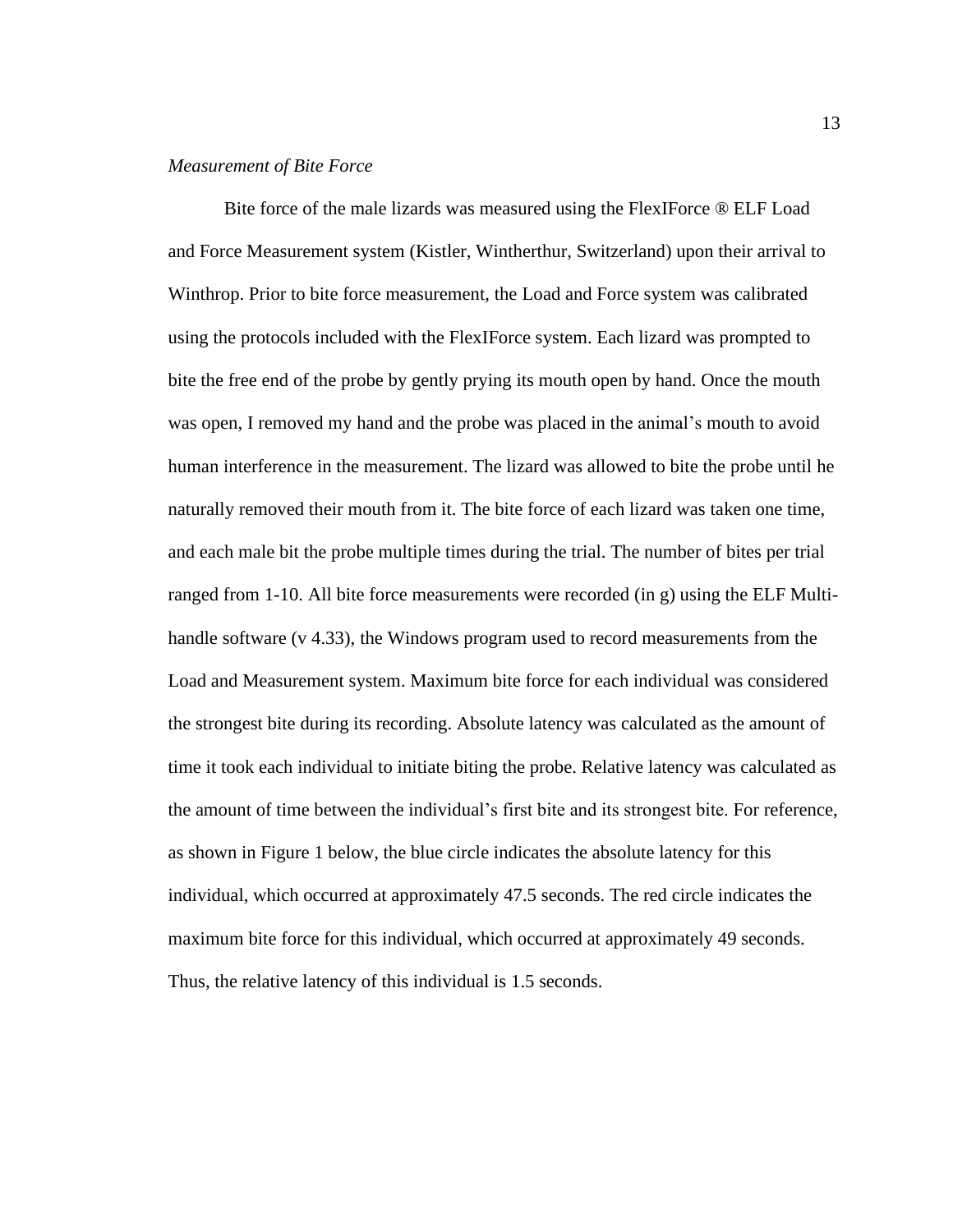### *Measurement of Bite Force*

Bite force of the male lizards was measured using the FlexIForce ® ELF Load and Force Measurement system (Kistler, Wintherthur, Switzerland) upon their arrival to Winthrop. Prior to bite force measurement, the Load and Force system was calibrated using the protocols included with the FlexIForce system. Each lizard was prompted to bite the free end of the probe by gently prying its mouth open by hand. Once the mouth was open, I removed my hand and the probe was placed in the animal's mouth to avoid human interference in the measurement. The lizard was allowed to bite the probe until he naturally removed their mouth from it. The bite force of each lizard was taken one time, and each male bit the probe multiple times during the trial. The number of bites per trial ranged from 1-10. All bite force measurements were recorded (in g) using the ELF Multihandle software (v 4.33), the Windows program used to record measurements from the Load and Measurement system. Maximum bite force for each individual was considered the strongest bite during its recording. Absolute latency was calculated as the amount of time it took each individual to initiate biting the probe. Relative latency was calculated as the amount of time between the individual's first bite and its strongest bite. For reference, as shown in Figure 1 below, the blue circle indicates the absolute latency for this individual, which occurred at approximately 47.5 seconds. The red circle indicates the maximum bite force for this individual, which occurred at approximately 49 seconds. Thus, the relative latency of this individual is 1.5 seconds.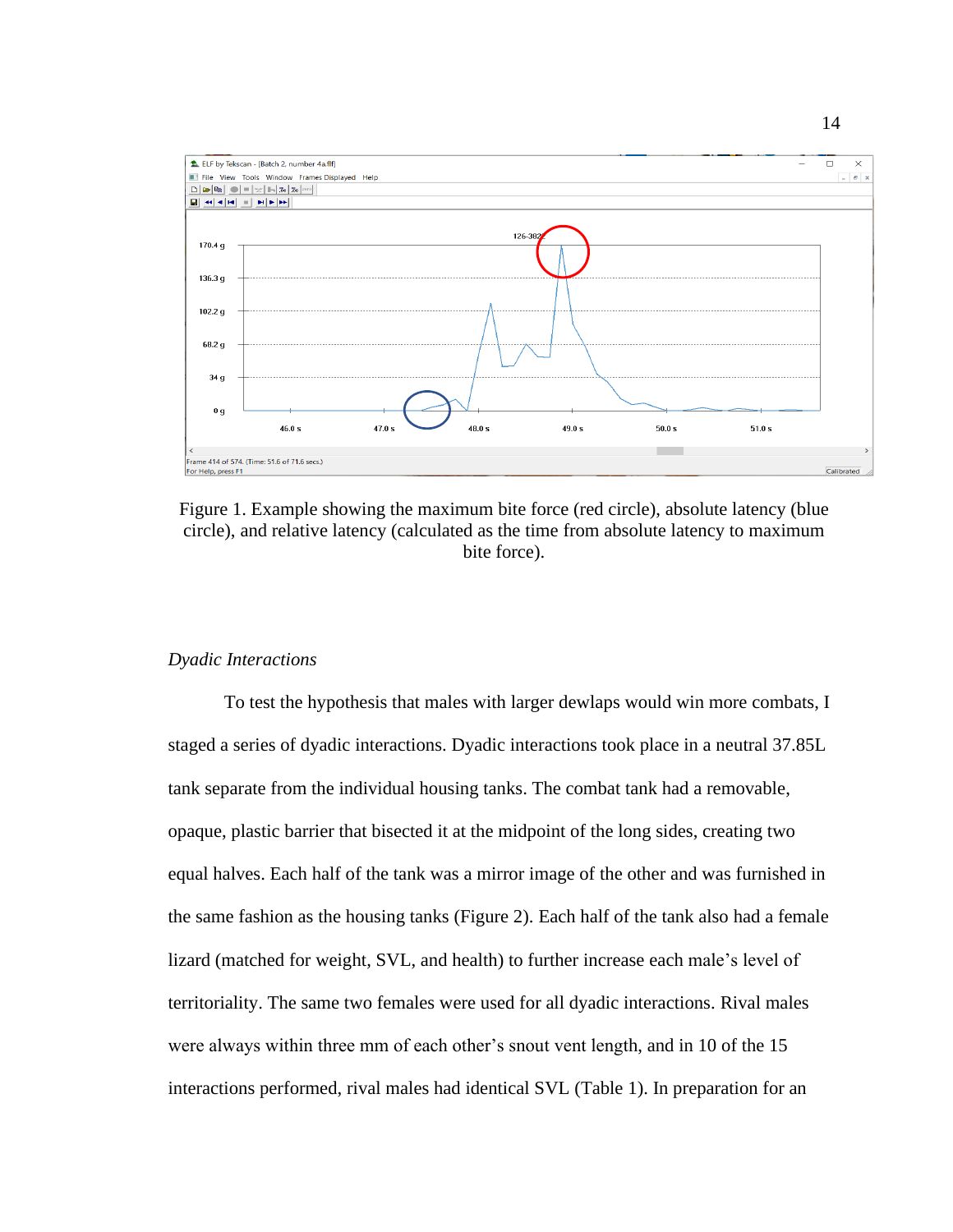

Figure 1. Example showing the maximum bite force (red circle), absolute latency (blue circle), and relative latency (calculated as the time from absolute latency to maximum bite force).

## *Dyadic Interactions*

To test the hypothesis that males with larger dewlaps would win more combats, I staged a series of dyadic interactions. Dyadic interactions took place in a neutral 37.85L tank separate from the individual housing tanks. The combat tank had a removable, opaque, plastic barrier that bisected it at the midpoint of the long sides, creating two equal halves. Each half of the tank was a mirror image of the other and was furnished in the same fashion as the housing tanks (Figure 2). Each half of the tank also had a female lizard (matched for weight, SVL, and health) to further increase each male's level of territoriality. The same two females were used for all dyadic interactions. Rival males were always within three mm of each other's snout vent length, and in 10 of the 15 interactions performed, rival males had identical SVL (Table 1). In preparation for an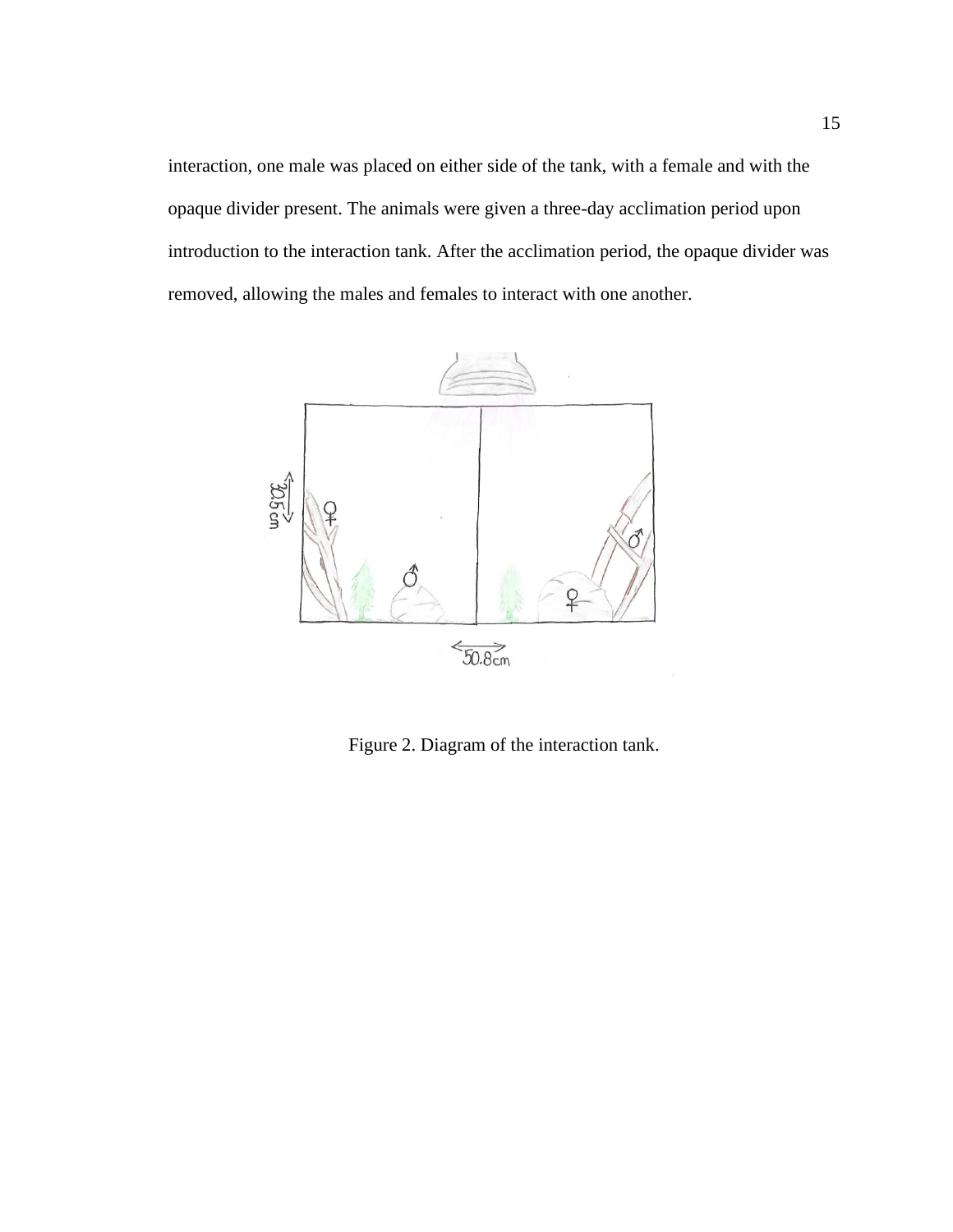interaction, one male was placed on either side of the tank, with a female and with the opaque divider present. The animals were given a three-day acclimation period upon introduction to the interaction tank. After the acclimation period, the opaque divider was removed, allowing the males and females to interact with one another.



Figure 2. Diagram of the interaction tank.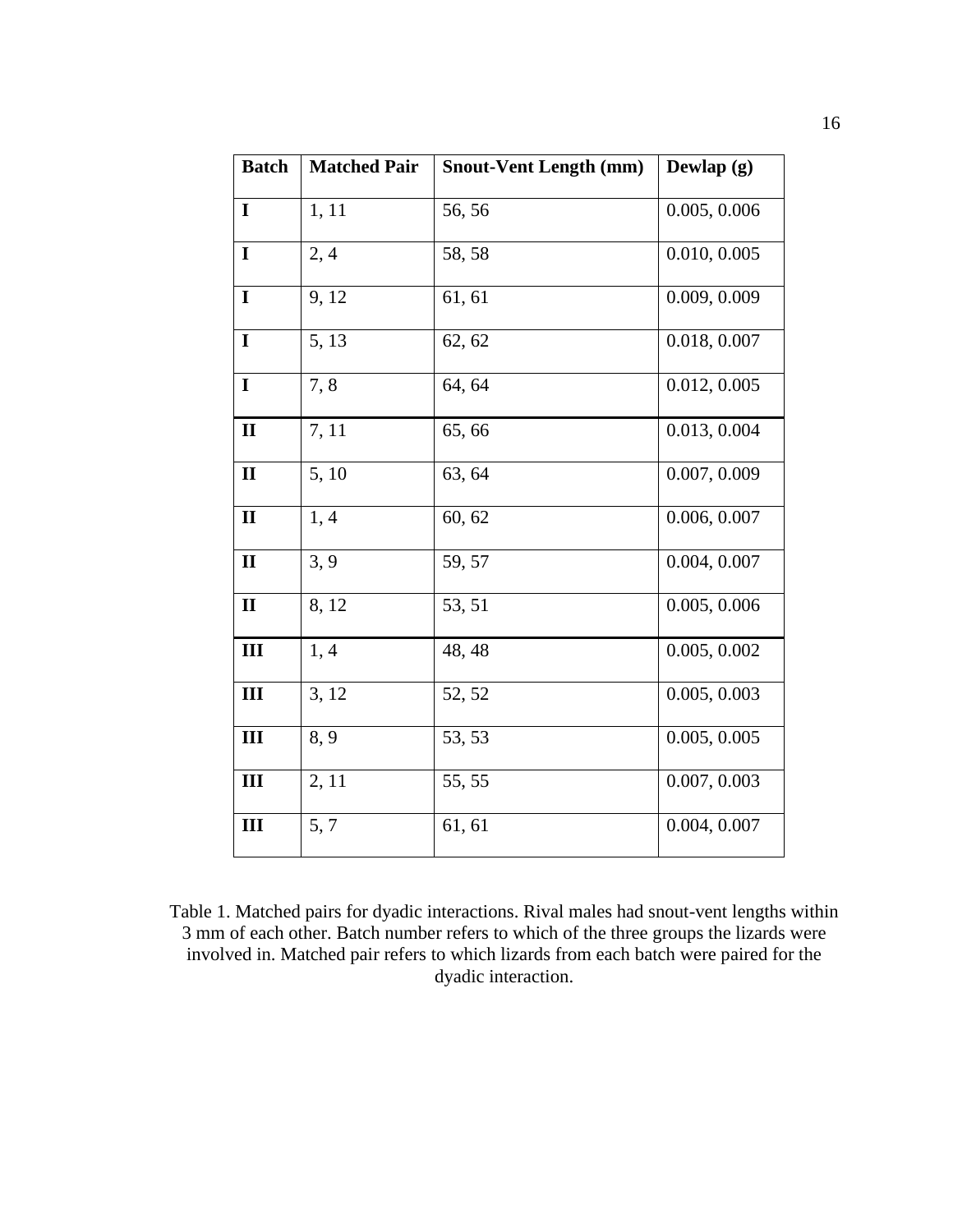| <b>Batch</b> | <b>Matched Pair</b> | <b>Snout-Vent Length (mm)</b> | Dewlap $(g)$ |
|--------------|---------------------|-------------------------------|--------------|
| $\mathbf I$  | 1, 11               | 56,56                         | 0.005, 0.006 |
| $\mathbf I$  | 2,4                 | 58, 58                        | 0.010, 0.005 |
| $\mathbf I$  | 9, 12               | 61, 61                        | 0.009, 0.009 |
| $\mathbf I$  | 5, 13               | 62, 62                        | 0.018, 0.007 |
| $\mathbf I$  | 7,8                 | 64, 64                        | 0.012, 0.005 |
| $\mathbf{I}$ | 7, 11               | 65,66                         | 0.013, 0.004 |
| $\mathbf{I}$ | 5, 10               | 63, 64                        | 0.007, 0.009 |
| $\mathbf{I}$ | 1,4                 | 60, 62                        | 0.006, 0.007 |
| $\mathbf{I}$ | 3, 9                | 59, 57                        | 0.004, 0.007 |
| $\mathbf{I}$ | 8, 12               | 53, 51                        | 0.005, 0.006 |
| III          | 1, 4                | 48, 48                        | 0.005, 0.002 |
| III          | 3, 12               | 52, 52                        | 0.005, 0.003 |
| III          | 8, 9                | 53, 53                        | 0.005, 0.005 |
| III          | 2, 11               | 55, 55                        | 0.007, 0.003 |
| III          | 5, 7                | 61, 61                        | 0.004, 0.007 |

Table 1. Matched pairs for dyadic interactions. Rival males had snout-vent lengths within 3 mm of each other. Batch number refers to which of the three groups the lizards were involved in. Matched pair refers to which lizards from each batch were paired for the dyadic interaction.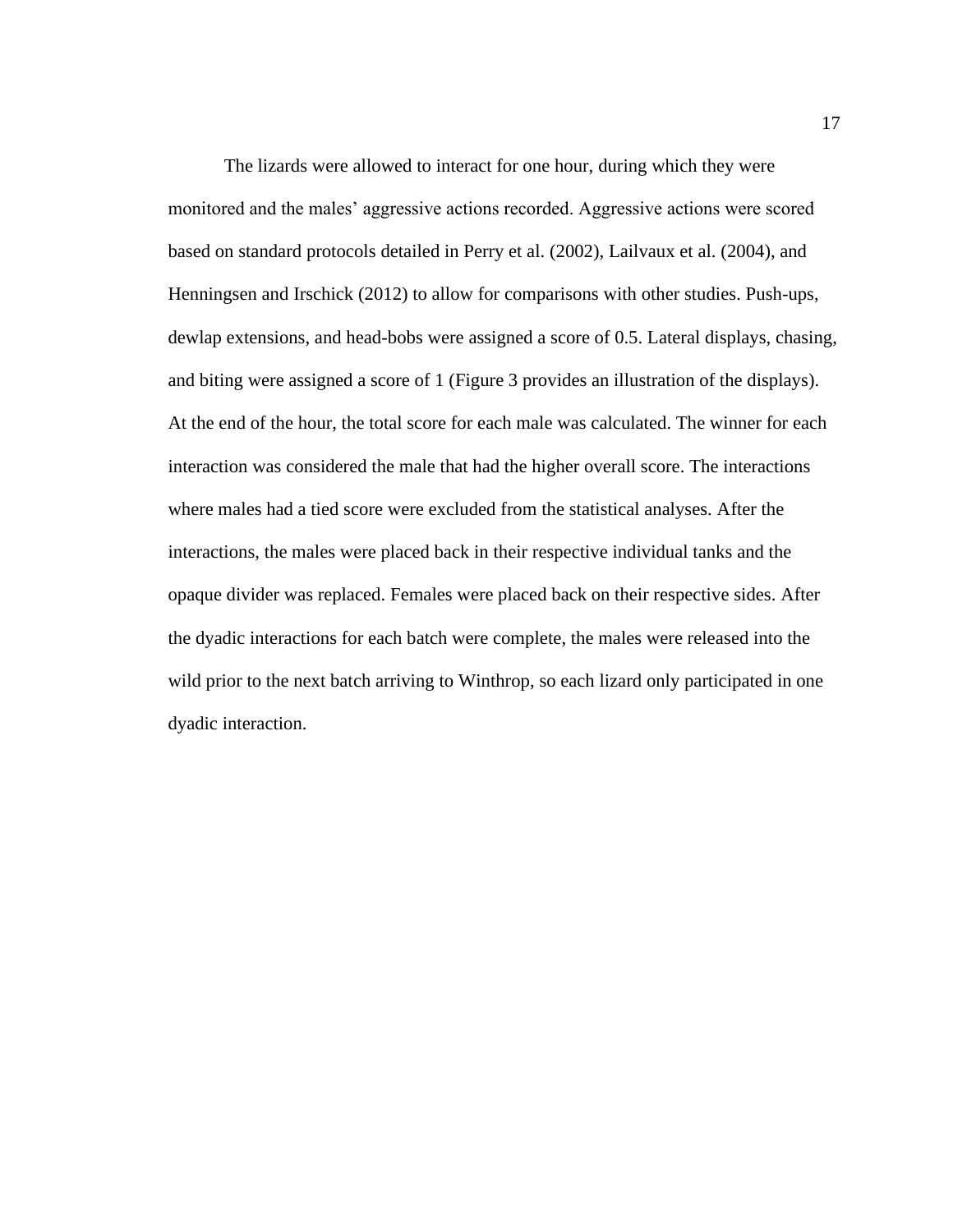The lizards were allowed to interact for one hour, during which they were monitored and the males' aggressive actions recorded. Aggressive actions were scored based on standard protocols detailed in Perry et al. (2002), Lailvaux et al. (2004), and Henningsen and Irschick (2012) to allow for comparisons with other studies. Push-ups, dewlap extensions, and head-bobs were assigned a score of 0.5. Lateral displays, chasing, and biting were assigned a score of 1 (Figure 3 provides an illustration of the displays). At the end of the hour, the total score for each male was calculated. The winner for each interaction was considered the male that had the higher overall score. The interactions where males had a tied score were excluded from the statistical analyses. After the interactions, the males were placed back in their respective individual tanks and the opaque divider was replaced. Females were placed back on their respective sides. After the dyadic interactions for each batch were complete, the males were released into the wild prior to the next batch arriving to Winthrop, so each lizard only participated in one dyadic interaction.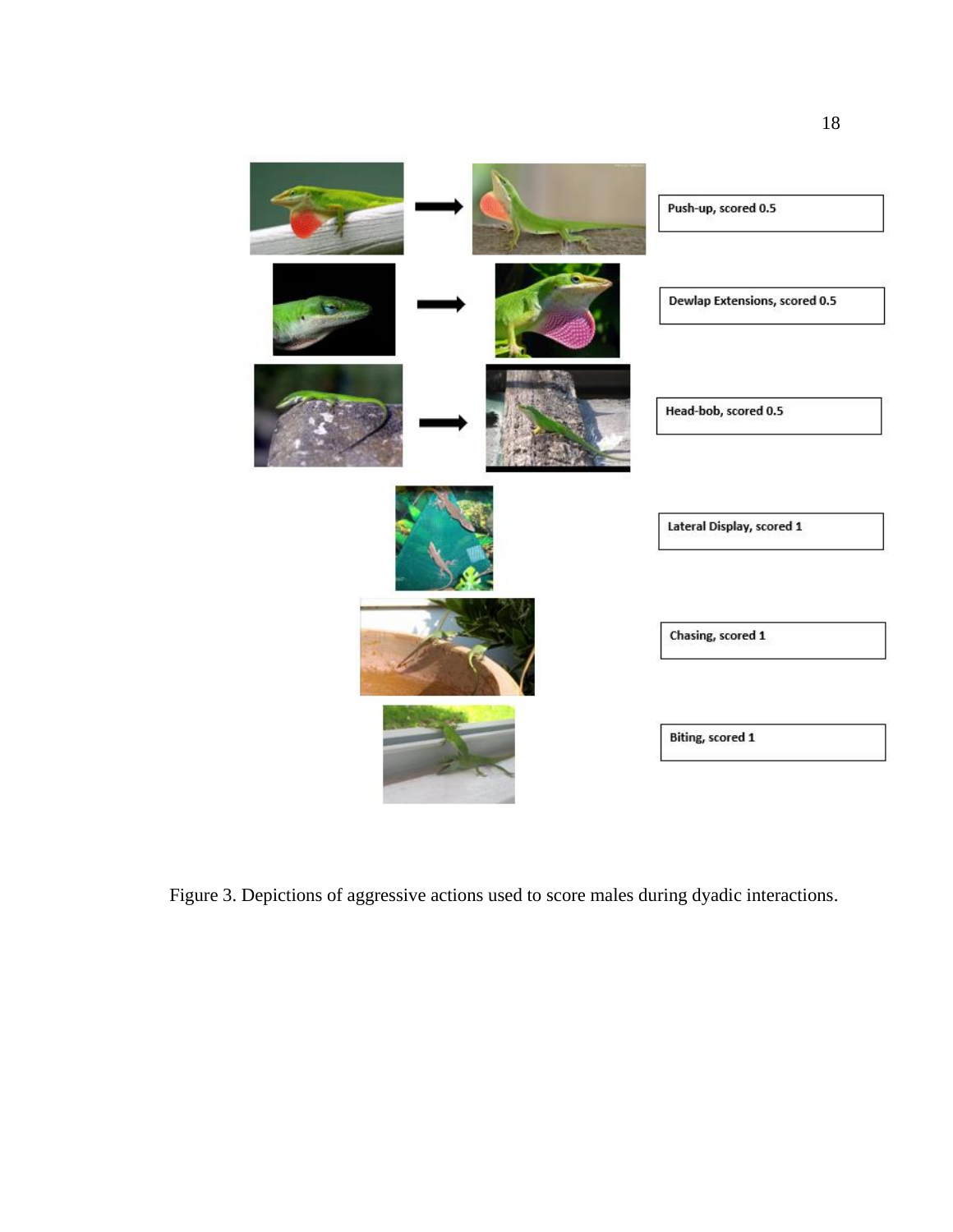

Figure 3. Depictions of aggressive actions used to score males during dyadic interactions.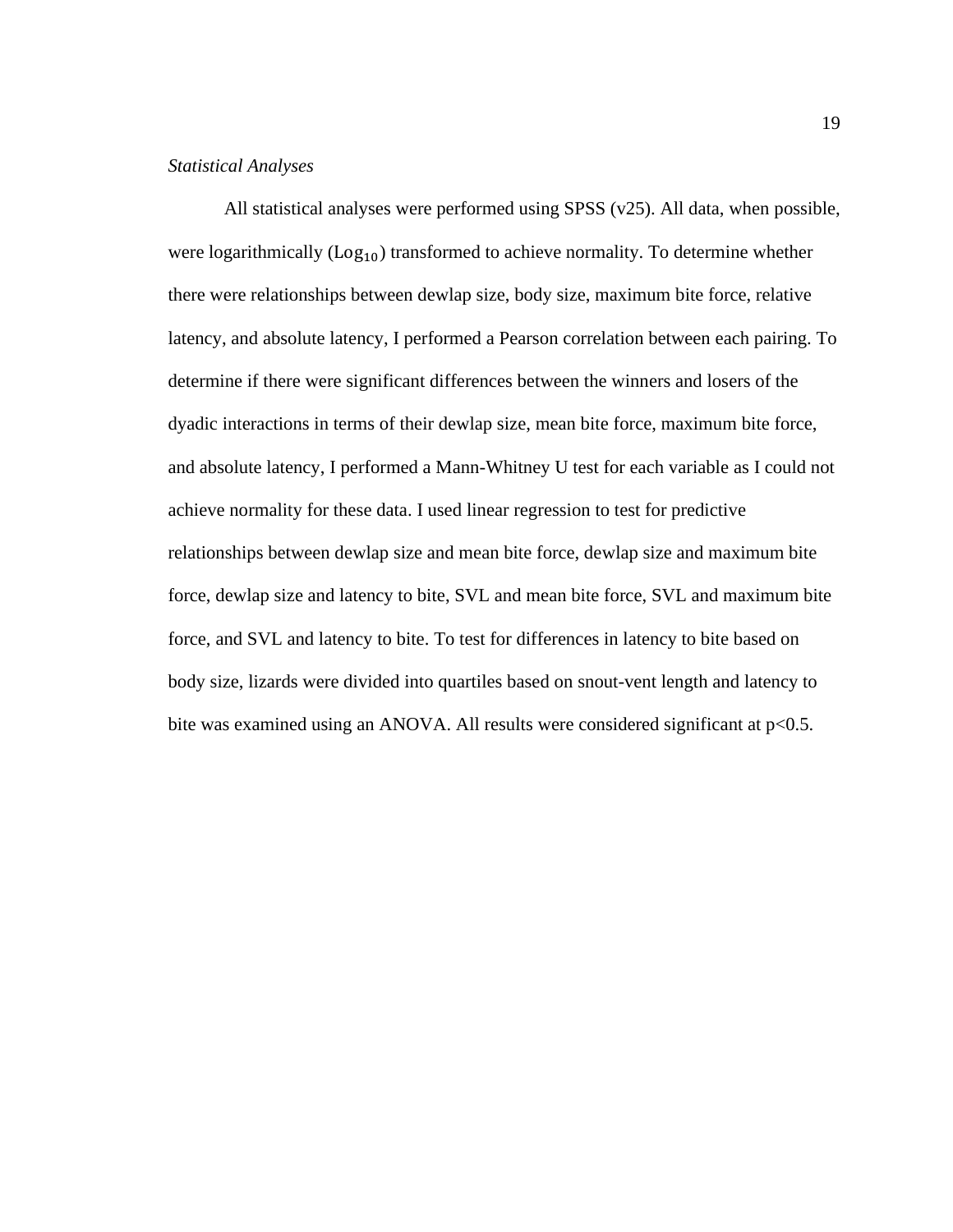### *Statistical Analyses*

All statistical analyses were performed using SPSS (v25). All data, when possible, were logarithmically  $(Log_{10})$  transformed to achieve normality. To determine whether there were relationships between dewlap size, body size, maximum bite force, relative latency, and absolute latency, I performed a Pearson correlation between each pairing. To determine if there were significant differences between the winners and losers of the dyadic interactions in terms of their dewlap size, mean bite force, maximum bite force, and absolute latency, I performed a Mann-Whitney U test for each variable as I could not achieve normality for these data. I used linear regression to test for predictive relationships between dewlap size and mean bite force, dewlap size and maximum bite force, dewlap size and latency to bite, SVL and mean bite force, SVL and maximum bite force, and SVL and latency to bite. To test for differences in latency to bite based on body size, lizards were divided into quartiles based on snout-vent length and latency to bite was examined using an ANOVA. All results were considered significant at p<0.5.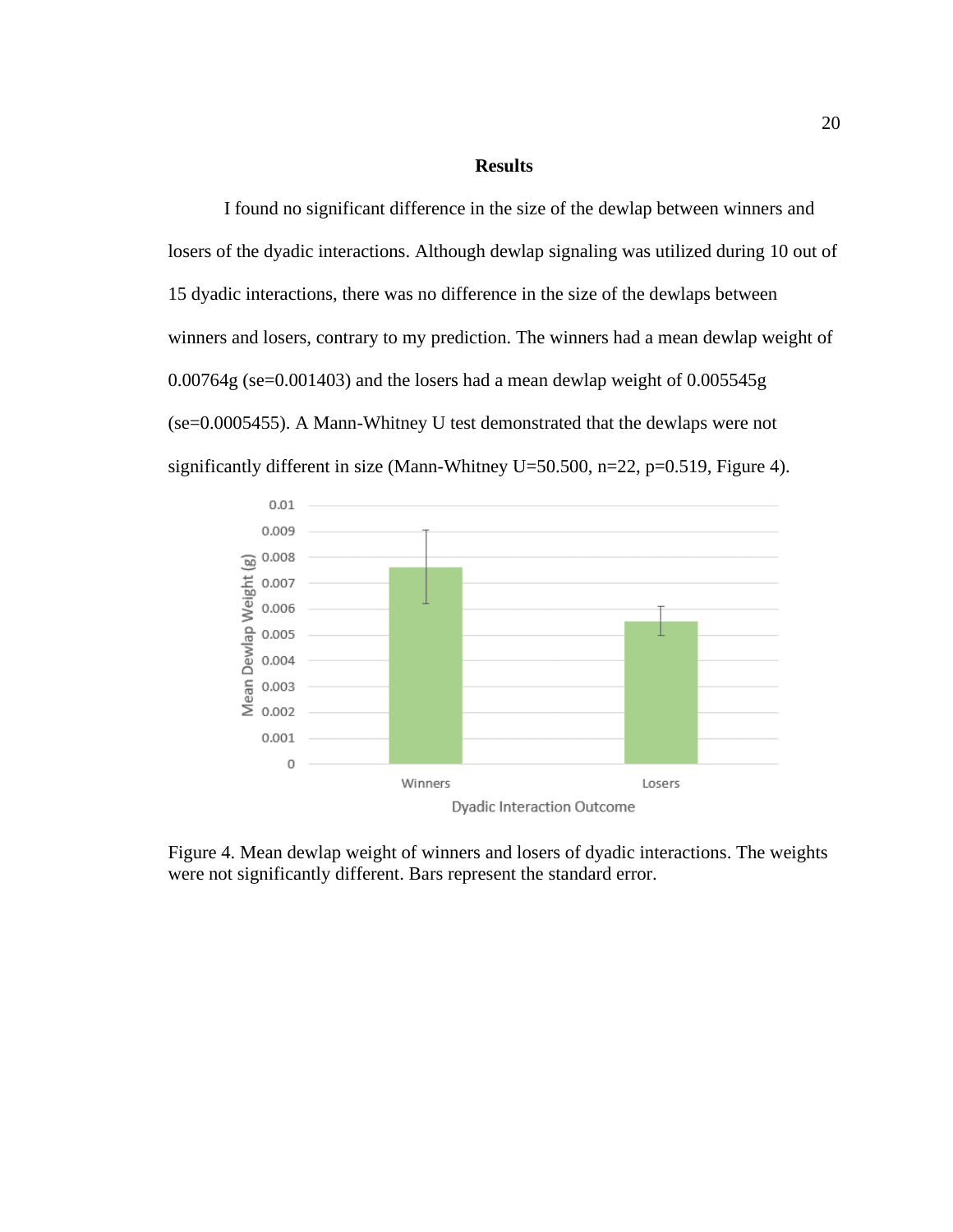### **Results**

I found no significant difference in the size of the dewlap between winners and losers of the dyadic interactions. Although dewlap signaling was utilized during 10 out of 15 dyadic interactions, there was no difference in the size of the dewlaps between winners and losers, contrary to my prediction. The winners had a mean dewlap weight of 0.00764g (se=0.001403) and the losers had a mean dewlap weight of 0.005545g (se=0.0005455). A Mann-Whitney U test demonstrated that the dewlaps were not significantly different in size (Mann-Whitney U=50.500, n=22, p=0.519, Figure 4).



Figure 4. Mean dewlap weight of winners and losers of dyadic interactions. The weights were not significantly different. Bars represent the standard error.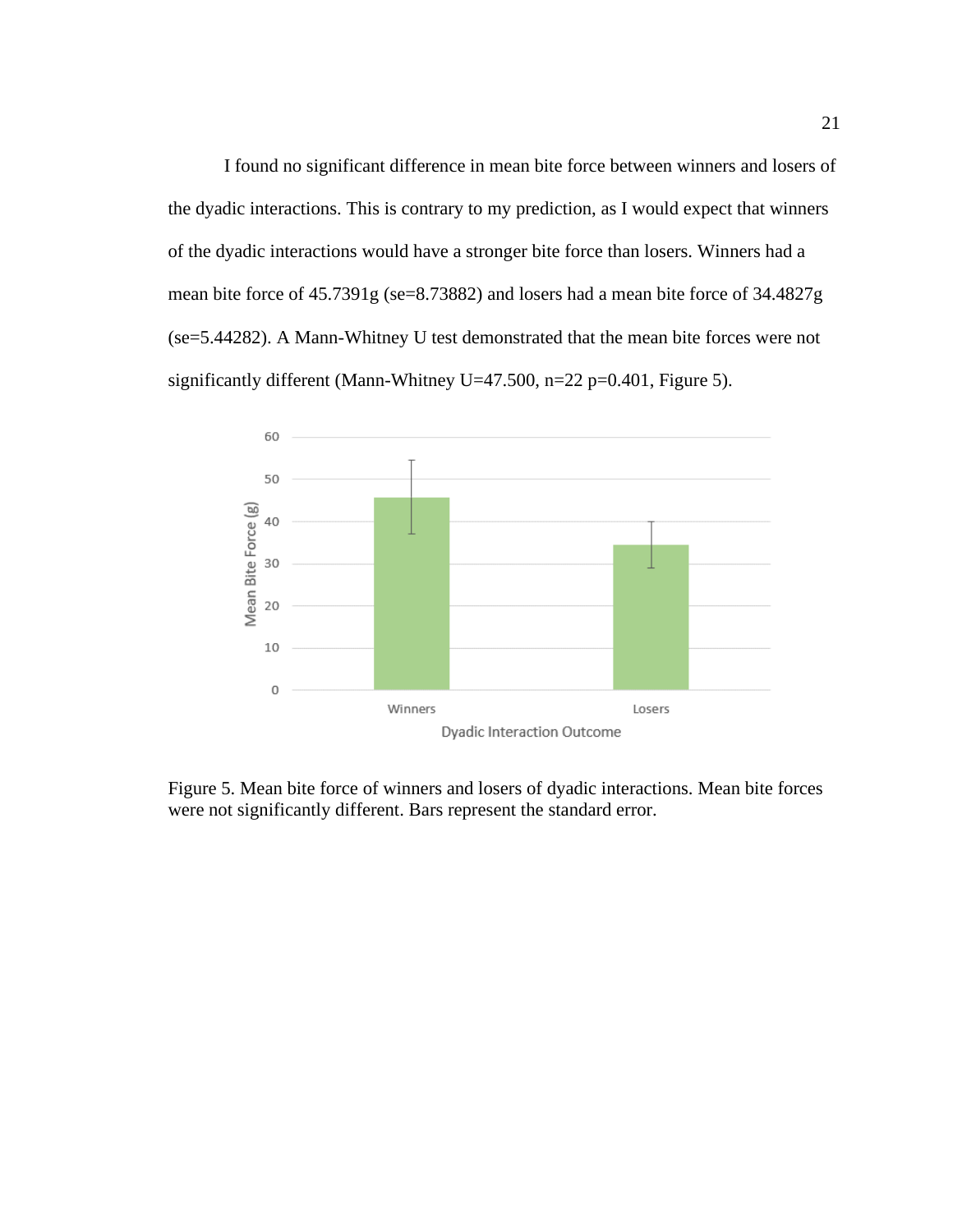I found no significant difference in mean bite force between winners and losers of the dyadic interactions. This is contrary to my prediction, as I would expect that winners of the dyadic interactions would have a stronger bite force than losers. Winners had a mean bite force of 45.7391g (se=8.73882) and losers had a mean bite force of 34.4827g (se=5.44282). A Mann-Whitney U test demonstrated that the mean bite forces were not significantly different (Mann-Whitney U=47.500, n=22 p=0.401, Figure 5).



Figure 5. Mean bite force of winners and losers of dyadic interactions. Mean bite forces were not significantly different. Bars represent the standard error.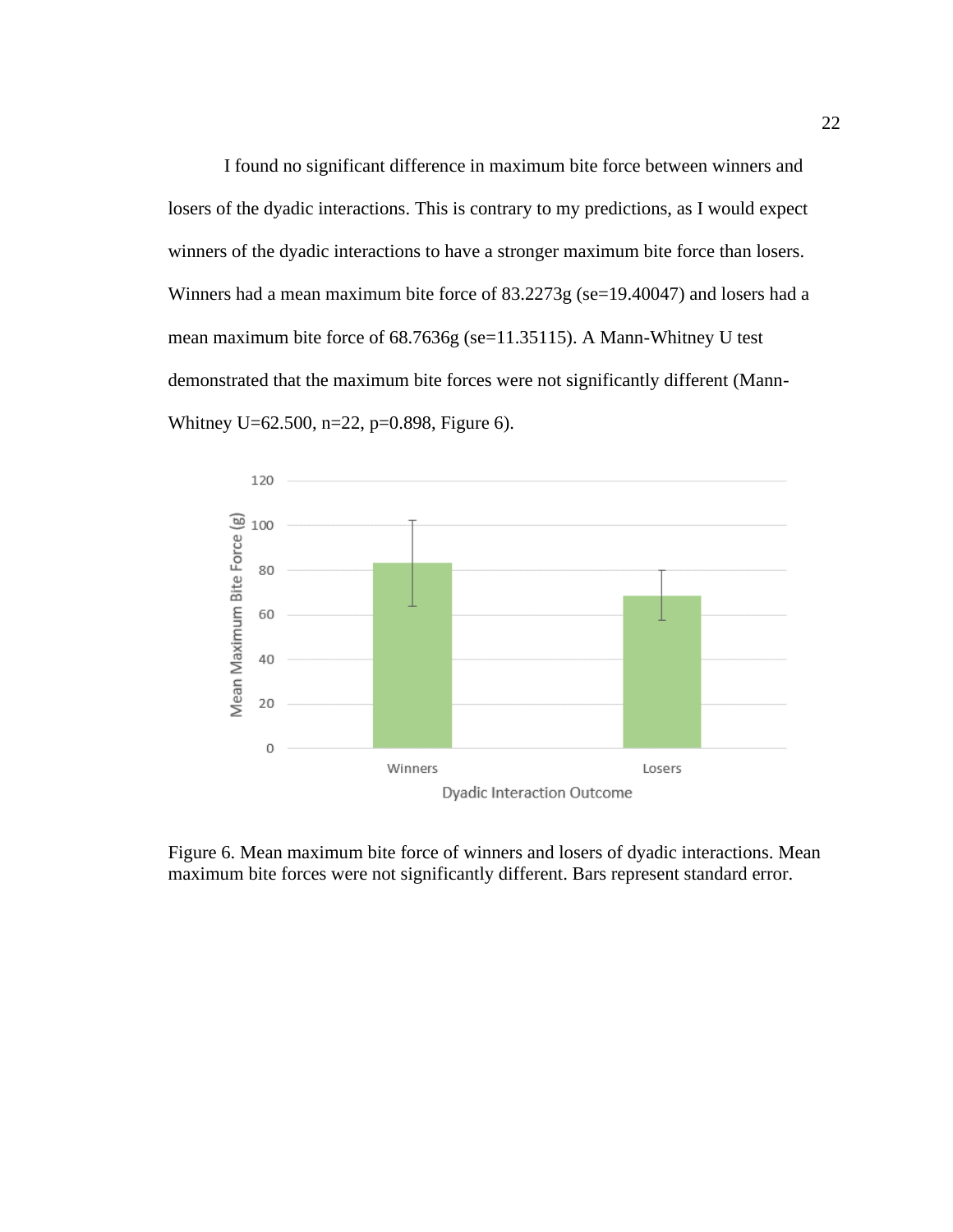I found no significant difference in maximum bite force between winners and losers of the dyadic interactions. This is contrary to my predictions, as I would expect winners of the dyadic interactions to have a stronger maximum bite force than losers. Winners had a mean maximum bite force of 83.2273g (se=19.40047) and losers had a mean maximum bite force of 68.7636g (se=11.35115). A Mann-Whitney U test demonstrated that the maximum bite forces were not significantly different (Mann-Whitney U=62.500, n=22, p=0.898, Figure 6).



Figure 6. Mean maximum bite force of winners and losers of dyadic interactions. Mean maximum bite forces were not significantly different. Bars represent standard error.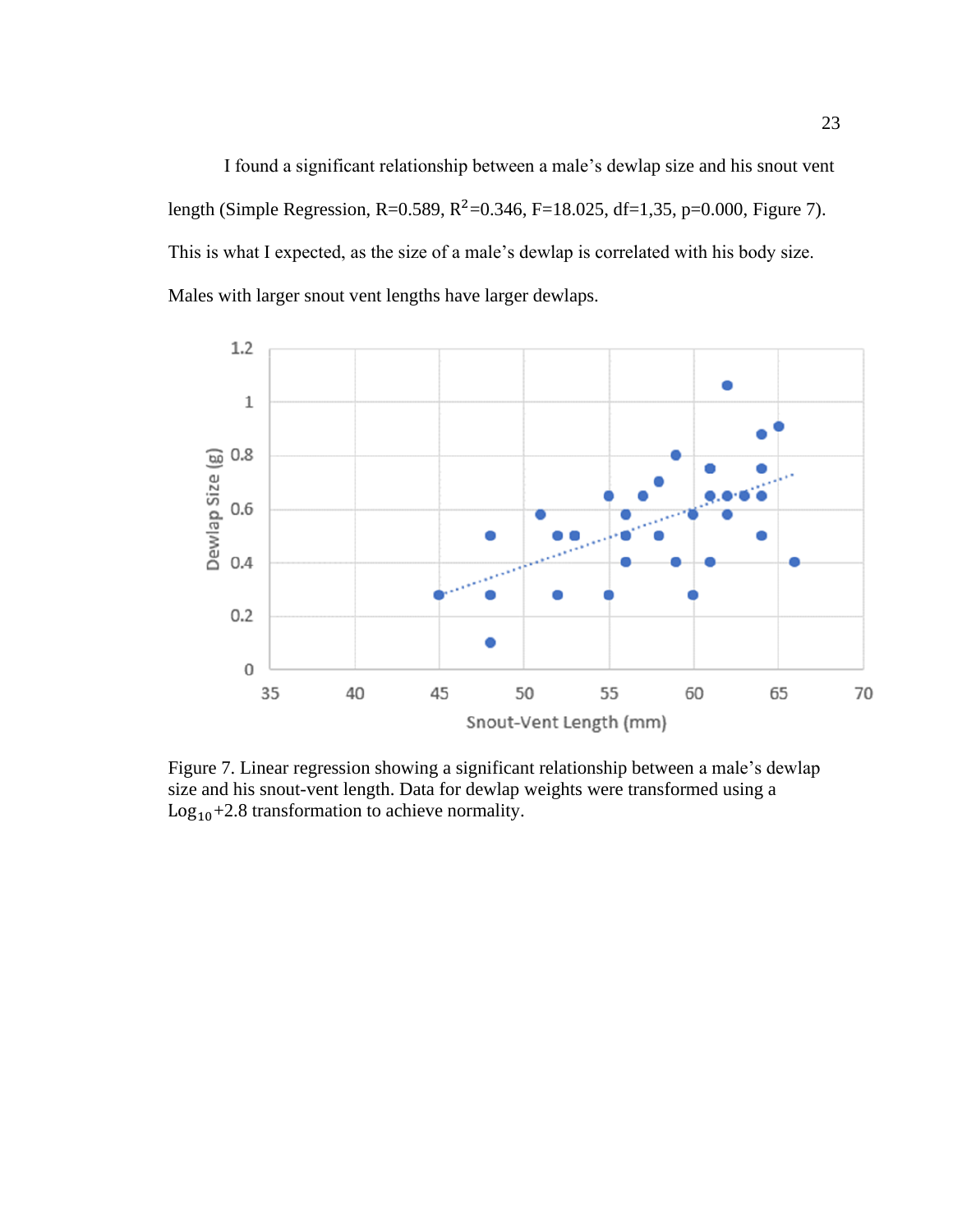I found a significant relationship between a male's dewlap size and his snout vent length (Simple Regression, R=0.589, R<sup>2</sup>=0.346, F=18.025, df=1,35, p=0.000, Figure 7). This is what I expected, as the size of a male's dewlap is correlated with his body size. Males with larger snout vent lengths have larger dewlaps.



Figure 7. Linear regression showing a significant relationship between a male's dewlap size and his snout-vent length. Data for dewlap weights were transformed using a  $Log_{10}+2.8$  transformation to achieve normality.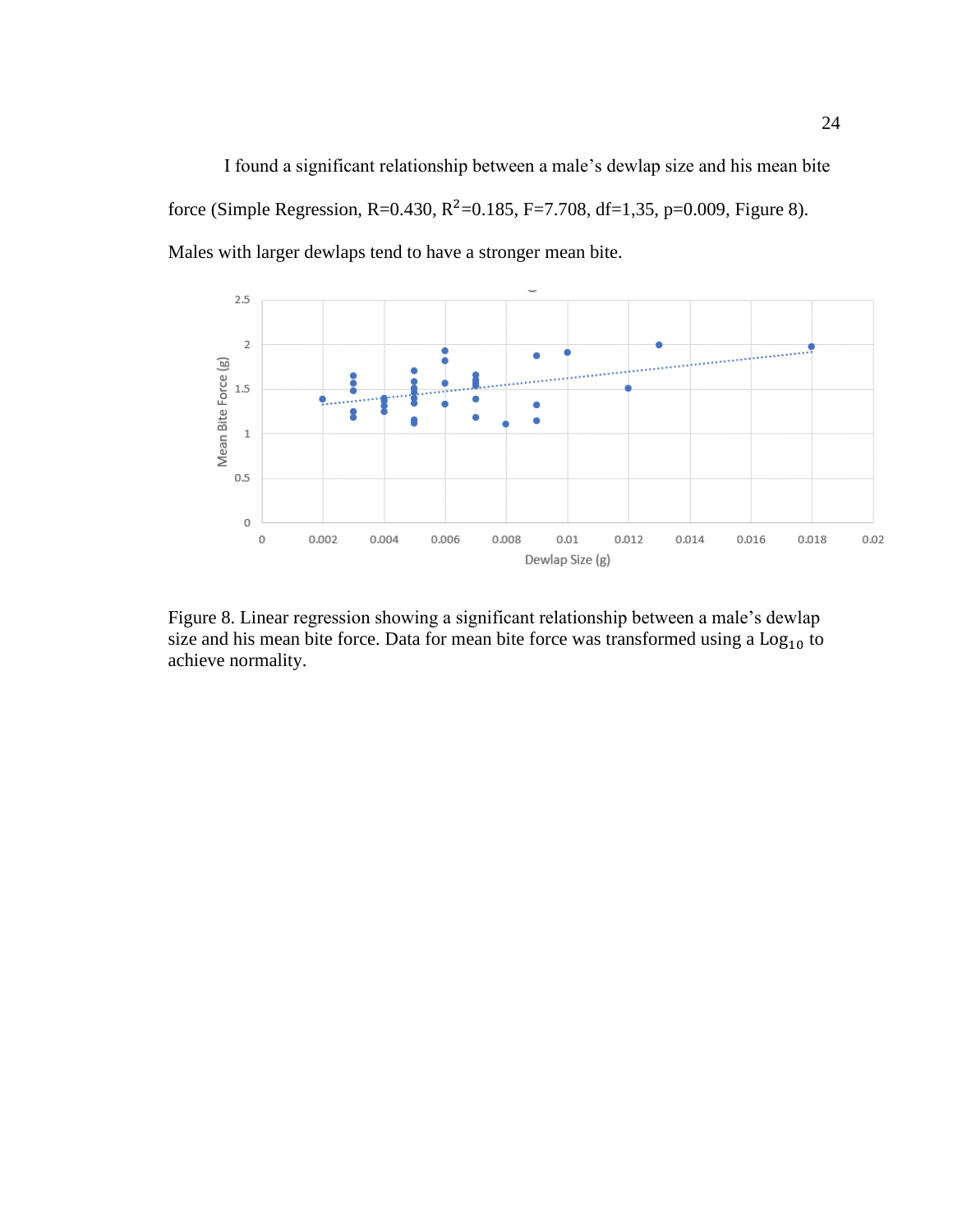I found a significant relationship between a male's dewlap size and his mean bite force (Simple Regression, R=0.430, R<sup>2</sup>=0.185, F=7.708, df=1,35, p=0.009, Figure 8). Males with larger dewlaps tend to have a stronger mean bite.



Figure 8. Linear regression showing a significant relationship between a male's dewlap size and his mean bite force. Data for mean bite force was transformed using a  $\text{Log}_{10}$  to achieve normality.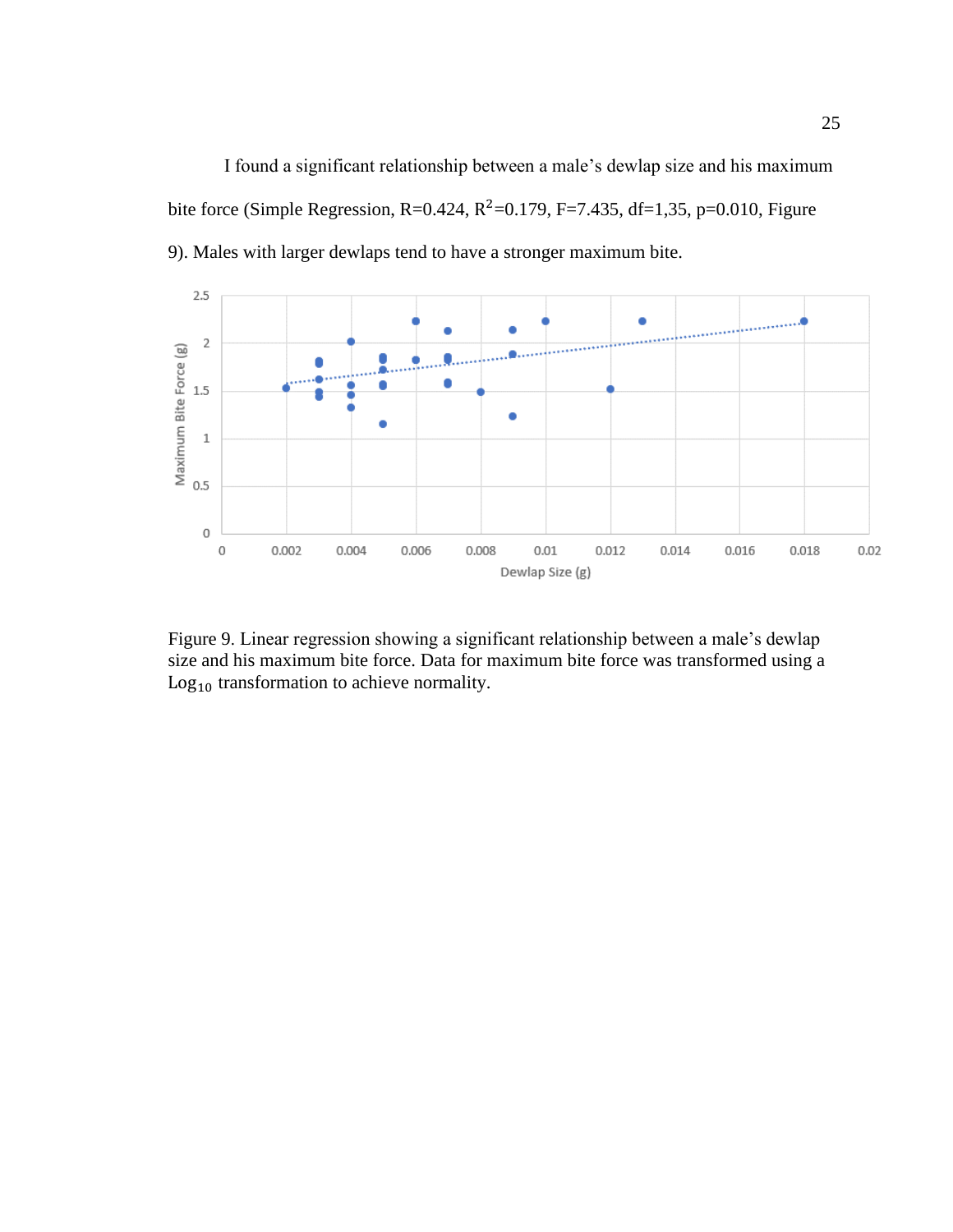I found a significant relationship between a male's dewlap size and his maximum bite force (Simple Regression, R=0.424, R<sup>2</sup>=0.179, F=7.435, df=1,35, p=0.010, Figure 9). Males with larger dewlaps tend to have a stronger maximum bite.



Figure 9. Linear regression showing a significant relationship between a male's dewlap size and his maximum bite force. Data for maximum bite force was transformed using a Log<sub>10</sub> transformation to achieve normality.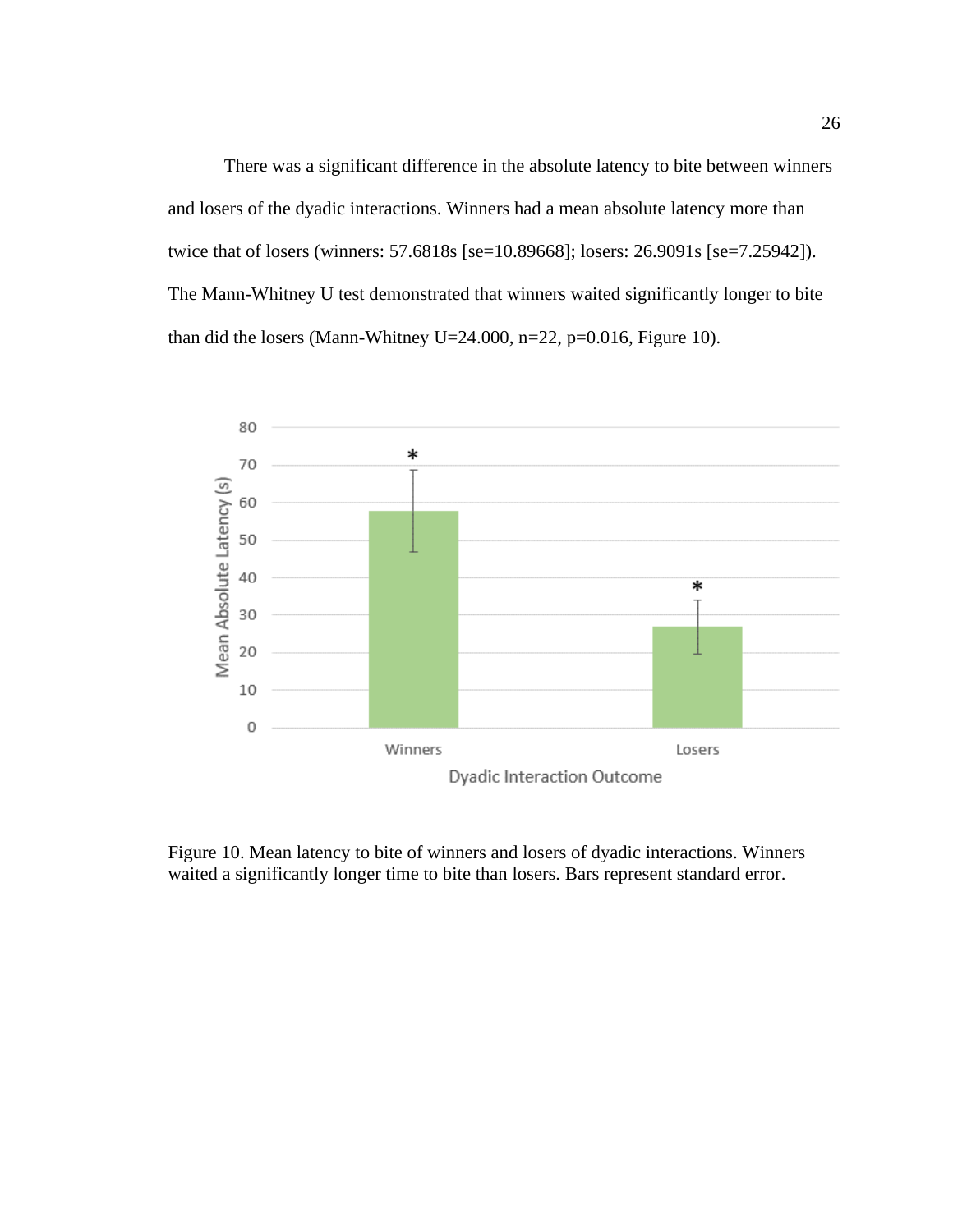There was a significant difference in the absolute latency to bite between winners and losers of the dyadic interactions. Winners had a mean absolute latency more than twice that of losers (winners: 57.6818s [se=10.89668]; losers: 26.9091s [se=7.25942]). The Mann-Whitney U test demonstrated that winners waited significantly longer to bite than did the losers (Mann-Whitney U=24.000, n=22, p=0.016, Figure 10).



Figure 10. Mean latency to bite of winners and losers of dyadic interactions. Winners waited a significantly longer time to bite than losers. Bars represent standard error.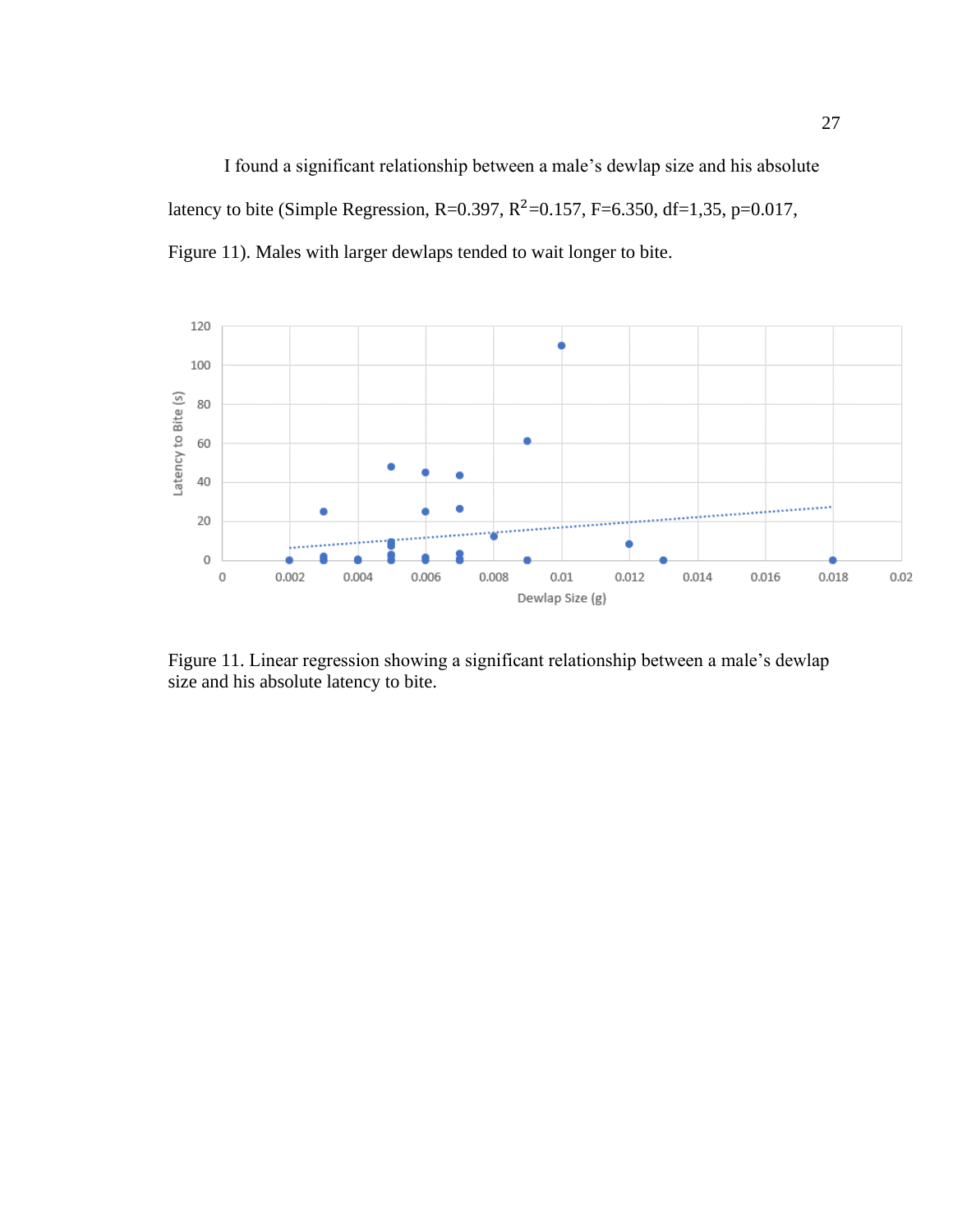I found a significant relationship between a male's dewlap size and his absolute latency to bite (Simple Regression, R=0.397, R<sup>2</sup>=0.157, F=6.350, df=1,35, p=0.017, Figure 11). Males with larger dewlaps tended to wait longer to bite.



Figure 11. Linear regression showing a significant relationship between a male's dewlap size and his absolute latency to bite.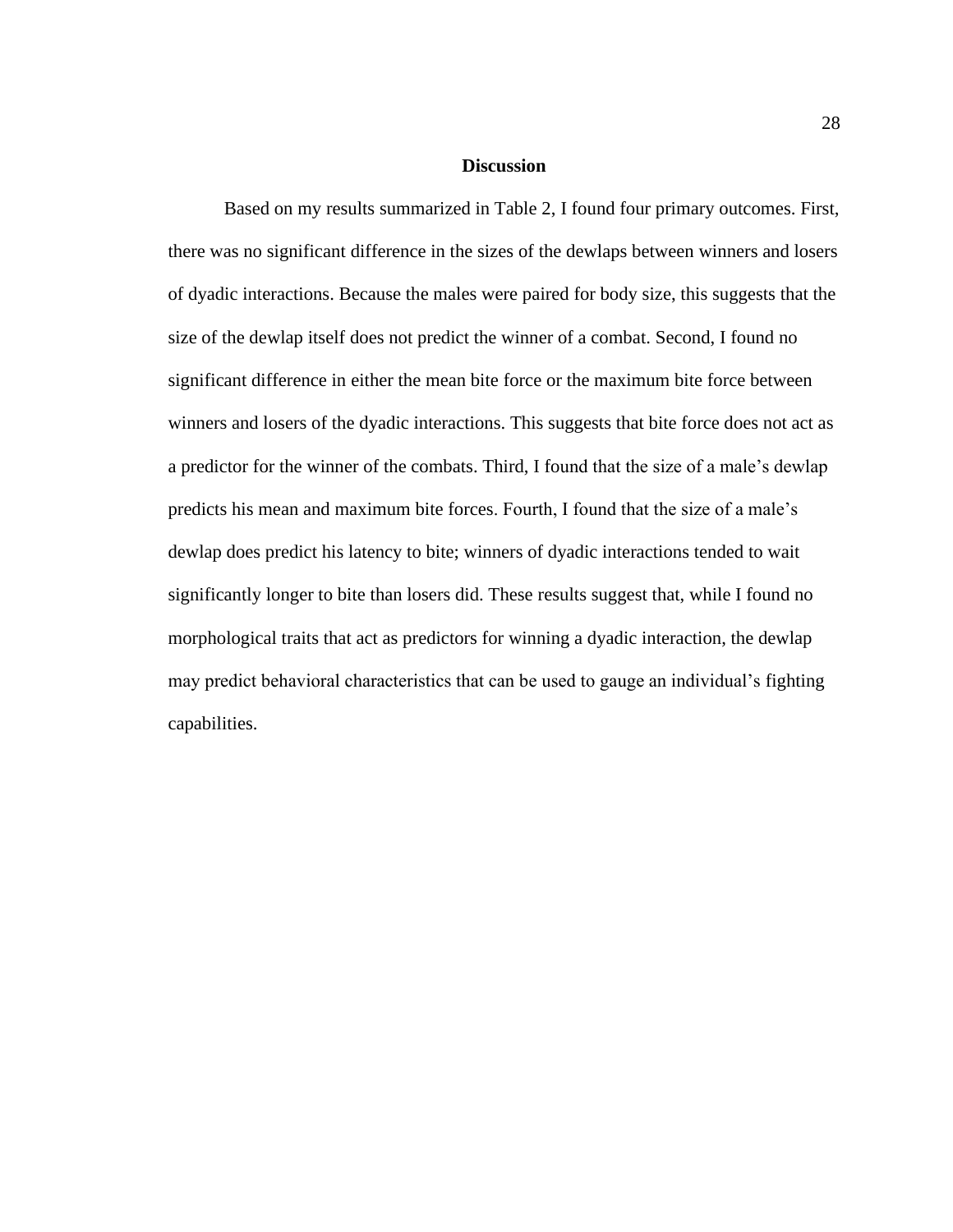#### **Discussion**

Based on my results summarized in Table 2, I found four primary outcomes. First, there was no significant difference in the sizes of the dewlaps between winners and losers of dyadic interactions. Because the males were paired for body size, this suggests that the size of the dewlap itself does not predict the winner of a combat. Second, I found no significant difference in either the mean bite force or the maximum bite force between winners and losers of the dyadic interactions. This suggests that bite force does not act as a predictor for the winner of the combats. Third, I found that the size of a male's dewlap predicts his mean and maximum bite forces. Fourth, I found that the size of a male's dewlap does predict his latency to bite; winners of dyadic interactions tended to wait significantly longer to bite than losers did. These results suggest that, while I found no morphological traits that act as predictors for winning a dyadic interaction, the dewlap may predict behavioral characteristics that can be used to gauge an individual's fighting capabilities.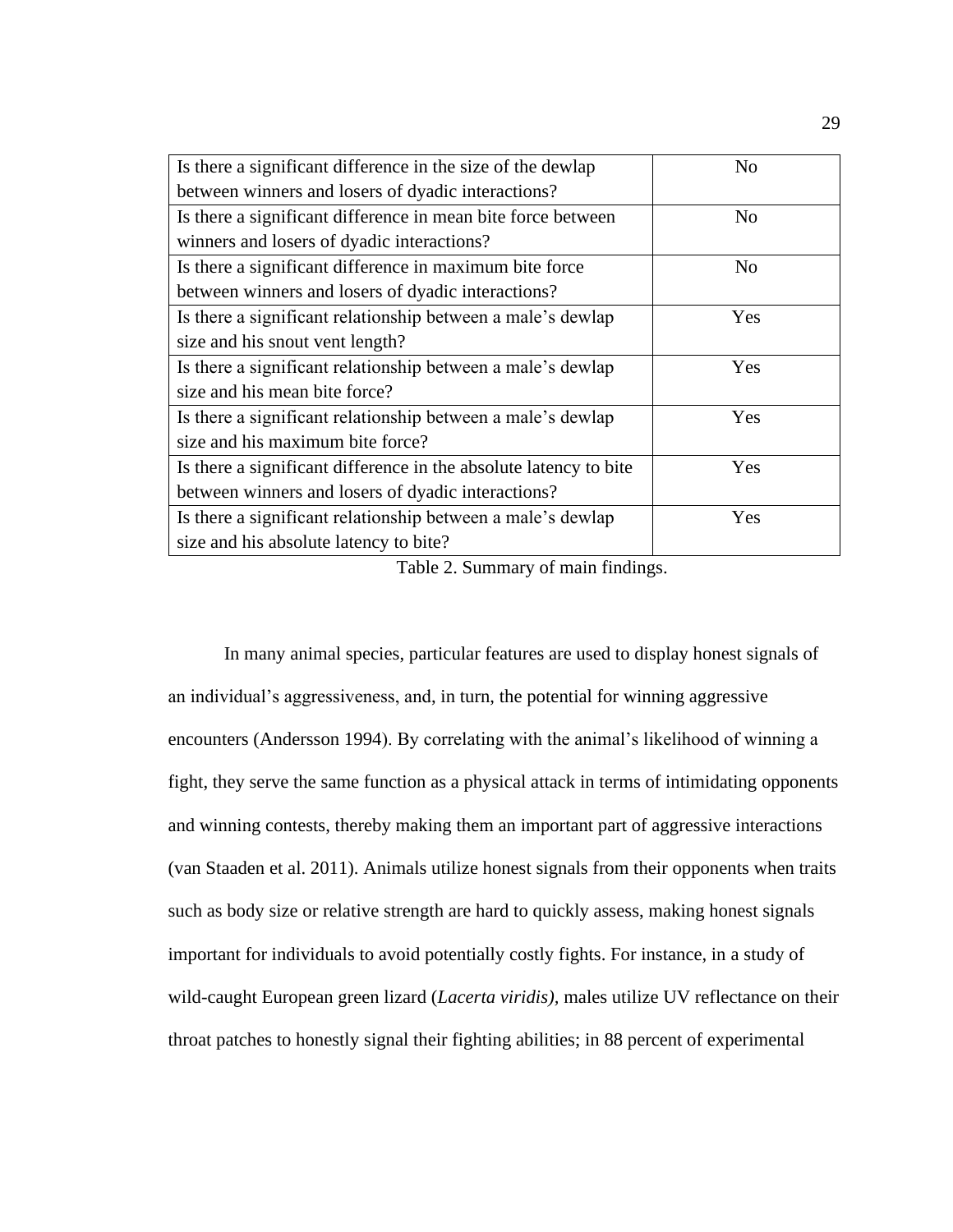| Is there a significant difference in the size of the dewlap       | N <sub>0</sub> |
|-------------------------------------------------------------------|----------------|
| between winners and losers of dyadic interactions?                |                |
| Is there a significant difference in mean bite force between      | N <sub>o</sub> |
| winners and losers of dyadic interactions?                        |                |
| Is there a significant difference in maximum bite force           | N <sub>0</sub> |
| between winners and losers of dyadic interactions?                |                |
| Is there a significant relationship between a male's dewlap       | Yes            |
| size and his snout vent length?                                   |                |
| Is there a significant relationship between a male's dewlap       | Yes            |
| size and his mean bite force?                                     |                |
| Is there a significant relationship between a male's dewlap       | Yes            |
| size and his maximum bite force?                                  |                |
| Is there a significant difference in the absolute latency to bite | Yes            |
| between winners and losers of dyadic interactions?                |                |
| Is there a significant relationship between a male's dewlap       | Yes            |
| size and his absolute latency to bite?                            |                |

Table 2. Summary of main findings.

In many animal species, particular features are used to display honest signals of an individual's aggressiveness, and, in turn, the potential for winning aggressive encounters (Andersson 1994). By correlating with the animal's likelihood of winning a fight, they serve the same function as a physical attack in terms of intimidating opponents and winning contests, thereby making them an important part of aggressive interactions (van Staaden et al. 2011). Animals utilize honest signals from their opponents when traits such as body size or relative strength are hard to quickly assess, making honest signals important for individuals to avoid potentially costly fights. For instance, in a study of wild-caught European green lizard (*Lacerta viridis),* males utilize UV reflectance on their throat patches to honestly signal their fighting abilities; in 88 percent of experimental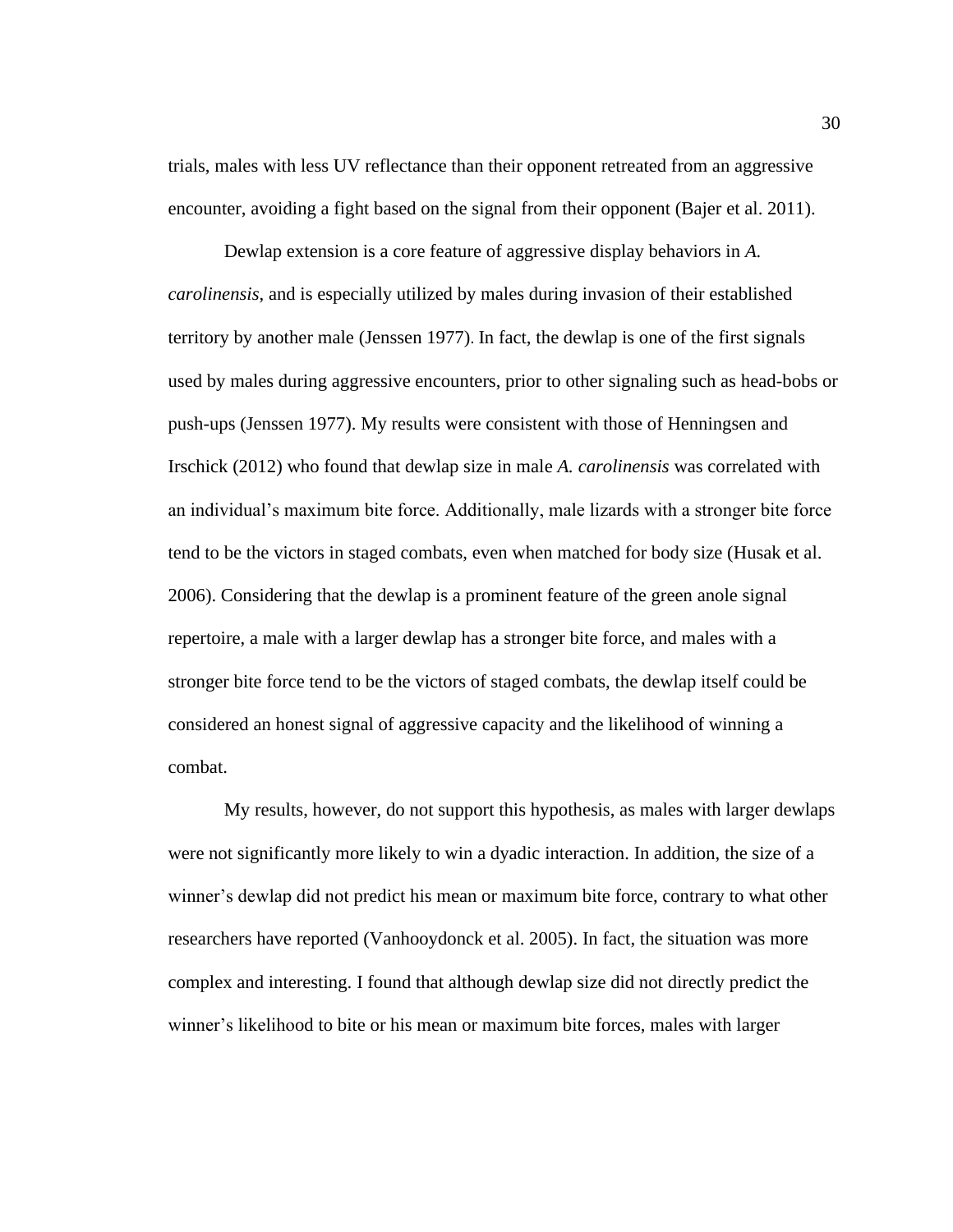trials, males with less UV reflectance than their opponent retreated from an aggressive encounter, avoiding a fight based on the signal from their opponent (Bajer et al. 2011).

Dewlap extension is a core feature of aggressive display behaviors in *A. carolinensis*, and is especially utilized by males during invasion of their established territory by another male (Jenssen 1977). In fact, the dewlap is one of the first signals used by males during aggressive encounters, prior to other signaling such as head-bobs or push-ups (Jenssen 1977). My results were consistent with those of Henningsen and Irschick (2012) who found that dewlap size in male *A. carolinensis* was correlated with an individual's maximum bite force. Additionally, male lizards with a stronger bite force tend to be the victors in staged combats, even when matched for body size (Husak et al. 2006). Considering that the dewlap is a prominent feature of the green anole signal repertoire, a male with a larger dewlap has a stronger bite force, and males with a stronger bite force tend to be the victors of staged combats, the dewlap itself could be considered an honest signal of aggressive capacity and the likelihood of winning a combat.

My results, however, do not support this hypothesis, as males with larger dewlaps were not significantly more likely to win a dyadic interaction. In addition, the size of a winner's dewlap did not predict his mean or maximum bite force, contrary to what other researchers have reported (Vanhooydonck et al. 2005). In fact, the situation was more complex and interesting. I found that although dewlap size did not directly predict the winner's likelihood to bite or his mean or maximum bite forces, males with larger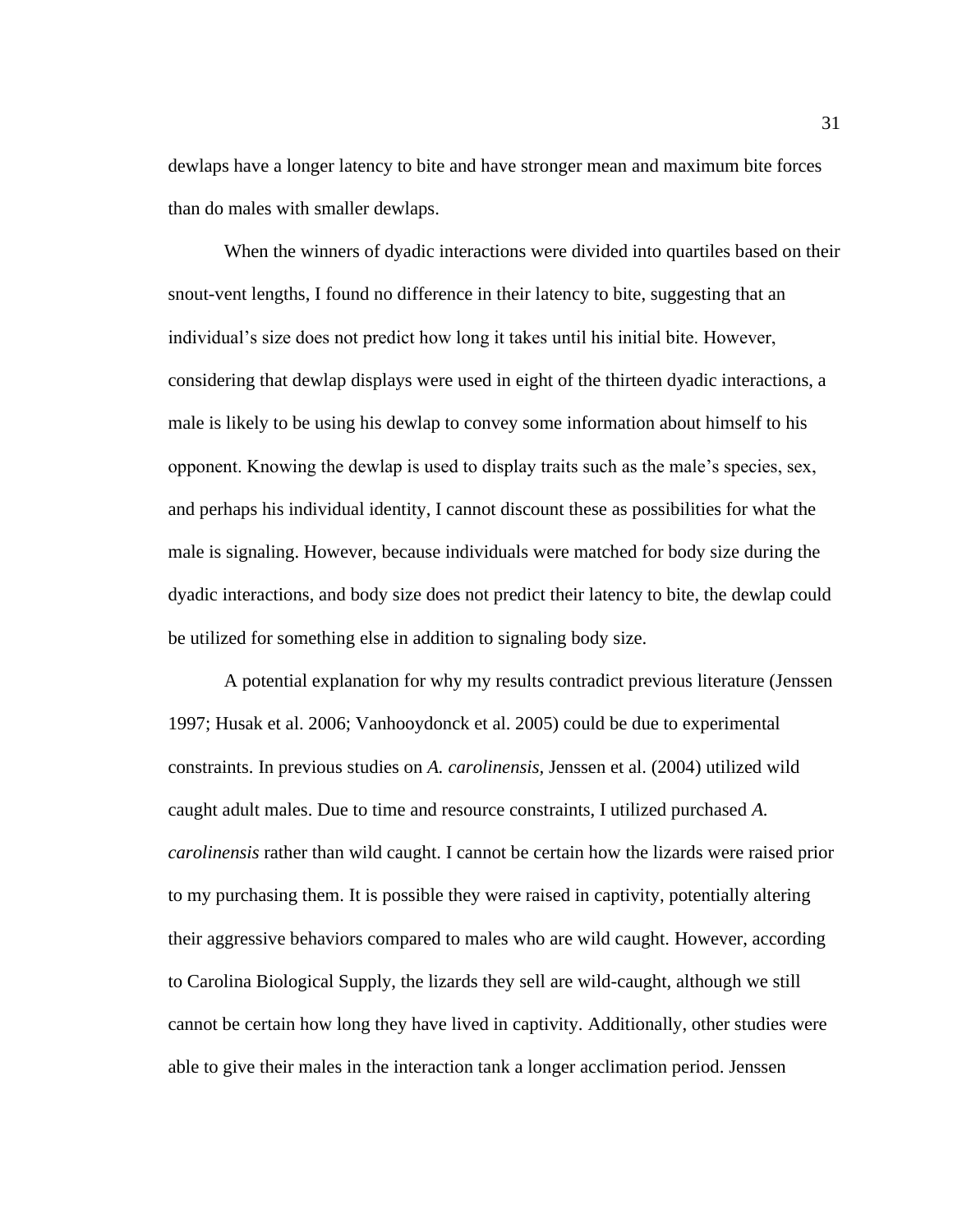dewlaps have a longer latency to bite and have stronger mean and maximum bite forces than do males with smaller dewlaps.

When the winners of dyadic interactions were divided into quartiles based on their snout-vent lengths, I found no difference in their latency to bite, suggesting that an individual's size does not predict how long it takes until his initial bite. However, considering that dewlap displays were used in eight of the thirteen dyadic interactions, a male is likely to be using his dewlap to convey some information about himself to his opponent. Knowing the dewlap is used to display traits such as the male's species, sex, and perhaps his individual identity, I cannot discount these as possibilities for what the male is signaling. However, because individuals were matched for body size during the dyadic interactions, and body size does not predict their latency to bite, the dewlap could be utilized for something else in addition to signaling body size.

A potential explanation for why my results contradict previous literature (Jenssen 1997; Husak et al. 2006; Vanhooydonck et al. 2005) could be due to experimental constraints. In previous studies on *A. carolinensis,* Jenssen et al. (2004) utilized wild caught adult males. Due to time and resource constraints, I utilized purchased *A. carolinensis* rather than wild caught. I cannot be certain how the lizards were raised prior to my purchasing them. It is possible they were raised in captivity, potentially altering their aggressive behaviors compared to males who are wild caught. However, according to Carolina Biological Supply, the lizards they sell are wild-caught, although we still cannot be certain how long they have lived in captivity. Additionally, other studies were able to give their males in the interaction tank a longer acclimation period. Jenssen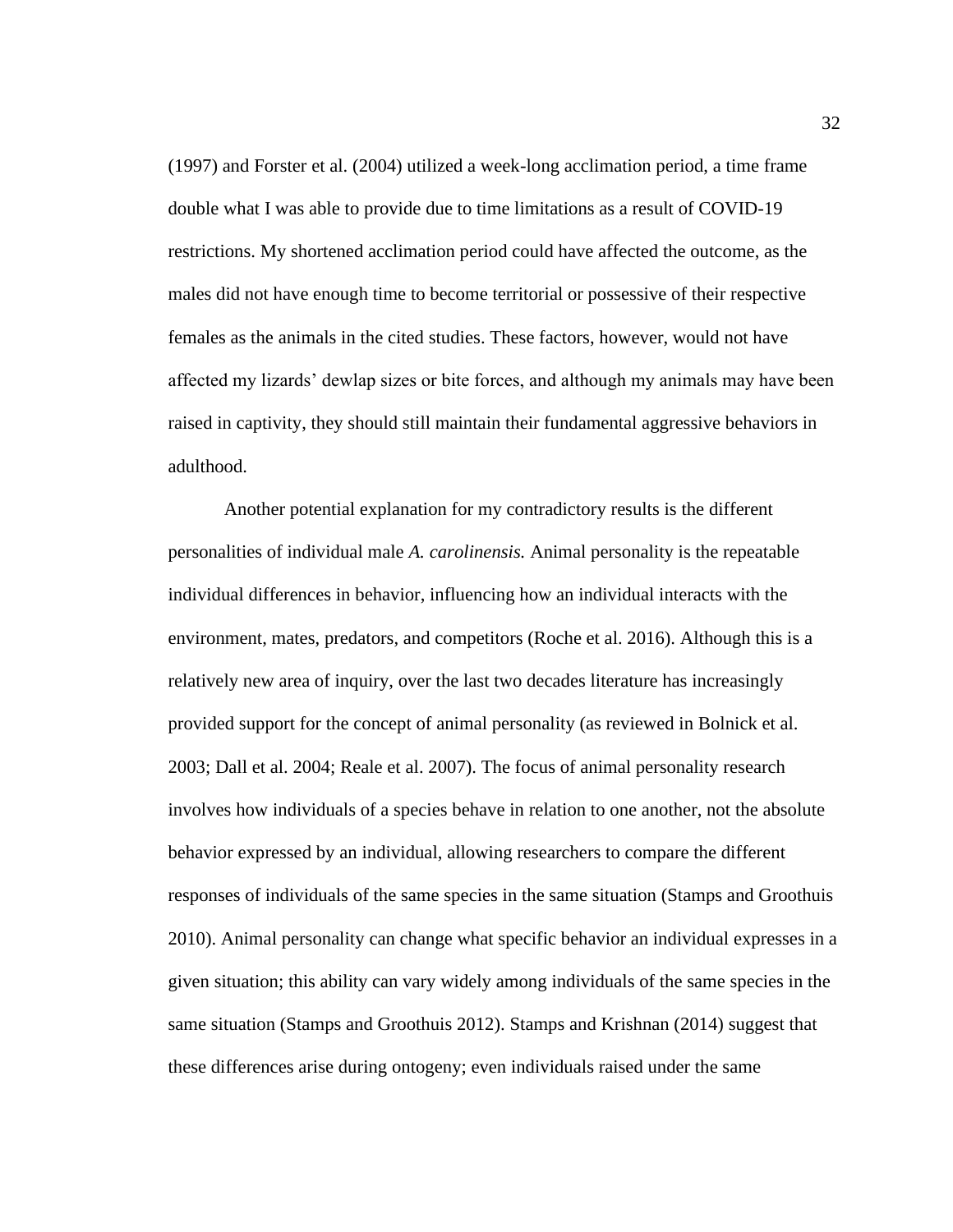(1997) and Forster et al. (2004) utilized a week-long acclimation period, a time frame double what I was able to provide due to time limitations as a result of COVID-19 restrictions. My shortened acclimation period could have affected the outcome, as the males did not have enough time to become territorial or possessive of their respective females as the animals in the cited studies. These factors, however, would not have affected my lizards' dewlap sizes or bite forces, and although my animals may have been raised in captivity, they should still maintain their fundamental aggressive behaviors in adulthood.

Another potential explanation for my contradictory results is the different personalities of individual male *A. carolinensis.* Animal personality is the repeatable individual differences in behavior, influencing how an individual interacts with the environment, mates, predators, and competitors (Roche et al. 2016). Although this is a relatively new area of inquiry, over the last two decades literature has increasingly provided support for the concept of animal personality (as reviewed in Bolnick et al. 2003; Dall et al. 2004; Reale et al. 2007). The focus of animal personality research involves how individuals of a species behave in relation to one another, not the absolute behavior expressed by an individual, allowing researchers to compare the different responses of individuals of the same species in the same situation (Stamps and Groothuis 2010). Animal personality can change what specific behavior an individual expresses in a given situation; this ability can vary widely among individuals of the same species in the same situation (Stamps and Groothuis 2012). Stamps and Krishnan (2014) suggest that these differences arise during ontogeny; even individuals raised under the same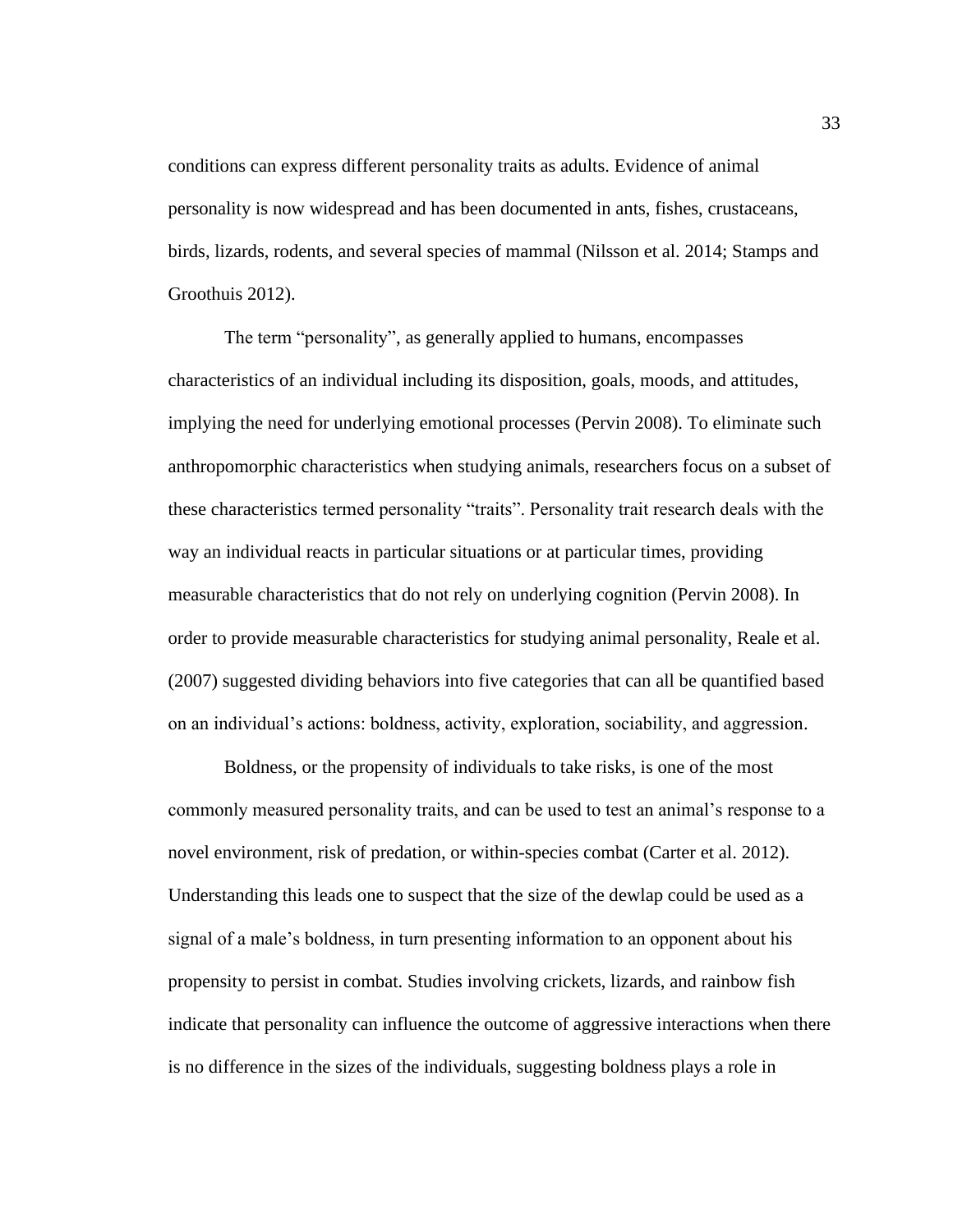conditions can express different personality traits as adults. Evidence of animal personality is now widespread and has been documented in ants, fishes, crustaceans, birds, lizards, rodents, and several species of mammal (Nilsson et al. 2014; Stamps and Groothuis 2012).

The term "personality", as generally applied to humans, encompasses characteristics of an individual including its disposition, goals, moods, and attitudes, implying the need for underlying emotional processes (Pervin 2008). To eliminate such anthropomorphic characteristics when studying animals, researchers focus on a subset of these characteristics termed personality "traits". Personality trait research deals with the way an individual reacts in particular situations or at particular times, providing measurable characteristics that do not rely on underlying cognition (Pervin 2008). In order to provide measurable characteristics for studying animal personality, Reale et al. (2007) suggested dividing behaviors into five categories that can all be quantified based on an individual's actions: boldness, activity, exploration, sociability, and aggression.

Boldness, or the propensity of individuals to take risks, is one of the most commonly measured personality traits, and can be used to test an animal's response to a novel environment, risk of predation, or within-species combat (Carter et al. 2012). Understanding this leads one to suspect that the size of the dewlap could be used as a signal of a male's boldness, in turn presenting information to an opponent about his propensity to persist in combat. Studies involving crickets, lizards, and rainbow fish indicate that personality can influence the outcome of aggressive interactions when there is no difference in the sizes of the individuals, suggesting boldness plays a role in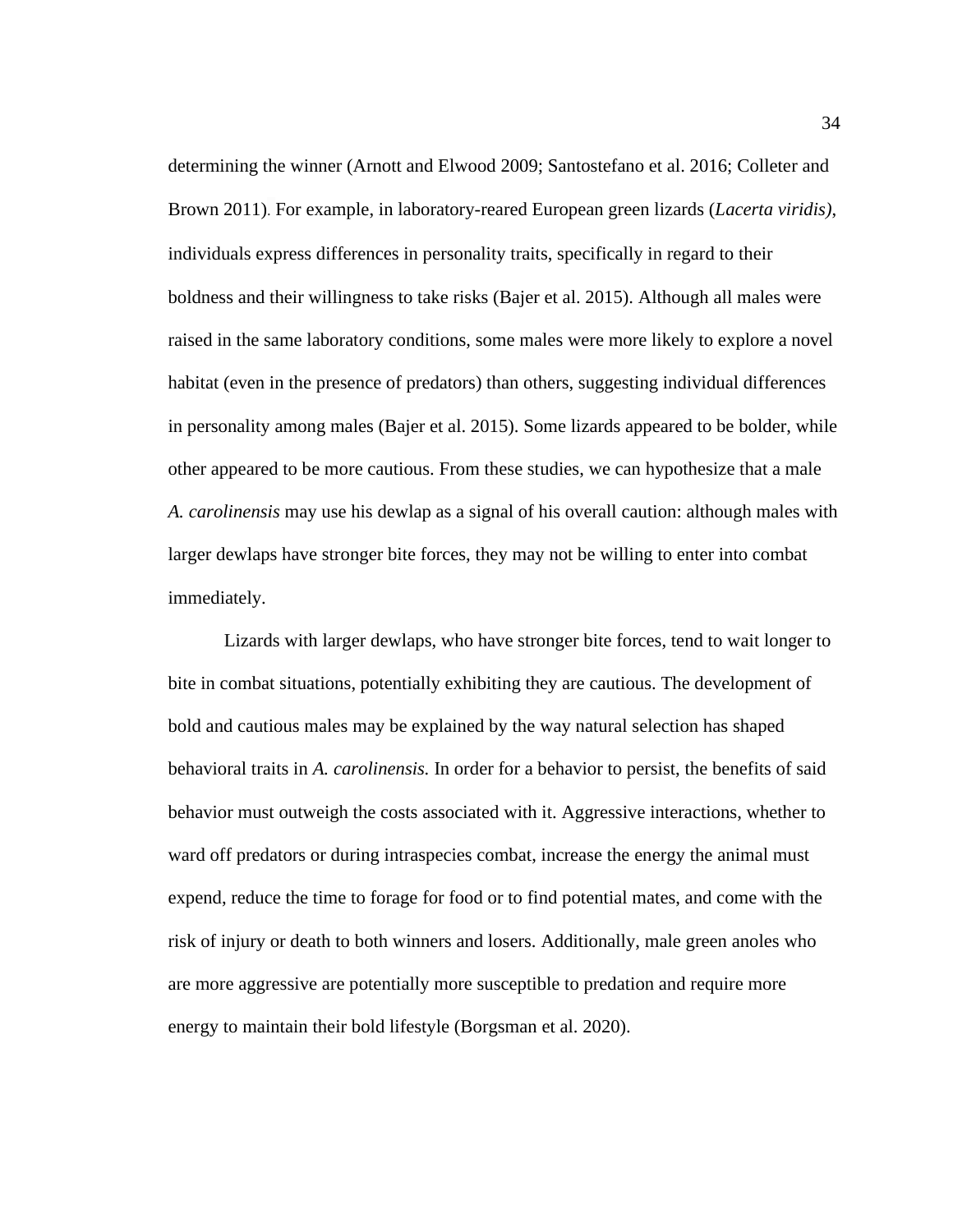determining the winner (Arnott and Elwood 2009; Santostefano et al. 2016; Colleter and Brown 2011). For example, in laboratory-reared European green lizards (*Lacerta viridis)*, individuals express differences in personality traits, specifically in regard to their boldness and their willingness to take risks (Bajer et al. 2015). Although all males were raised in the same laboratory conditions, some males were more likely to explore a novel habitat (even in the presence of predators) than others, suggesting individual differences in personality among males (Bajer et al. 2015). Some lizards appeared to be bolder, while other appeared to be more cautious. From these studies, we can hypothesize that a male *A. carolinensis* may use his dewlap as a signal of his overall caution: although males with larger dewlaps have stronger bite forces, they may not be willing to enter into combat immediately.

Lizards with larger dewlaps, who have stronger bite forces, tend to wait longer to bite in combat situations, potentially exhibiting they are cautious. The development of bold and cautious males may be explained by the way natural selection has shaped behavioral traits in *A. carolinensis.* In order for a behavior to persist, the benefits of said behavior must outweigh the costs associated with it. Aggressive interactions, whether to ward off predators or during intraspecies combat, increase the energy the animal must expend, reduce the time to forage for food or to find potential mates, and come with the risk of injury or death to both winners and losers. Additionally, male green anoles who are more aggressive are potentially more susceptible to predation and require more energy to maintain their bold lifestyle (Borgsman et al. 2020).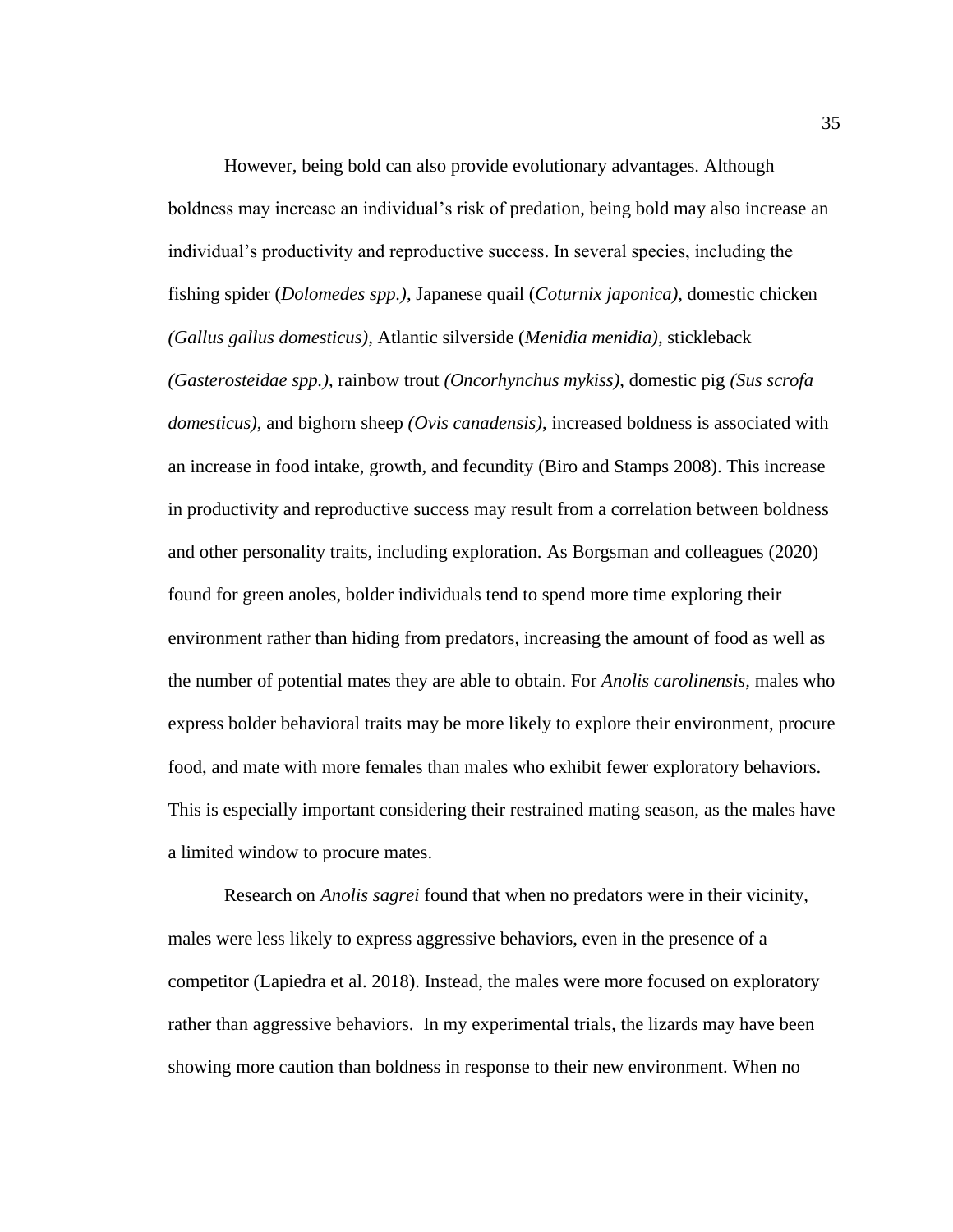However, being bold can also provide evolutionary advantages. Although boldness may increase an individual's risk of predation, being bold may also increase an individual's productivity and reproductive success. In several species, including the fishing spider (*Dolomedes spp.)*, Japanese quail (*Coturnix japonica)*, domestic chicken *(Gallus gallus domesticus)*, Atlantic silverside (*Menidia menidia)*, stickleback *(Gasterosteidae spp.)*, rainbow trout *(Oncorhynchus mykiss)*, domestic pig *(Sus scrofa domesticus)*, and bighorn sheep *(Ovis canadensis)*, increased boldness is associated with an increase in food intake, growth, and fecundity (Biro and Stamps 2008). This increase in productivity and reproductive success may result from a correlation between boldness and other personality traits, including exploration. As Borgsman and colleagues (2020) found for green anoles, bolder individuals tend to spend more time exploring their environment rather than hiding from predators, increasing the amount of food as well as the number of potential mates they are able to obtain. For *Anolis carolinensis,* males who express bolder behavioral traits may be more likely to explore their environment, procure food, and mate with more females than males who exhibit fewer exploratory behaviors. This is especially important considering their restrained mating season, as the males have a limited window to procure mates.

Research on *Anolis sagrei* found that when no predators were in their vicinity, males were less likely to express aggressive behaviors, even in the presence of a competitor (Lapiedra et al. 2018). Instead, the males were more focused on exploratory rather than aggressive behaviors. In my experimental trials, the lizards may have been showing more caution than boldness in response to their new environment. When no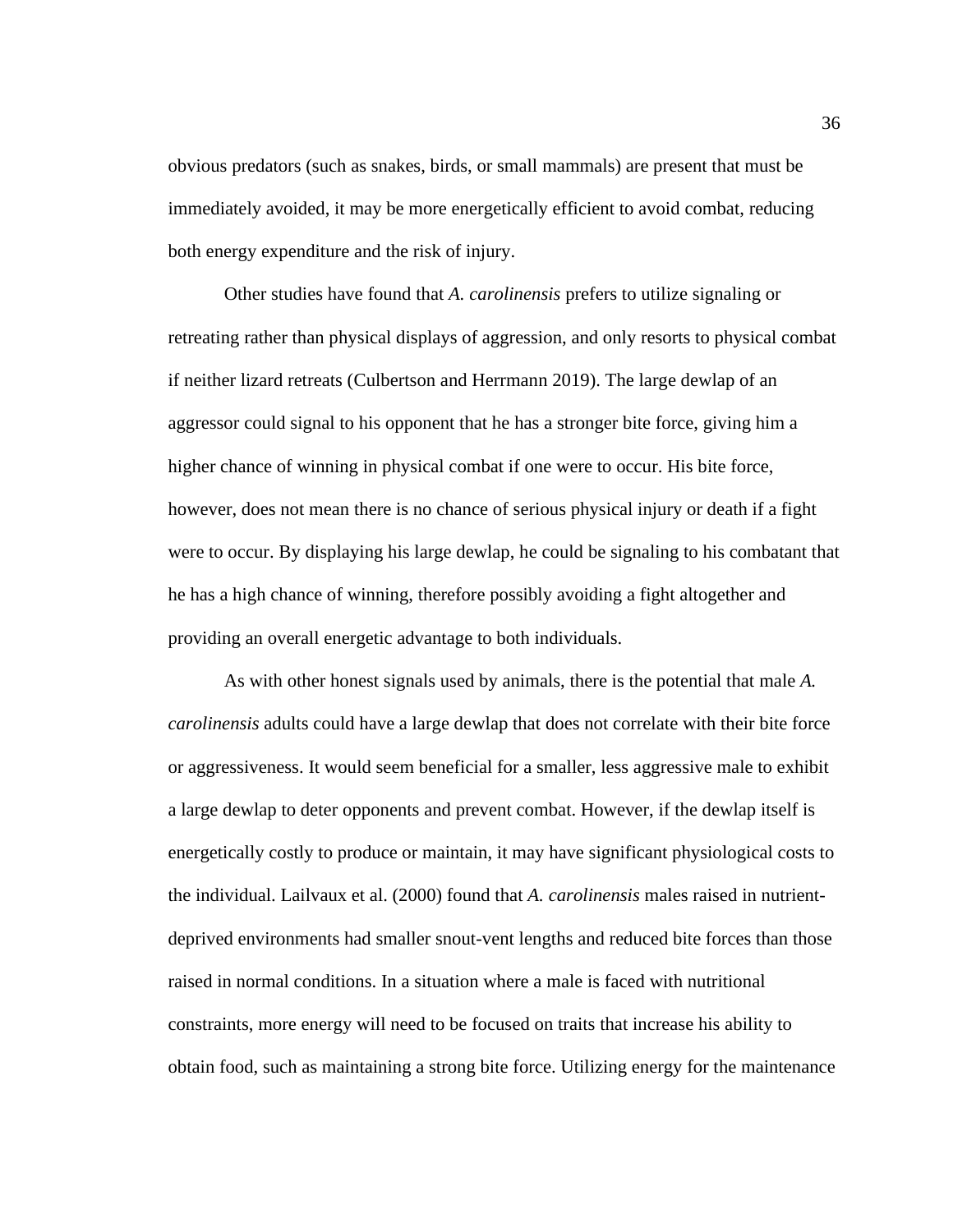obvious predators (such as snakes, birds, or small mammals) are present that must be immediately avoided, it may be more energetically efficient to avoid combat, reducing both energy expenditure and the risk of injury.

Other studies have found that *A. carolinensis* prefers to utilize signaling or retreating rather than physical displays of aggression, and only resorts to physical combat if neither lizard retreats (Culbertson and Herrmann 2019). The large dewlap of an aggressor could signal to his opponent that he has a stronger bite force, giving him a higher chance of winning in physical combat if one were to occur. His bite force, however, does not mean there is no chance of serious physical injury or death if a fight were to occur. By displaying his large dewlap, he could be signaling to his combatant that he has a high chance of winning, therefore possibly avoiding a fight altogether and providing an overall energetic advantage to both individuals.

As with other honest signals used by animals, there is the potential that male *A. carolinensis* adults could have a large dewlap that does not correlate with their bite force or aggressiveness. It would seem beneficial for a smaller, less aggressive male to exhibit a large dewlap to deter opponents and prevent combat. However, if the dewlap itself is energetically costly to produce or maintain, it may have significant physiological costs to the individual. Lailvaux et al. (2000) found that *A. carolinensis* males raised in nutrientdeprived environments had smaller snout-vent lengths and reduced bite forces than those raised in normal conditions. In a situation where a male is faced with nutritional constraints, more energy will need to be focused on traits that increase his ability to obtain food, such as maintaining a strong bite force. Utilizing energy for the maintenance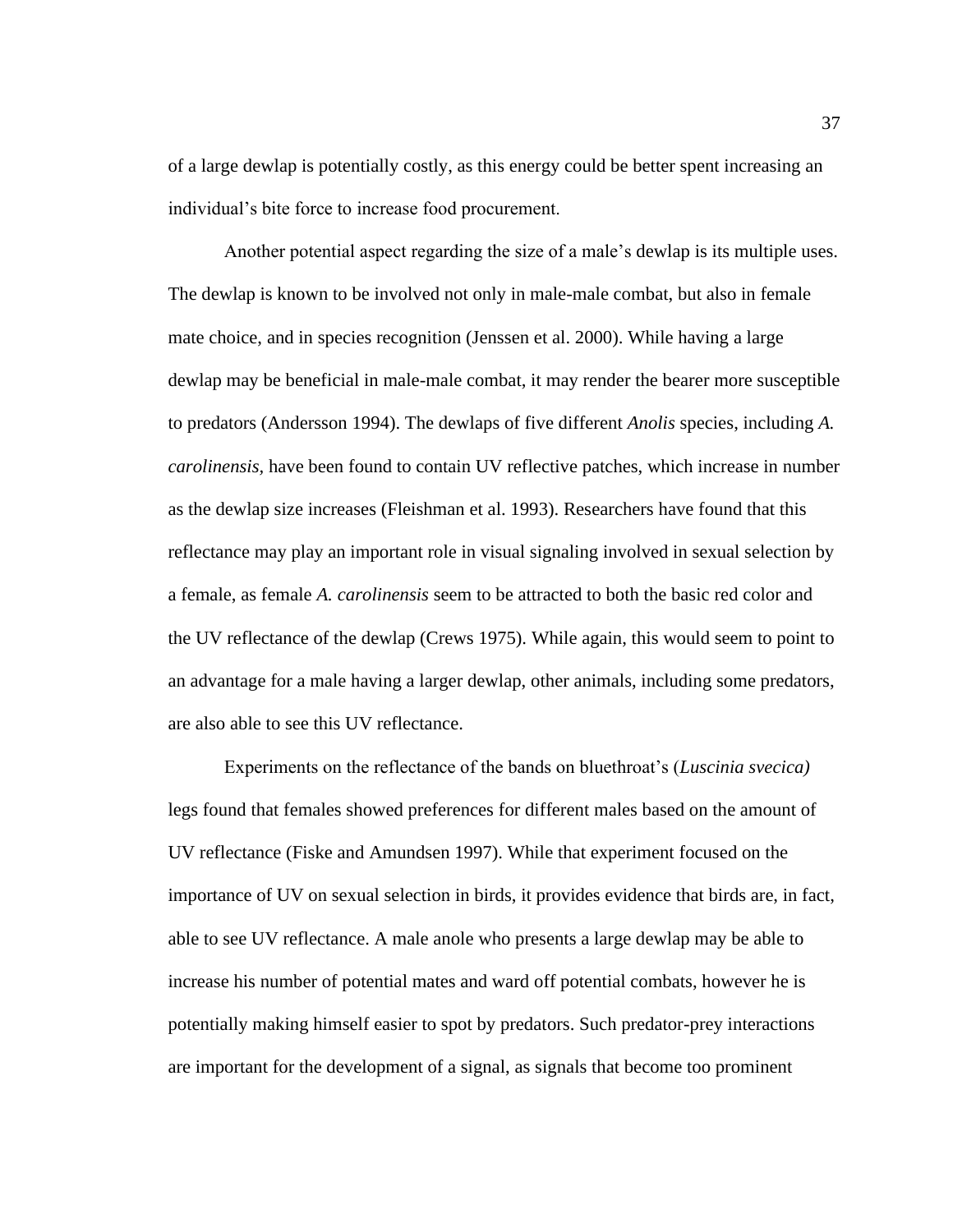of a large dewlap is potentially costly, as this energy could be better spent increasing an individual's bite force to increase food procurement.

Another potential aspect regarding the size of a male's dewlap is its multiple uses. The dewlap is known to be involved not only in male-male combat, but also in female mate choice, and in species recognition (Jenssen et al. 2000). While having a large dewlap may be beneficial in male-male combat, it may render the bearer more susceptible to predators (Andersson 1994). The dewlaps of five different *Anolis* species, including *A. carolinensis,* have been found to contain UV reflective patches, which increase in number as the dewlap size increases (Fleishman et al. 1993). Researchers have found that this reflectance may play an important role in visual signaling involved in sexual selection by a female, as female *A. carolinensis* seem to be attracted to both the basic red color and the UV reflectance of the dewlap (Crews 1975). While again, this would seem to point to an advantage for a male having a larger dewlap, other animals, including some predators, are also able to see this UV reflectance.

Experiments on the reflectance of the bands on bluethroat's (*Luscinia svecica)* legs found that females showed preferences for different males based on the amount of UV reflectance (Fiske and Amundsen 1997). While that experiment focused on the importance of UV on sexual selection in birds, it provides evidence that birds are, in fact, able to see UV reflectance. A male anole who presents a large dewlap may be able to increase his number of potential mates and ward off potential combats, however he is potentially making himself easier to spot by predators. Such predator-prey interactions are important for the development of a signal, as signals that become too prominent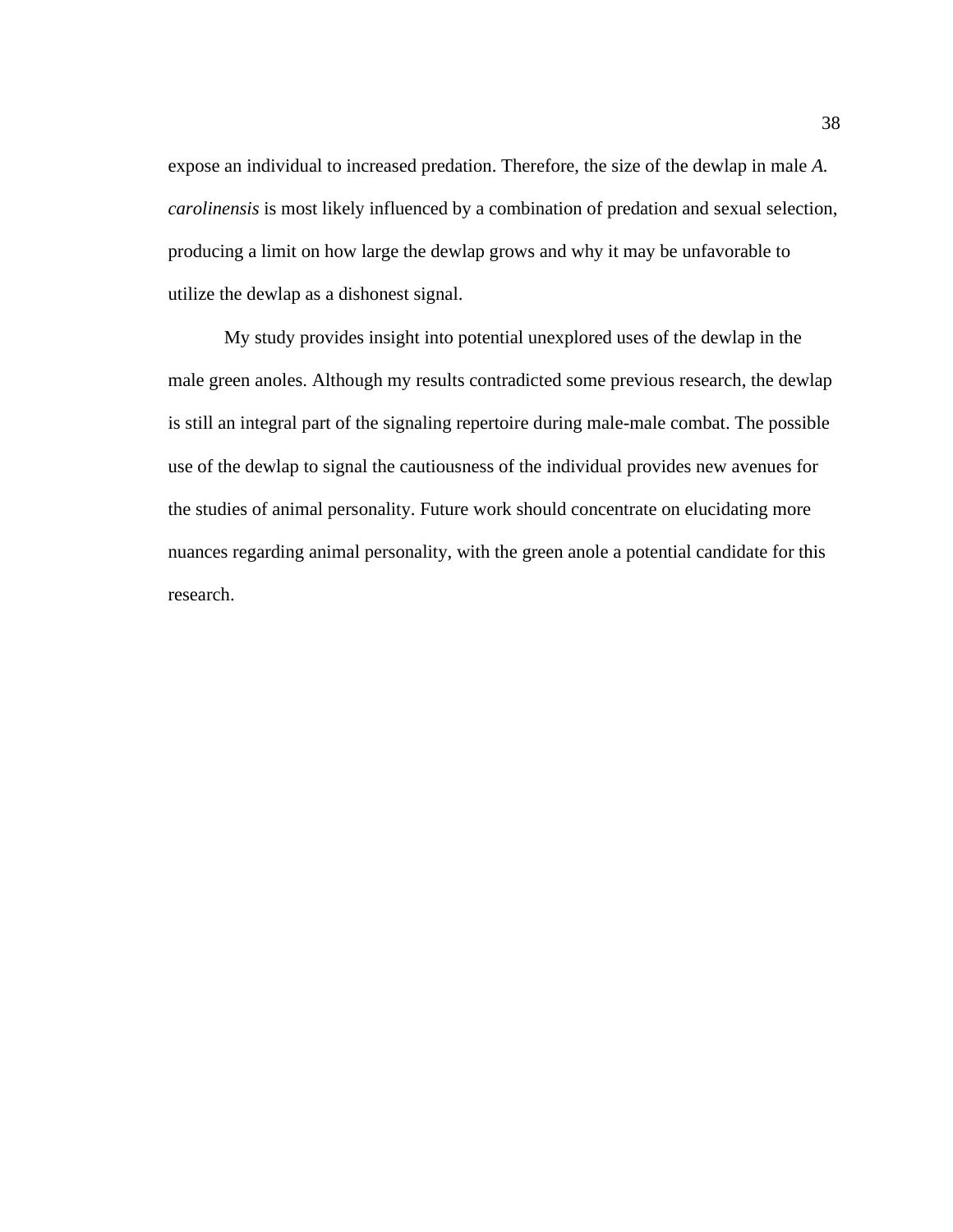expose an individual to increased predation. Therefore, the size of the dewlap in male *A. carolinensis* is most likely influenced by a combination of predation and sexual selection, producing a limit on how large the dewlap grows and why it may be unfavorable to utilize the dewlap as a dishonest signal.

My study provides insight into potential unexplored uses of the dewlap in the male green anoles. Although my results contradicted some previous research, the dewlap is still an integral part of the signaling repertoire during male-male combat. The possible use of the dewlap to signal the cautiousness of the individual provides new avenues for the studies of animal personality. Future work should concentrate on elucidating more nuances regarding animal personality, with the green anole a potential candidate for this research.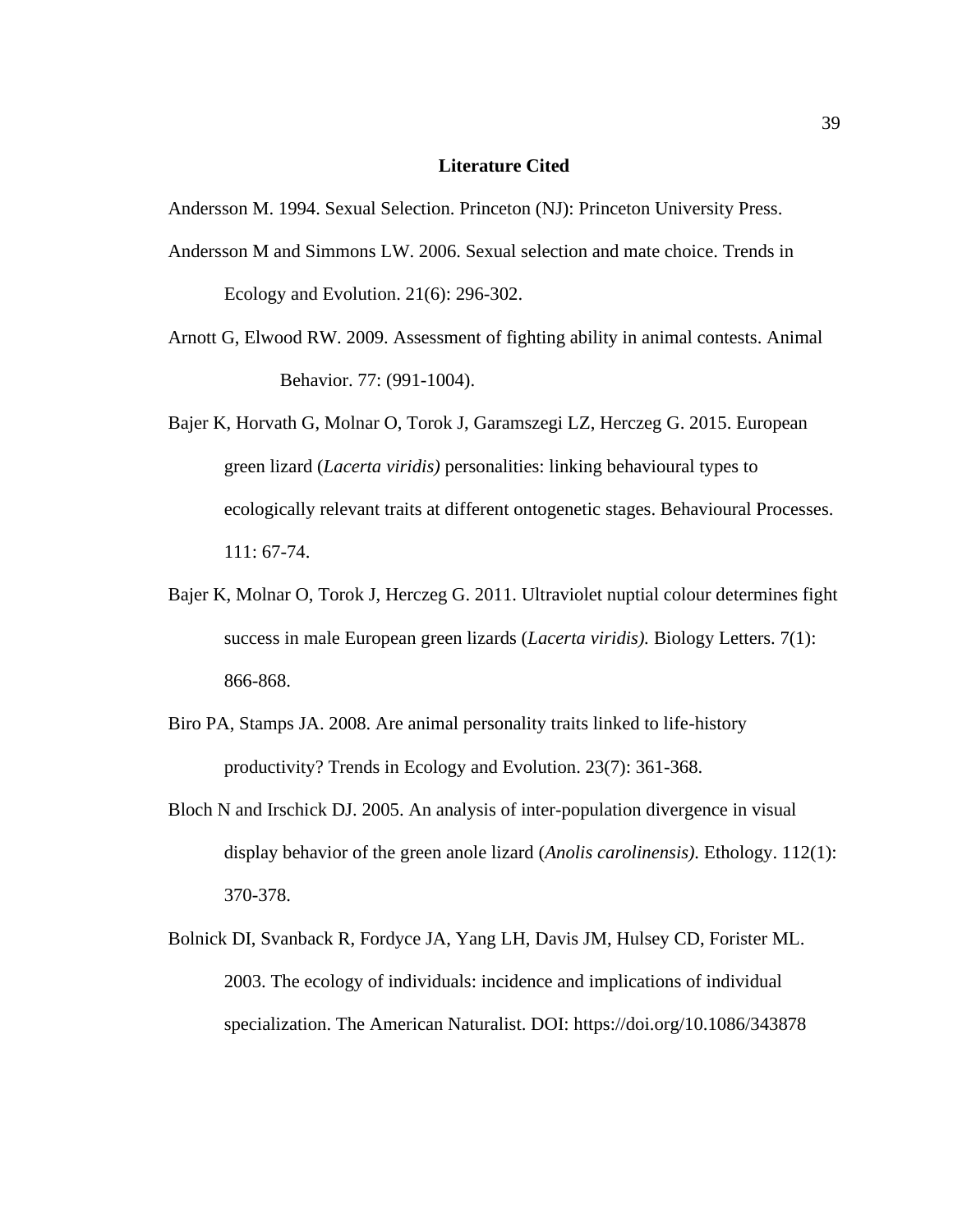#### **Literature Cited**

Andersson M. 1994. Sexual Selection. Princeton (NJ): Princeton University Press.

- Andersson M and Simmons LW. 2006. Sexual selection and mate choice. Trends in Ecology and Evolution. 21(6): 296-302.
- Arnott G, Elwood RW. 2009. Assessment of fighting ability in animal contests. Animal Behavior. 77: (991-1004).
- Bajer K, Horvath G, Molnar O, Torok J, Garamszegi LZ, Herczeg G. 2015. European green lizard (*Lacerta viridis)* personalities: linking behavioural types to ecologically relevant traits at different ontogenetic stages. Behavioural Processes. 111: 67-74.
- Bajer K, Molnar O, Torok J, Herczeg G. 2011. Ultraviolet nuptial colour determines fight success in male European green lizards (*Lacerta viridis).* Biology Letters. 7(1): 866-868.
- Biro PA, Stamps JA. 2008. Are animal personality traits linked to life-history productivity? Trends in Ecology and Evolution. 23(7): 361-368.
- Bloch N and Irschick DJ. 2005. An analysis of inter-population divergence in visual display behavior of the green anole lizard (*Anolis carolinensis).* Ethology. 112(1): 370-378.
- Bolnick DI, Svanback R, Fordyce JA, Yang LH, Davis JM, Hulsey CD, Forister ML. 2003. The ecology of individuals: incidence and implications of individual specialization. The American Naturalist. DOI: https://doi.org/10.1086/343878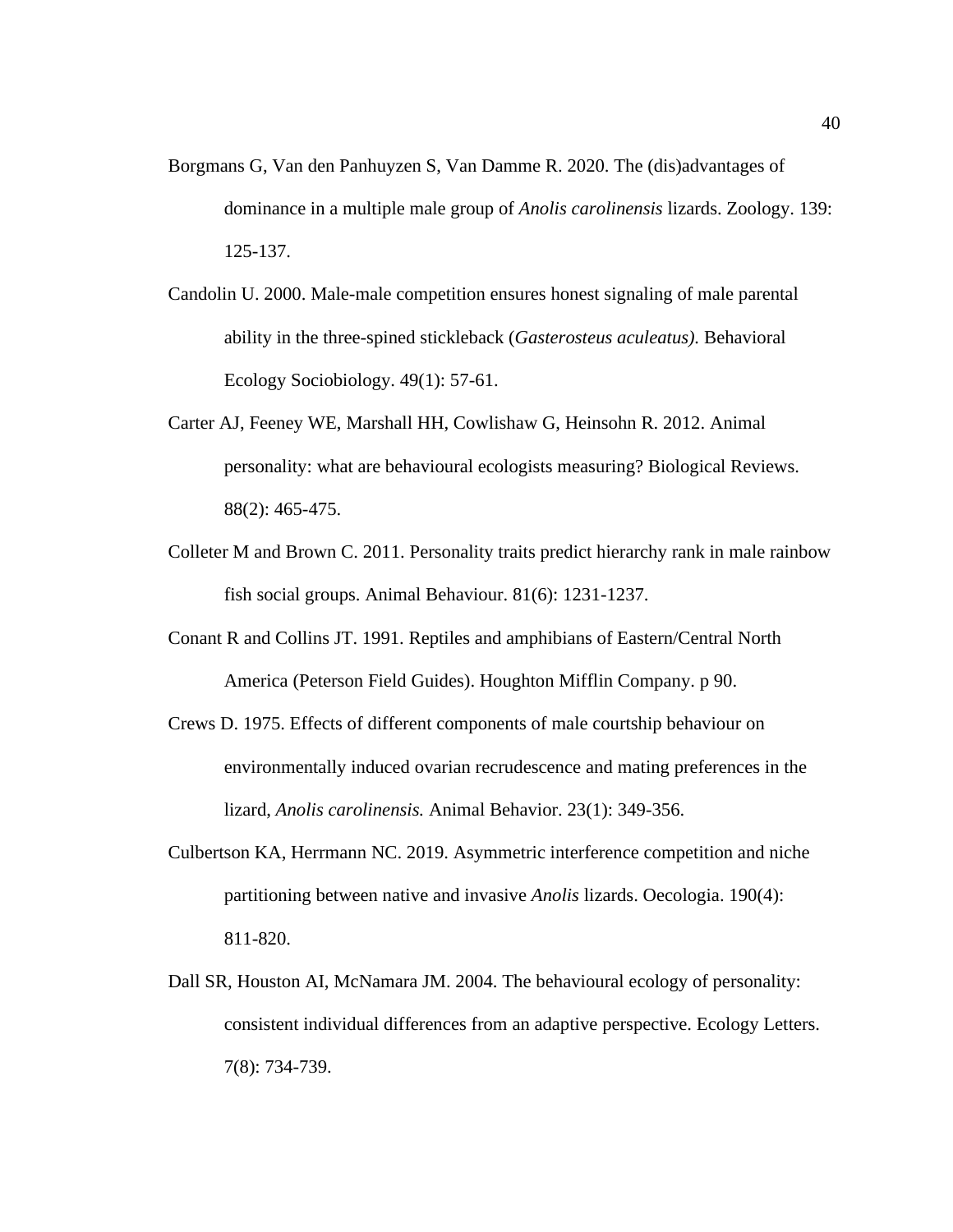- Borgmans G, Van den Panhuyzen S, Van Damme R. 2020. The (dis)advantages of dominance in a multiple male group of *Anolis carolinensis* lizards. Zoology. 139: 125-137.
- Candolin U. 2000. Male-male competition ensures honest signaling of male parental ability in the three-spined stickleback (*Gasterosteus aculeatus).* Behavioral Ecology Sociobiology. 49(1): 57-61.
- Carter AJ, Feeney WE, Marshall HH, Cowlishaw G, Heinsohn R. 2012. Animal personality: what are behavioural ecologists measuring? Biological Reviews. 88(2): 465-475.
- Colleter M and Brown C. 2011. Personality traits predict hierarchy rank in male rainbow fish social groups. Animal Behaviour. 81(6): 1231-1237.
- Conant R and Collins JT. 1991. Reptiles and amphibians of Eastern/Central North America (Peterson Field Guides). Houghton Mifflin Company. p 90.
- Crews D. 1975. Effects of different components of male courtship behaviour on environmentally induced ovarian recrudescence and mating preferences in the lizard, *Anolis carolinensis.* Animal Behavior. 23(1): 349-356.
- Culbertson KA, Herrmann NC. 2019. Asymmetric interference competition and niche partitioning between native and invasive *Anolis* lizards. Oecologia. 190(4): 811-820.
- Dall SR, Houston AI, McNamara JM. 2004. The behavioural ecology of personality: consistent individual differences from an adaptive perspective. Ecology Letters. 7(8): 734-739.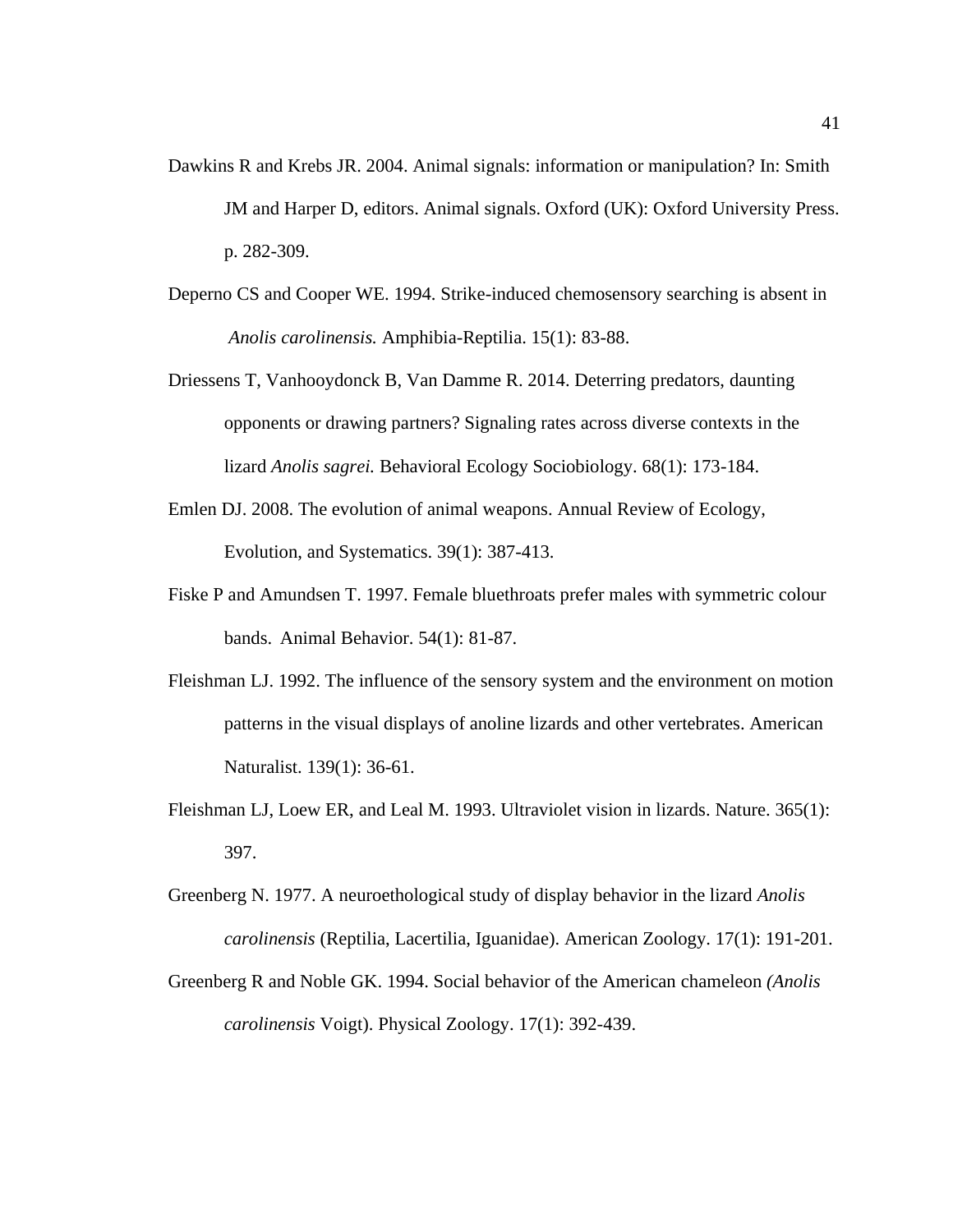- Dawkins R and Krebs JR. 2004. Animal signals: information or manipulation? In: Smith JM and Harper D, editors. Animal signals. Oxford (UK): Oxford University Press. p. 282-309.
- Deperno CS and Cooper WE. 1994. Strike-induced chemosensory searching is absent in *Anolis carolinensis.* Amphibia-Reptilia. 15(1): 83-88.
- Driessens T, Vanhooydonck B, Van Damme R. 2014. Deterring predators, daunting opponents or drawing partners? Signaling rates across diverse contexts in the lizard *Anolis sagrei.* Behavioral Ecology Sociobiology. 68(1): 173-184.
- Emlen DJ. 2008. The evolution of animal weapons. Annual Review of Ecology, Evolution, and Systematics. 39(1): 387-413.
- Fiske P and Amundsen T. 1997. Female bluethroats prefer males with symmetric colour bands. Animal Behavior. 54(1): 81-87.
- Fleishman LJ. 1992. The influence of the sensory system and the environment on motion patterns in the visual displays of anoline lizards and other vertebrates. American Naturalist. 139(1): 36-61.
- Fleishman LJ, Loew ER, and Leal M. 1993. Ultraviolet vision in lizards. Nature. 365(1): 397.
- Greenberg N. 1977. A neuroethological study of display behavior in the lizard *Anolis carolinensis* (Reptilia, Lacertilia, Iguanidae). American Zoology. 17(1): 191-201.
- Greenberg R and Noble GK. 1994. Social behavior of the American chameleon *(Anolis carolinensis* Voigt). Physical Zoology. 17(1): 392-439.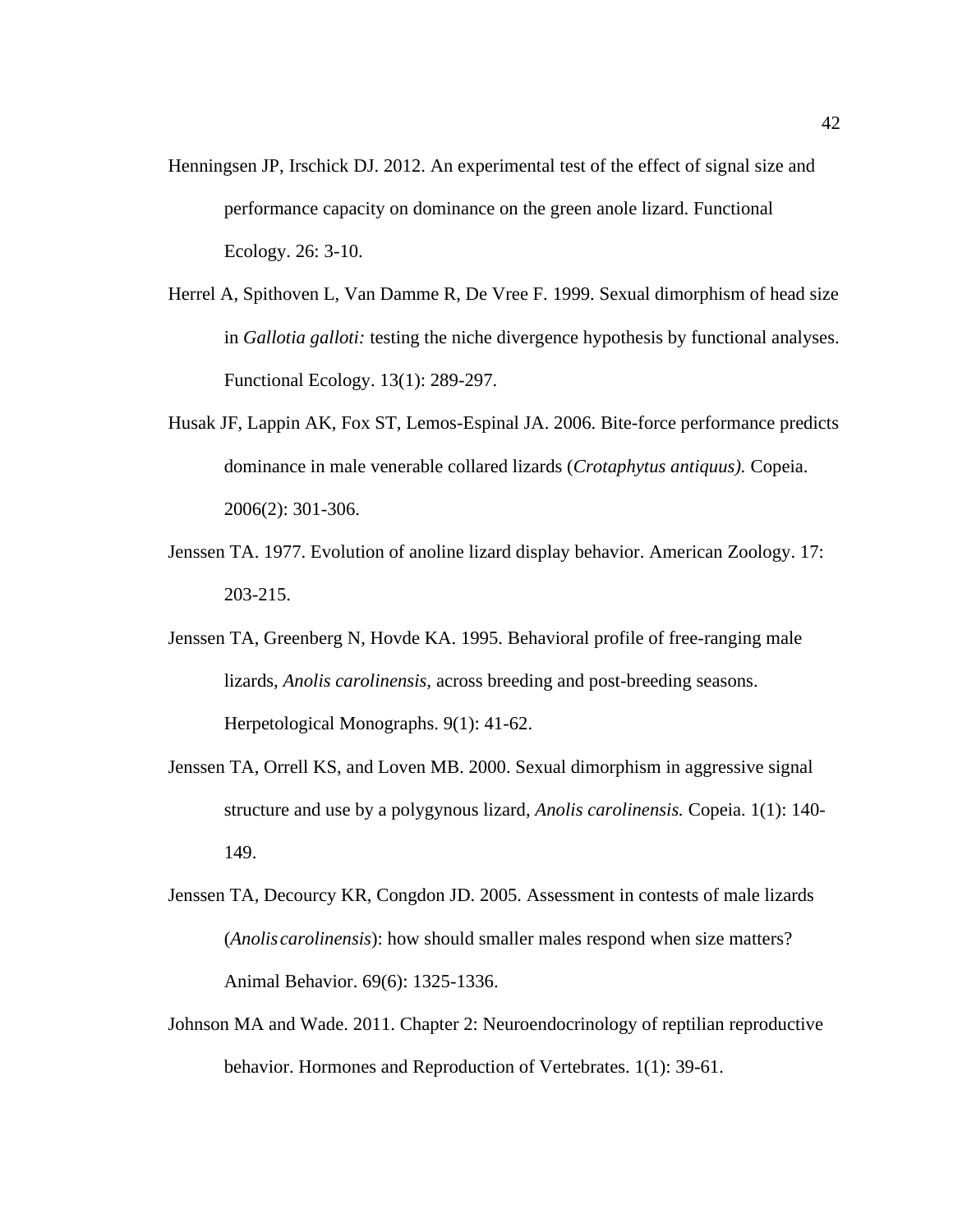- Henningsen JP, Irschick DJ. 2012. An experimental test of the effect of signal size and performance capacity on dominance on the green anole lizard. Functional Ecology. 26: 3-10.
- Herrel A, Spithoven L, Van Damme R, De Vree F. 1999. Sexual dimorphism of head size in *Gallotia galloti:* testing the niche divergence hypothesis by functional analyses. Functional Ecology. 13(1): 289-297.
- Husak JF, Lappin AK, Fox ST, Lemos-Espinal JA. 2006. Bite-force performance predicts dominance in male venerable collared lizards (*Crotaphytus antiquus).* Copeia. 2006(2): 301-306.
- Jenssen TA. 1977. Evolution of anoline lizard display behavior. American Zoology. 17: 203-215.
- Jenssen TA, Greenberg N, Hovde KA. 1995. Behavioral profile of free-ranging male lizards, *Anolis carolinensis,* across breeding and post-breeding seasons. Herpetological Monographs. 9(1): 41-62.
- Jenssen TA, Orrell KS, and Loven MB. 2000. Sexual dimorphism in aggressive signal structure and use by a polygynous lizard, *Anolis carolinensis.* Copeia. 1(1): 140- 149.
- Jenssen TA, Decourcy KR, Congdon JD. 2005. Assessment in contests of male lizards (*Anolis carolinensis*): how should smaller males respond when size matters? Animal Behavior. 69(6): 1325-1336.
- Johnson MA and Wade. 2011. Chapter 2: Neuroendocrinology of reptilian reproductive behavior. Hormones and Reproduction of Vertebrates. 1(1): 39-61.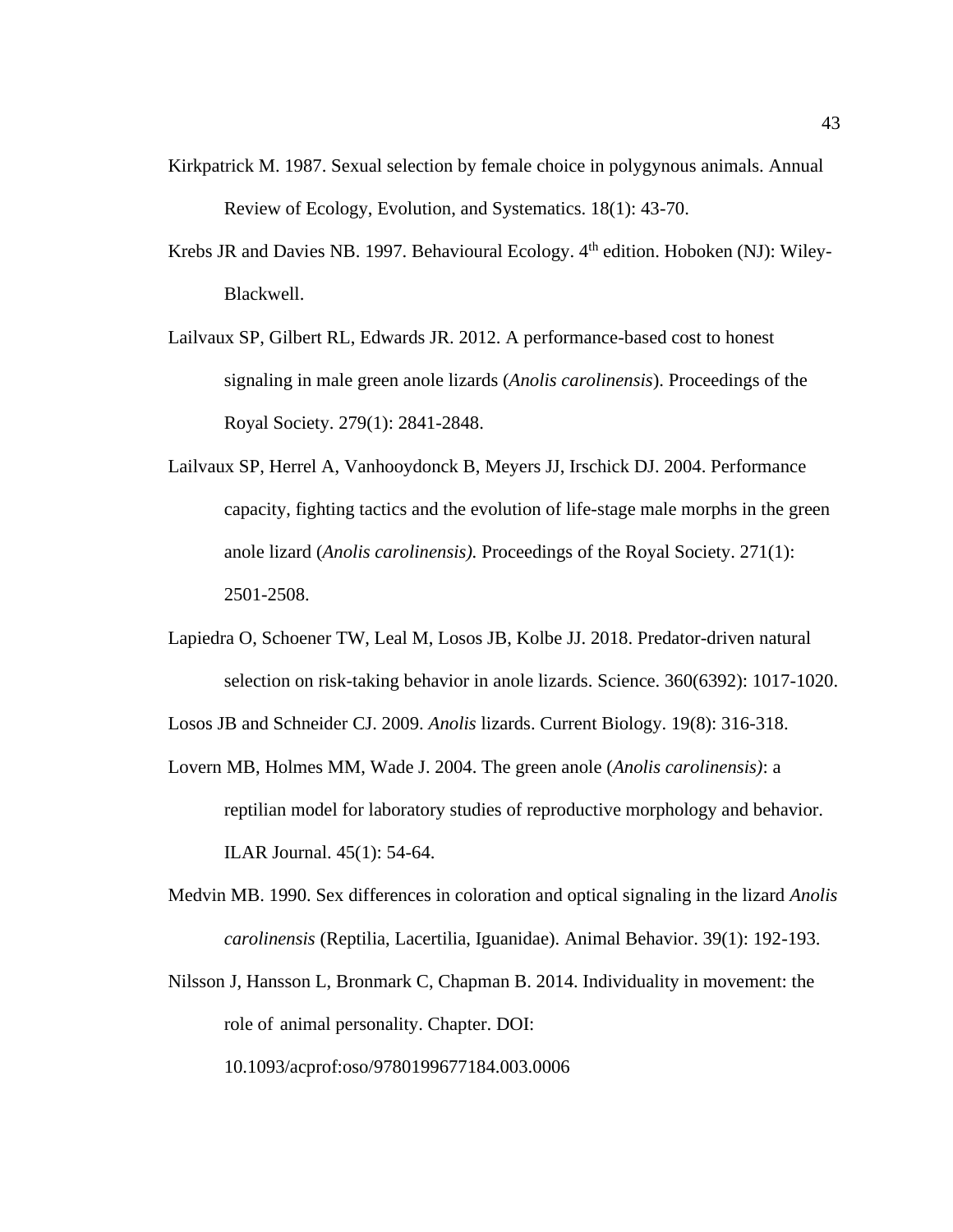- Kirkpatrick M. 1987. Sexual selection by female choice in polygynous animals. Annual Review of Ecology, Evolution, and Systematics. 18(1): 43-70.
- Krebs JR and Davies NB. 1997. Behavioural Ecology. 4<sup>th</sup> edition. Hoboken (NJ): Wiley-Blackwell.
- Lailvaux SP, Gilbert RL, Edwards JR. 2012. A performance-based cost to honest signaling in male green anole lizards (*Anolis carolinensis*). Proceedings of the Royal Society. 279(1): 2841-2848.
- Lailvaux SP, Herrel A, Vanhooydonck B, Meyers JJ, Irschick DJ. 2004. Performance capacity, fighting tactics and the evolution of life-stage male morphs in the green anole lizard (*Anolis carolinensis).* Proceedings of the Royal Society. 271(1): 2501-2508.
- Lapiedra O, Schoener TW, Leal M, Losos JB, Kolbe JJ. 2018. Predator-driven natural selection on risk-taking behavior in anole lizards. Science. 360(6392): 1017-1020.

Losos JB and Schneider CJ. 2009. *Anolis* lizards. Current Biology. 19(8): 316-318.

- Lovern MB, Holmes MM, Wade J. 2004. The green anole (*Anolis carolinensis)*: a reptilian model for laboratory studies of reproductive morphology and behavior. ILAR Journal. 45(1): 54-64.
- Medvin MB. 1990. Sex differences in coloration and optical signaling in the lizard *Anolis carolinensis* (Reptilia, Lacertilia, Iguanidae). Animal Behavior. 39(1): 192-193.
- Nilsson J, Hansson L, Bronmark C, Chapman B. 2014. Individuality in movement: the role of animal personality. Chapter. DOI:

10.1093/acprof:oso/9780199677184.003.0006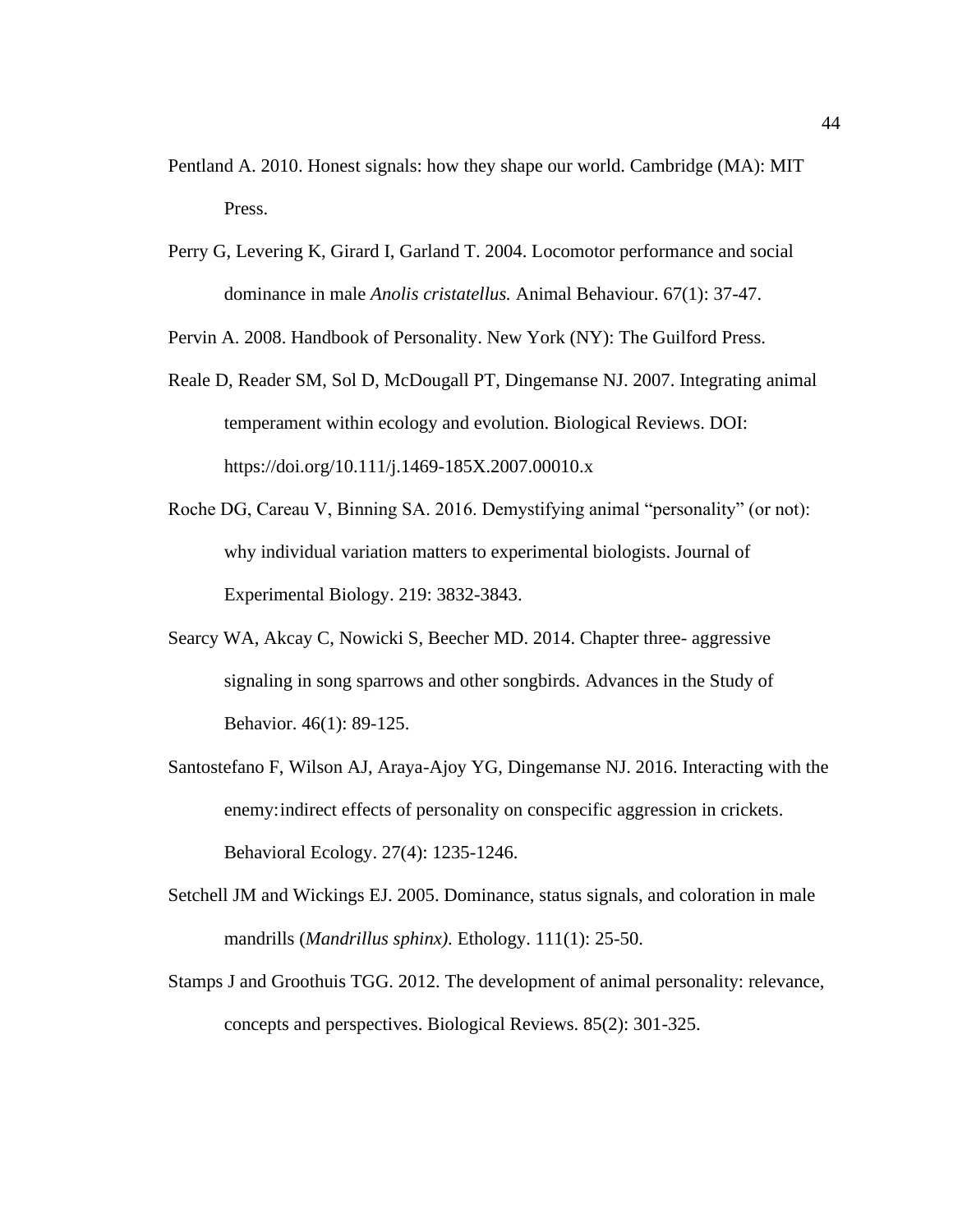- Pentland A. 2010. Honest signals: how they shape our world. Cambridge (MA): MIT Press.
- Perry G, Levering K, Girard I, Garland T. 2004. Locomotor performance and social dominance in male *Anolis cristatellus.* Animal Behaviour. 67(1): 37-47.

Pervin A. 2008. Handbook of Personality. New York (NY): The Guilford Press.

- Reale D, Reader SM, Sol D, McDougall PT, Dingemanse NJ. 2007. Integrating animal temperament within ecology and evolution. Biological Reviews. DOI: https://doi.org/10.111/j.1469-185X.2007.00010.x
- Roche DG, Careau V, Binning SA. 2016. Demystifying animal "personality" (or not): why individual variation matters to experimental biologists. Journal of Experimental Biology. 219: 3832-3843.
- Searcy WA, Akcay C, Nowicki S, Beecher MD. 2014. Chapter three- aggressive signaling in song sparrows and other songbirds. Advances in the Study of Behavior. 46(1): 89-125.
- Santostefano F, Wilson AJ, Araya-Ajoy YG, Dingemanse NJ. 2016. Interacting with the enemy:indirect effects of personality on conspecific aggression in crickets. Behavioral Ecology. 27(4): 1235-1246.
- Setchell JM and Wickings EJ. 2005. Dominance, status signals, and coloration in male mandrills (*Mandrillus sphinx).* Ethology. 111(1): 25-50.
- Stamps J and Groothuis TGG. 2012. The development of animal personality: relevance, concepts and perspectives. Biological Reviews. 85(2): 301-325.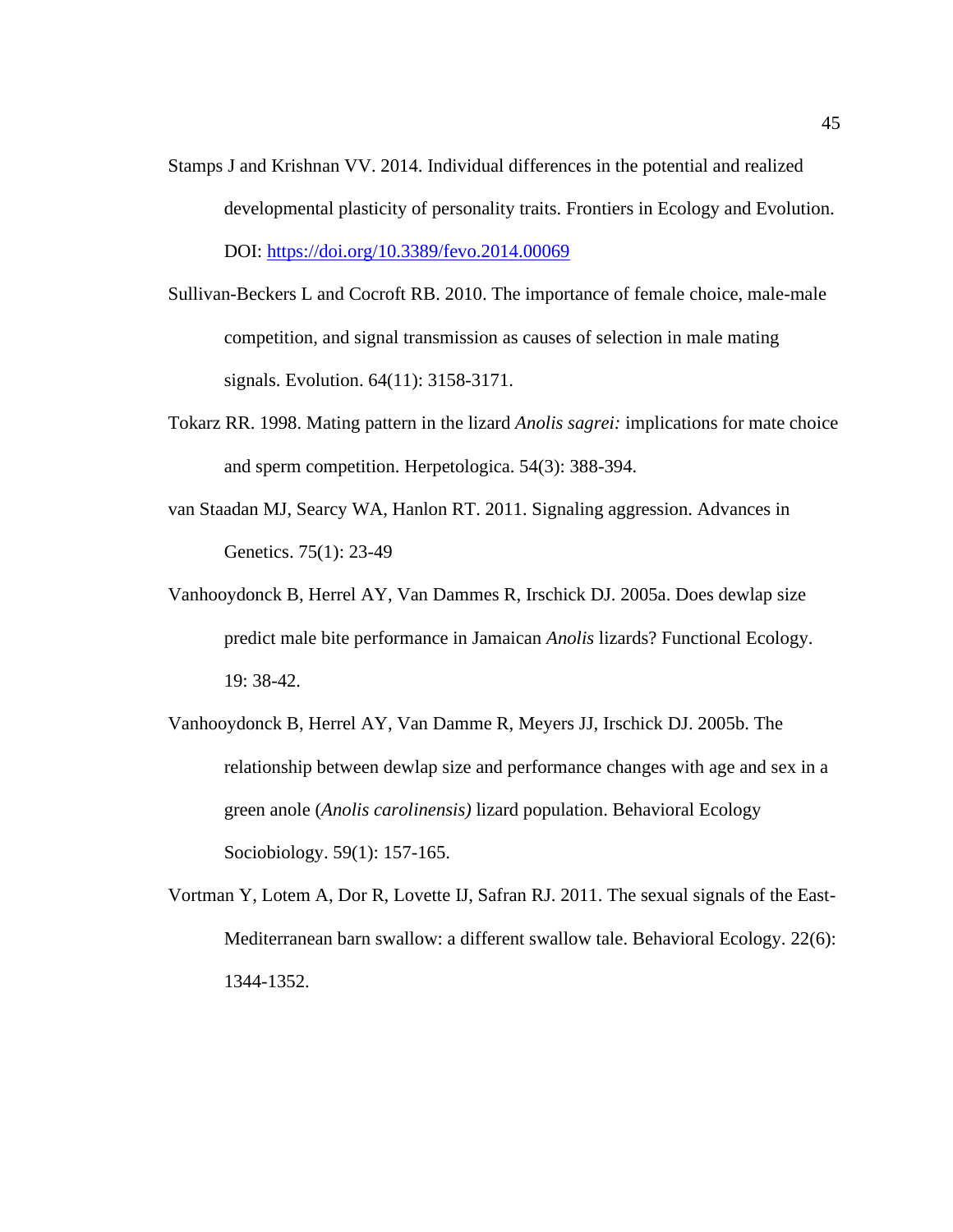- Stamps J and Krishnan VV. 2014. Individual differences in the potential and realized developmental plasticity of personality traits. Frontiers in Ecology and Evolution. DOI:<https://doi.org/10.3389/fevo.2014.00069>
- Sullivan-Beckers L and Cocroft RB. 2010. The importance of female choice, male-male competition, and signal transmission as causes of selection in male mating signals. Evolution. 64(11): 3158-3171.
- Tokarz RR. 1998. Mating pattern in the lizard *Anolis sagrei:* implications for mate choice and sperm competition. Herpetologica. 54(3): 388-394.
- van Staadan MJ, Searcy WA, Hanlon RT. 2011. Signaling aggression. Advances in Genetics. 75(1): 23-49
- Vanhooydonck B, Herrel AY, Van Dammes R, Irschick DJ. 2005a. Does dewlap size predict male bite performance in Jamaican *Anolis* lizards? Functional Ecology. 19: 38-42.
- Vanhooydonck B, Herrel AY, Van Damme R, Meyers JJ, Irschick DJ. 2005b. The relationship between dewlap size and performance changes with age and sex in a green anole (*Anolis carolinensis)* lizard population. Behavioral Ecology Sociobiology. 59(1): 157-165.
- Vortman Y, Lotem A, Dor R, Lovette IJ, Safran RJ. 2011. The sexual signals of the East-Mediterranean barn swallow: a different swallow tale. Behavioral Ecology. 22(6): 1344-1352.